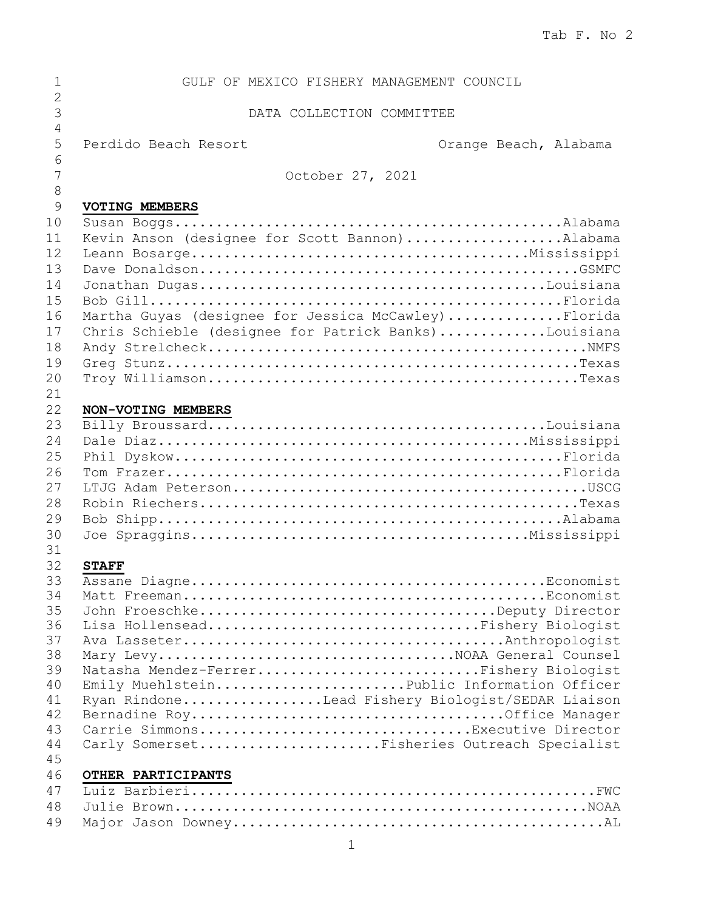| 1                  | GULF OF MEXICO FISHERY MANAGEMENT COUNCIL            |
|--------------------|------------------------------------------------------|
| $\overline{2}$     |                                                      |
| $\mathcal{S}$<br>4 | DATA COLLECTION COMMITTEE                            |
| 5                  | Perdido Beach Resort<br>Orange Beach, Alabama        |
| 6                  |                                                      |
| 7                  | October 27, 2021                                     |
| $\,8\,$            |                                                      |
| $\mathcal{G}$      | VOTING MEMBERS                                       |
| 10                 |                                                      |
| 11                 | Kevin Anson (designee for Scott Bannon)Alabama       |
| 12                 |                                                      |
| 13                 |                                                      |
| 14                 |                                                      |
| 15                 |                                                      |
| 16                 | Martha Guyas (designee for Jessica McCawley) Florida |
| 17                 | Chris Schieble (designee for Patrick Banks)Louisiana |
| 18                 |                                                      |
| 19                 |                                                      |
| 20                 |                                                      |
| 21<br>22           |                                                      |
| 23                 | NON-VOTING MEMBERS                                   |
| 24                 |                                                      |
| 25                 |                                                      |
| 26                 |                                                      |
| 27                 |                                                      |
| 28                 |                                                      |
| 29                 |                                                      |
| 30                 |                                                      |
| 31                 |                                                      |
| 32                 | <b>STAFF</b>                                         |
| 33                 |                                                      |
| 34                 |                                                      |
| 35                 | John FroeschkeDeputy Director                        |
| 36                 | Lisa HollenseadFishery Biologist                     |
| 37                 |                                                      |
| 38                 |                                                      |
| 39                 | Natasha Mendez-FerrerFishery Biologist               |
| 40                 | Emily MuehlsteinPublic Information Officer           |
| 41<br>42           | Ryan RindoneLead Fishery Biologist/SEDAR Liaison     |
| 43                 | Carrie SimmonsExecutive Director                     |
| 44                 | Carly SomersetFisheries Outreach Specialist          |
| 45                 |                                                      |
| 46                 | OTHER PARTICIPANTS                                   |
| 47                 |                                                      |
| 48                 |                                                      |
| 49                 |                                                      |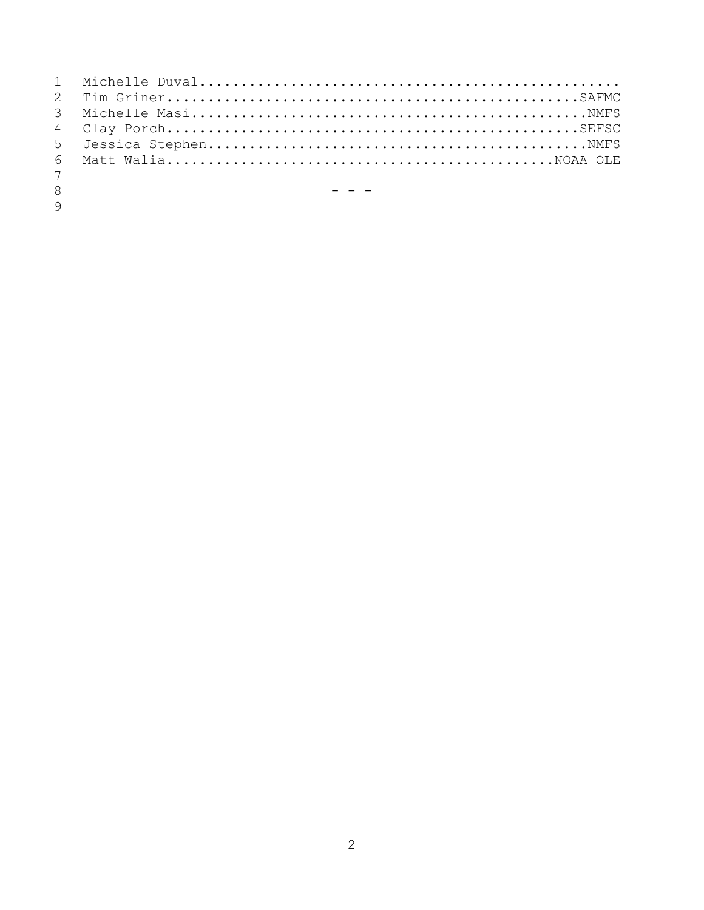| 7             |                                                     |
|---------------|-----------------------------------------------------|
| 8             | the contract of the contract of the contract of the |
| $\mathcal{Q}$ |                                                     |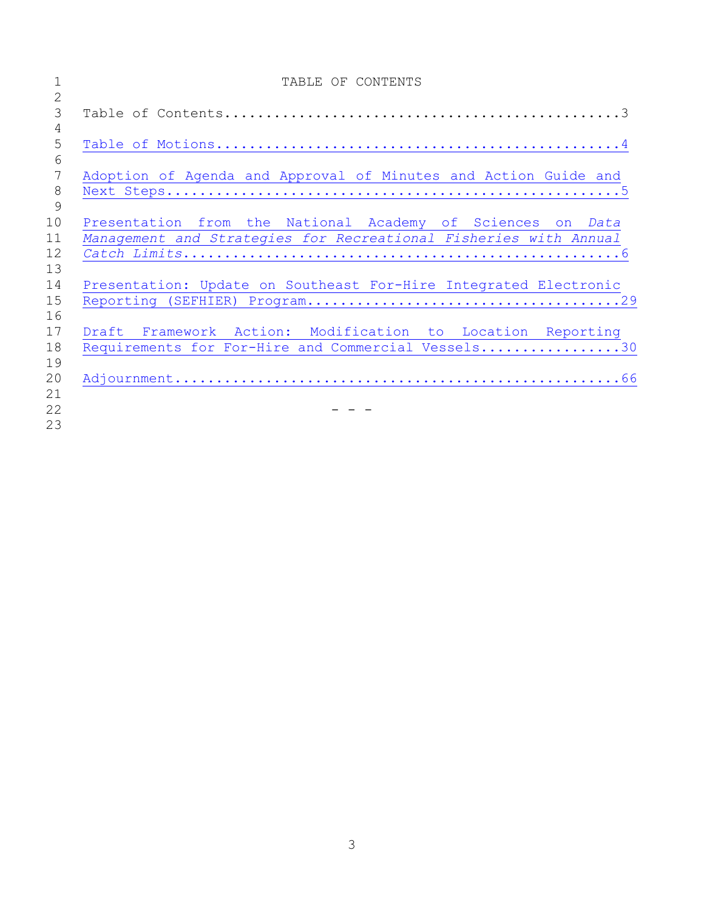|                | TABLE OF CONTENTS                                                |
|----------------|------------------------------------------------------------------|
| $\overline{2}$ |                                                                  |
| 3              |                                                                  |
| 4              |                                                                  |
| 5              |                                                                  |
| 6              |                                                                  |
| 7              | Adoption of Agenda and Approval of Minutes and Action Guide and  |
| 8              |                                                                  |
| 9              |                                                                  |
| 10             | Presentation from the National Academy of Sciences on Data       |
| 11             | Management and Strategies for Recreational Fisheries with Annual |
| 12             |                                                                  |
| 13             |                                                                  |
| 14             | Presentation: Update on Southeast For-Hire Integrated Electronic |
| 15             |                                                                  |
| 16             |                                                                  |
| 17             | Draft Framework Action: Modification to Location Reporting       |
| 18             | Requirements for For-Hire and Commercial Vessels30               |
| 19             |                                                                  |
| 20             |                                                                  |
| 21             |                                                                  |
| 22             |                                                                  |
| 23             |                                                                  |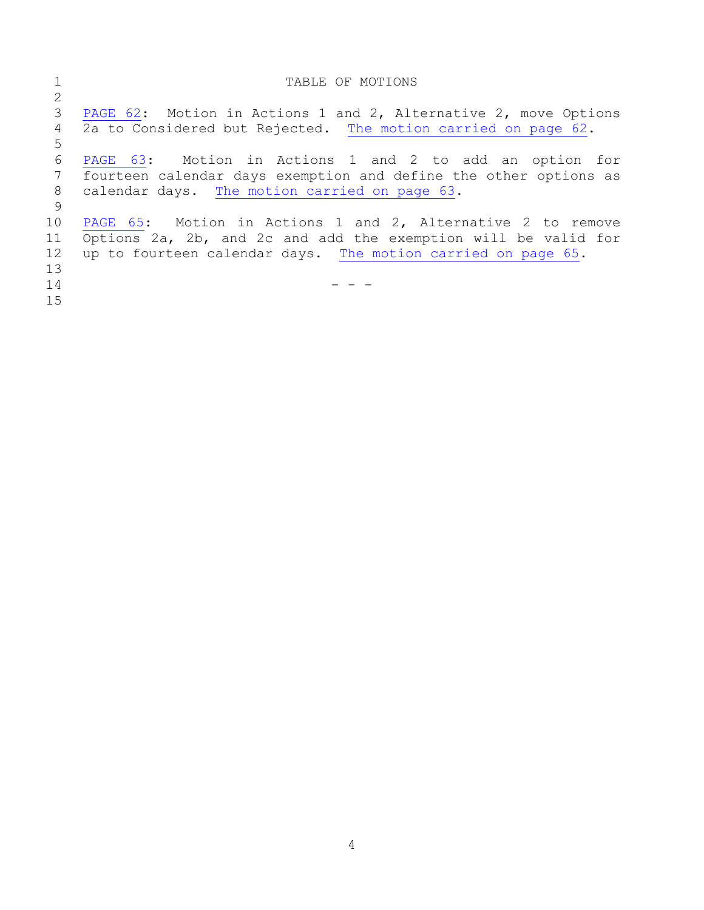<span id="page-3-0"></span>

|    | TABLE OF MOTIONS                                                 |
|----|------------------------------------------------------------------|
| 2  |                                                                  |
| 3  | PAGE 62: Motion in Actions 1 and 2, Alternative 2, move Options  |
| 4  | 2a to Considered but Rejected. The motion carried on page 62.    |
| 5  |                                                                  |
| 6  | PAGE 63: Motion in Actions 1 and 2 to add an option for          |
| 7  | fourteen calendar days exemption and define the other options as |
| 8  | calendar days. The motion carried on page 63.                    |
| -9 |                                                                  |
| 10 | PAGE 65: Motion in Actions 1 and 2, Alternative 2 to remove      |
| 11 | Options 2a, 2b, and 2c and add the exemption will be valid for   |
| 12 | up to fourteen calendar days. The motion carried on page 65.     |
| 13 |                                                                  |
| 14 |                                                                  |
| 15 |                                                                  |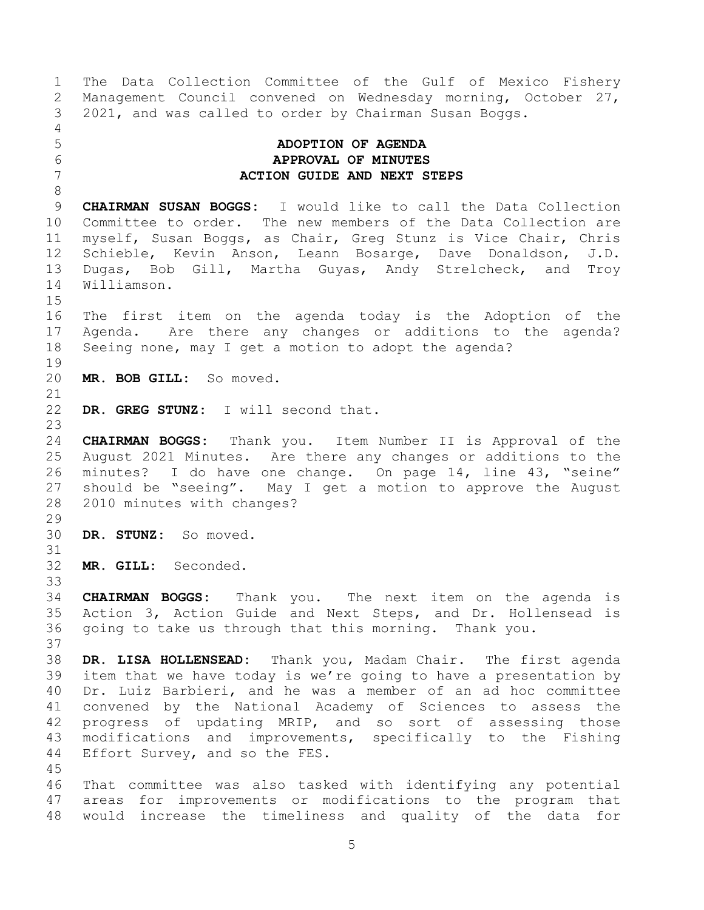<span id="page-4-0"></span>1 The Data Collection Committee of the Gulf of Mexico Fishery<br>2 Management Council convened on Wednesday morning, October 27, 2 Management Council convened on Wednesday morning, October 27,<br>3 2021, and was called to order by Chairman Susan Boggs. 3 2021, and was called to order by Chairman Susan Boggs. 4<br>5 5 **ADOPTION OF AGENDA** 6 **APPROVAL OF MINUTES** 7 **ACTION GUIDE AND NEXT STEPS** 8 9 **CHAIRMAN SUSAN BOGGS:** I would like to call the Data Collection<br>10 Committee to order. The new members of the Data Collection are 10 Committee to order. The new members of the Data Collection are<br>11 myself, Susan Boggs, as Chair, Greg Stunz is Vice Chair, Chris 11 myself, Susan Boggs, as Chair, Greg Stunz is Vice Chair, Chris<br>12 Schieble, Kevin Anson, Leann Bosarge, Dave Donaldson, J.D. 12 Schieble, Kevin Anson, Leann Bosarge, Dave Donaldson, J.D.<br>13 Dugas, Bob Gill, Martha Guvas, Andy Strelcheck, and Trov 13 Dugas, Bob Gill, Martha Guyas, Andy Strelcheck, and Troy<br>14 Williamson. Williamson.  $\frac{15}{16}$ The first item on the agenda today is the Adoption of the 17 Agenda. Are there any changes or additions to the agenda?<br>18 Seeing none, may I get a motion to adopt the agenda? Seeing none, may I get a motion to adopt the agenda? 19<br>20 MR. BOB GILL: So moved. 21<br>22 DR. GREG STUNZ: I will second that.  $\frac{23}{24}$ 24 **CHAIRMAN BOGGS:** Thank you. Item Number II is Approval of the 25 August 2021 Minutes. Are there any changes or additions to the<br>26 minutes? I do have one change. On page 14, line 43, "seine" 26 minutes? I do have one change. On page 14, line 43, "seine"<br>27 should be "seeing". May I get a motion to approve the August 27 should be "seeing". May I get a motion to approve the August<br>28 2010 minutes with changes? 2010 minutes with changes?  $\frac{29}{30}$ DR. STUNZ: So moved. 31 32 **MR. GILL:** Seconded. 33<br>34 34 **CHAIRMAN BOGGS:** Thank you. The next item on the agenda is 35 Action 3, Action Guide and Next Steps, and Dr. Hollensead is<br>36 qoing to take us through that this morning. Thank you. going to take us through that this morning. Thank you. 37<br>38 38 **DR. LISA HOLLENSEAD:** Thank you, Madam Chair. The first agenda item that we have today is we're going to have a presentation by 40 Dr. Luiz Barbieri, and he was a member of an ad hoc committee 41 convened by the National Academy of Sciences to assess the<br>42 progress of updating MRIP, and so sort of assessing those 42 progress of updating MRIP, and so sort of assessing those<br>43 modifications and improvements, specifically to the Fishing 43 modifications and improvements, specifically to the Fishing<br>44 Effort Survey, and so the FES. Effort Survey, and so the FES. 45<br>46 46 That committee was also tasked with identifying any potential<br>47 areas for improvements or modifications to the program that areas for improvements or modifications to the program that 48 would increase the timeliness and quality of the data for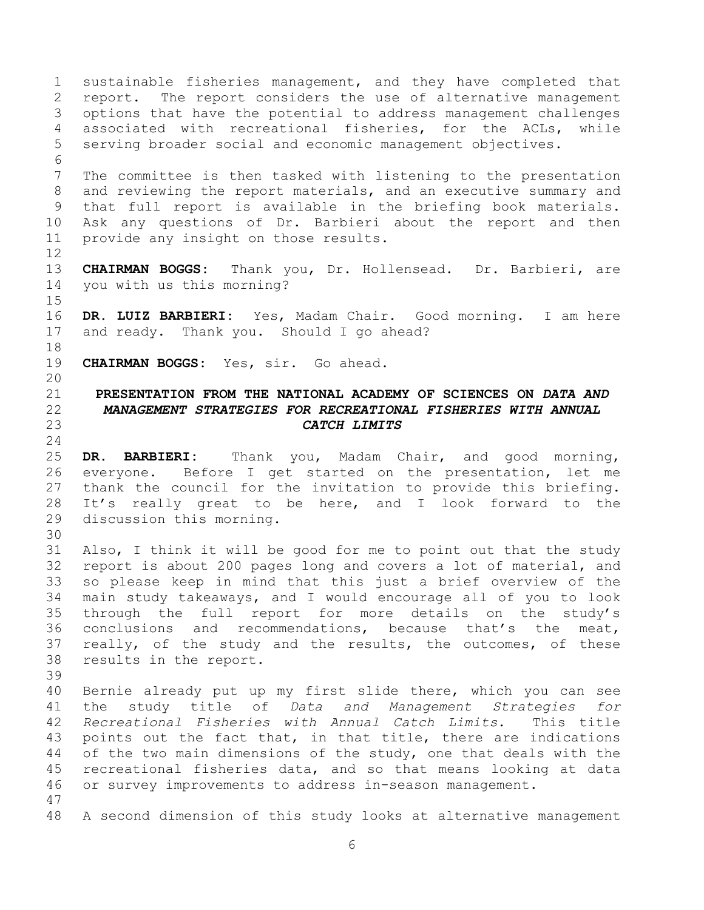<span id="page-5-0"></span>1 sustainable fisheries management, and they have completed that<br>2 report. The report considers the use of alternative management 2 report. The report considers the use of alternative management<br>3 options that have the potential to address management challenges 3 options that have the potential to address management challenges<br>4 associated with recreational fisheries, for the ACLs, while 4 associated with recreational fisheries, for the ACLs, while<br>5 serving broader social and economic management objectives. serving broader social and economic management objectives. 6<br>7 The committee is then tasked with listening to the presentation 8 and reviewing the report materials, and an executive summary and 9 that full report is available in the briefing book materials.<br>10 Ask any questions of Dr. Barbieri about the report and then 10 Ask any questions of Dr. Barbieri about the report and then<br>11 provide any insight on those results. provide any insight on those results.  $\begin{array}{c} 12 \\ 13 \end{array}$ 13 **CHAIRMAN BOGGS:** Thank you, Dr. Hollensead. Dr. Barbieri, are you with us this morning?  $\frac{15}{16}$ DR. LUIZ BARBIERI: Yes, Madam Chair. Good morning. I am here 17 and ready. Thank you. Should I go ahead? 18<br>19 CHAIRMAN BOGGS: Yes, sir. Go ahead. 20<br>21 21 **PRESENTATION FROM THE NATIONAL ACADEMY OF SCIENCES ON** *DATA AND*  22 *MANAGEMENT STRATEGIES FOR RECREATIONAL FISHERIES WITH ANNUAL*  23 *CATCH LIMITS*  $\frac{24}{25}$ 25 **DR. BARBIERI:** Thank you, Madam Chair, and good morning, 26 everyone. Before I get started on the presentation, let me<br>27 thank the council for the invitation to provide this briefing. 27 thank the council for the invitation to provide this briefing.<br>28 It's really great to be here, and I look forward to the 28 It's really great to be here, and I look forward to the<br>29 discussion this morning. discussion this morning. 30<br>31 Also, I think it will be good for me to point out that the study 32 report is about 200 pages long and covers a lot of material, and<br>33 so please keep in mind that this just a brief overview of the 33 so please keep in mind that this just a brief overview of the<br>34 main study takeaways, and I would encourage all of you to look 34 main study takeaways, and I would encourage all of you to look<br>35 through the full report for more details on the study's 35 through the full report for more details on the study's<br>36 conclusions and recommendations, because that's the meat, 36 conclusions and recommendations, because that's the meat,<br>37 really, of the study and the results, the outcomes, of these 37 really, of the study and the results, the outcomes, of these<br>38 results in the report. results in the report. 39 40 Bernie already put up my first slide there, which you can see 41 the study title of *Data and Management Strategies for*  42 *Recreational Fisheries with Annual Catch Limits*.<br>43 points out the fact that, in that title, there ar 43 points out the fact that, in that title, there are indications<br>44 of the two main dimensions of the study, one that deals with the 44 of the two main dimensions of the study, one that deals with the<br>45 recreational fisheries data, and so that means looking at data 45 recreational fisheries data, and so that means looking at data<br>46 or survey improvements to address in-season management. or survey improvements to address in-season management. 47 48 A second dimension of this study looks at alternative management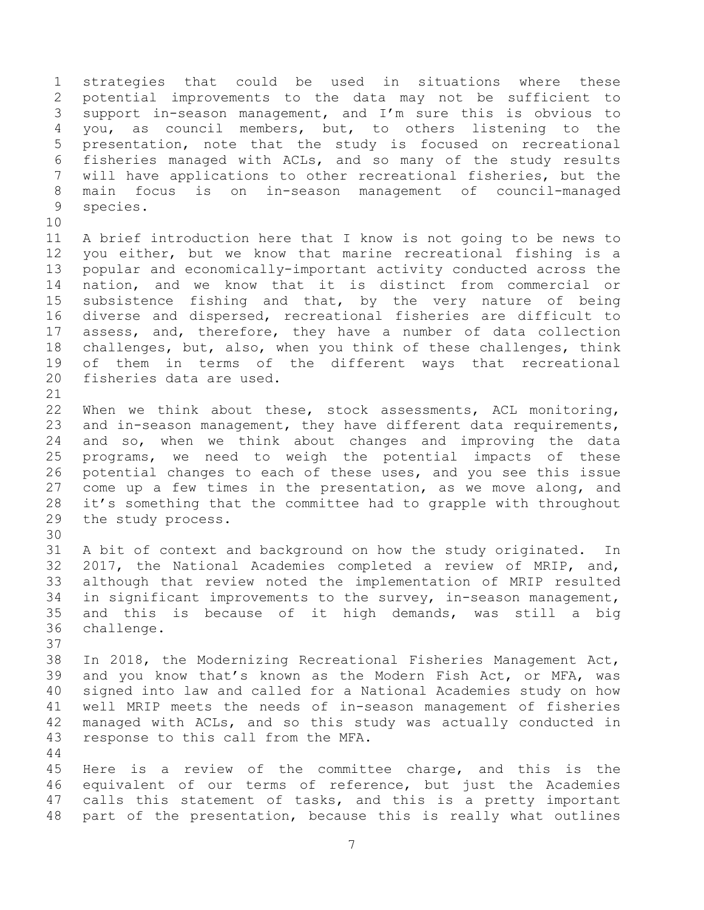1 strategies that could be used in situations where these<br>2 potential improvements to the data may not be sufficient to 2 potential improvements to the data may not be sufficient to<br>3 support in-season management, and I'm sure this is obvious to 3 support in-season management, and I'm sure this is obvious to<br>4 vou, as council members, but, to others listening to the 4 you, as council members, but, to others listening to the<br>5 presentation, note that the study is focused on recreational presentation, note that the study is focused on recreational 6 fisheries managed with ACLs, and so many of the study results<br>7 will have applications to other recreational fisheries, but the will have applications to other recreational fisheries, but the 8 main focus is on in-season management of council-managed 9 species.

10<br>11 11 A brief introduction here that I know is not going to be news to<br>12 you either, but we know that marine recreational fishing is a 12 you either, but we know that marine recreational fishing is a<br>13 popular and economically-important activity conducted across the 13 popular and economically-important activity conducted across the<br>14 nation, and we know that it is distinct from commercial or 14 nation, and we know that it is distinct from commercial or<br>15 subsistence fishing and that, by the very nature of being 15 subsistence fishing and that, by the very nature of being<br>16 diverse and dispersed, recreational fisheries are difficult to diverse and dispersed, recreational fisheries are difficult to 17 assess, and, therefore, they have a number of data collection<br>18 challenges, but, also, when you think of these challenges, think 18 challenges, but, also, when you think of these challenges, think<br>19 of them in terms of the different wavs that recreational 19 of them in terms of the different ways that recreational<br>20 fisheries data are used. fisheries data are used.

 $\frac{21}{22}$ 22 When we think about these, stock assessments, ACL monitoring,<br>23 and in-season management, they have different data requirements, 23 and in-season management, they have different data requirements,<br>24 and so, when we think about changes and improving the data 24 and so, when we think about changes and improving the data<br>25 programs, we need to weigh the potential impacts of these 25 programs, we need to weigh the potential impacts of these<br>26 potential changes to each of these uses, and you see this issue 26 potential changes to each of these uses, and you see this issue<br>27 come up a few times in the presentation, as we move along, and 27 come up a few times in the presentation, as we move along, and<br>28 it's something that the committee had to grapple with throughout 28 it's something that the committee had to grapple with throughout<br>29 the study process. the study process.

30<br>31 A bit of context and background on how the study originated. In 32 2017, the National Academies completed a review of MRIP, and,<br>33 although that review noted the implementation of MRIP resulted 33 although that review noted the implementation of MRIP resulted<br>34 in significant improvements to the survey, in-season management, 34 in significant improvements to the survey, in-season management,<br>35 and this is because of it high demands, was still a big 35 and this is because of it high demands, was still a big<br>36 challenge. challenge.

37<br>38 38 In 2018, the Modernizing Recreational Fisheries Management Act,<br>39 and you know that's known as the Modern Fish Act, or MFA, was and you know that's known as the Modern Fish Act, or MFA, was 40 signed into law and called for a National Academies study on how 41 well MRIP meets the needs of in-season management of fisheries 42 managed with ACLs, and so this study was actually conducted in<br>43 response to this call from the MFA. response to this call from the MFA.

 $\begin{array}{c} 44 \\ 45 \end{array}$ 45 Here is a review of the committee charge, and this is the<br>46 equivalent of our terms of reference, but just the Academies 46 equivalent of our terms of reference, but just the Academies<br>47 calls this statement of tasks, and this is a pretty important calls this statement of tasks, and this is a pretty important 48 part of the presentation, because this is really what outlines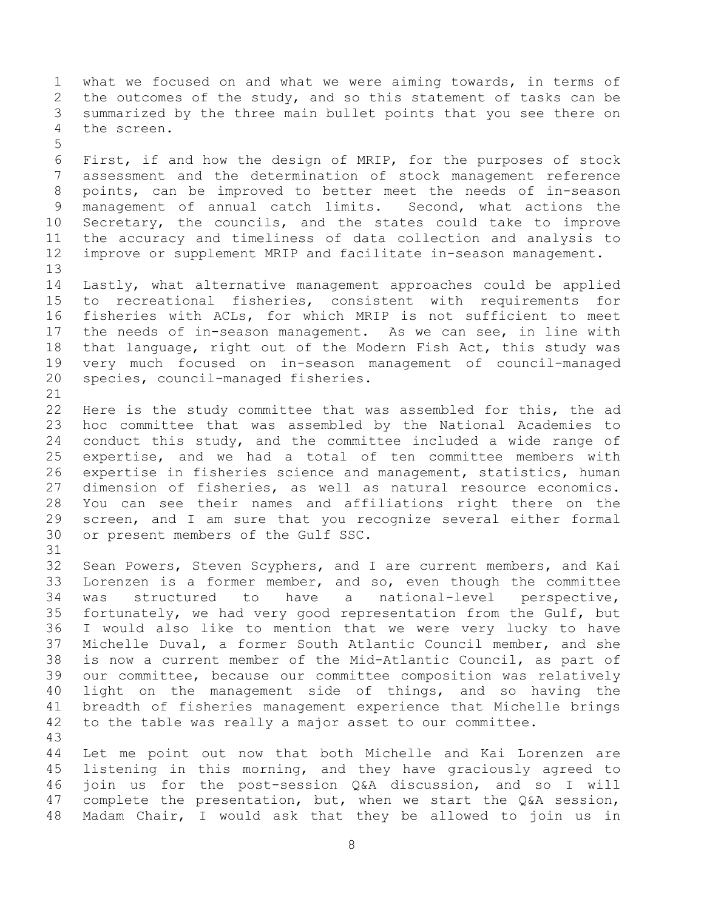1 what we focused on and what we were aiming towards, in terms of<br>2 the outcomes of the study, and so this statement of tasks can be 2 the outcomes of the study, and so this statement of tasks can be<br>3 summarized by the three main bullet points that you see there on 3 summarized by the three main bullet points that you see there on<br>4 the screen. the screen.

5 6 First, if and how the design of MRIP, for the purposes of stock<br>7 assessment and the determination of stock management reference assessment and the determination of stock management reference 8 points, can be improved to better meet the needs of in-season 9 management of annual catch limits. Second, what actions the<br>10 Secretary, the councils, and the states could take to improve 10 Secretary, the councils, and the states could take to improve<br>11 the accuracy and timeliness of data collection and analysis to 11 the accuracy and timeliness of data collection and analysis to<br>12 improve or supplement MRIP and facilitate in-season management. improve or supplement MRIP and facilitate in-season management.

13<br>14 14 Lastly, what alternative management approaches could be applied 15 to recreational fisheries, consistent with requirements for<br>16 fisheries with ACLs, for which MRIP is not sufficient to meet fisheries with ACLs, for which MRIP is not sufficient to meet 17 the needs of in-season management. As we can see, in line with<br>18 that language, right out of the Modern Fish Act, this study was 18 that language, right out of the Modern Fish Act, this study was<br>19 verv much focused on in-season management of council-managed 19 very much focused on in-season management of council-managed<br>20 species, council-managed fisheries. species, council-managed fisheries.

 $\begin{array}{c} 21 \\ 22 \end{array}$ 22 Here is the study committee that was assembled for this, the ad<br>23 hoc committee that was assembled by the National Academies to 23 hoc committee that was assembled by the National Academies to<br>24 conduct this study, and the committee included a wide range of 24 conduct this study, and the committee included a wide range of<br>25 expertise, and we had a total of ten committee members with 25 expertise, and we had a total of ten committee members with<br>26 expertise in fisheries science and management, statistics, human 26 expertise in fisheries science and management, statistics, human<br>27 dimension of fisheries, as well as natural resource economics. 27 dimension of fisheries, as well as natural resource economics.<br>28 You can see their names and affiliations right there on the 28 You can see their names and affiliations right there on the<br>29 screen, and I am sure that you recognize several either formal 29 screen, and I am sure that you recognize several either formal<br>30 or present members of the Gulf SSC. or present members of the Gulf SSC.

31

32 Sean Powers, Steven Scyphers, and I are current members, and Kai<br>33 Iorenzen is a former member, and so, even though the committee 33 Lorenzen is a former member, and so, even though the committee<br>34 was structured to have a national-level perspective, 34 was structured to have a national-level perspective,<br>35 fortunately, we had very good representation from the Gulf, but 35 fortunately, we had very good representation from the Gulf, but<br>36 I would also like to mention that we were very lucky to have 36 I would also like to mention that we were very lucky to have<br>37 Michelle Duval, a former South Atlantic Council member, and she 37 Michelle Duval, a former South Atlantic Council member, and she<br>38 is now a current member of the Mid-Atlantic Council, as part of 38 is now a current member of the Mid-Atlantic Council, as part of<br>39 our committee, because our committee composition was relatively our committee, because our committee composition was relatively 40 light on the management side of things, and so having the 41 breadth of fisheries management experience that Michelle brings<br>42 to the table was really a major asset to our committee. to the table was really a major asset to our committee.

43 44 Let me point out now that both Michelle and Kai Lorenzen are<br>45 listening in this morning, and they have graciously agreed to 45 listening in this morning, and they have graciously agreed to<br>46 join us for the post-session O&A discussion, and so I will 46 join us for the post-session Q&A discussion, and so I will<br>47 complete the presentation, but, when we start the O&A session, complete the presentation, but, when we start the Q&A session, 48 Madam Chair, I would ask that they be allowed to join us in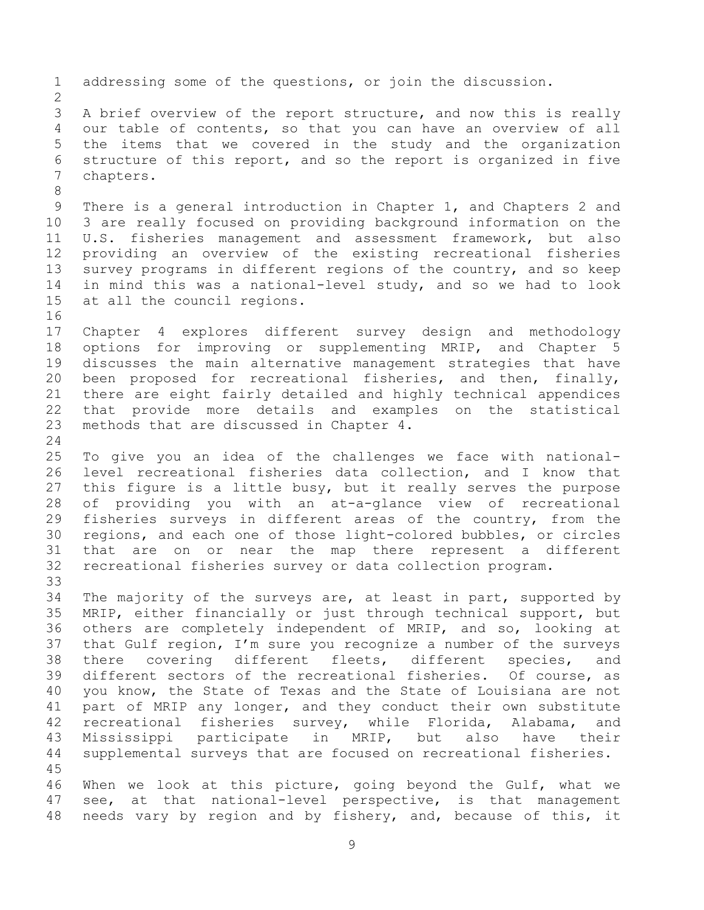1 addressing some of the questions, or join the discussion.  $\frac{2}{3}$ 3 A brief overview of the report structure, and now this is really<br>4 our table of contents, so that you can have an overview of all 4 our table of contents, so that you can have an overview of all<br>5 the items that we covered in the study and the organization 5 the items that we covered in the study and the organization<br>6 structure of this report, and so the report is organized in five 6 structure of this report, and so the report is organized in five chapters. 8 9 There is a general introduction in Chapter 1, and Chapters 2 and<br>10 3 are really focused on providing background information on the 10 3 are really focused on providing background information on the<br>11 U.S. fisheries management and assessment framework, but also 11 U.S. fisheries management and assessment framework, but also<br>12 providing an overview of the existing recreational fisheries 12 providing an overview of the existing recreational fisheries<br>13 survey programs in different regions of the country, and so keep 13 survey programs in different regions of the country, and so keep<br>14 in mind this was a national-level study, and so we had to look 14 in mind this was a national-level study, and so we had to look<br>15 at all the council regions. at all the council regions. 16<br>17 17 Chapter 4 explores different survey design and methodology<br>18 options for improving or supplementing MRIP, and Chapter 5 18 options for improving or supplementing MRIP, and Chapter 5<br>19 discusses the main alternative management strategies that have 19 discusses the main alternative management strategies that have<br>20 been proposed for recreational fisheries, and then, finally, 20 been proposed for recreational fisheries, and then, finally,<br>21 there are eight fairly detailed and highly technical appendices 21 there are eight fairly detailed and highly technical appendices<br>22 that provide more details and examples on the statistical 22 that provide more details and examples on the statistical<br>23 methods that are discussed in Chapter 4. methods that are discussed in Chapter 4.  $\frac{24}{25}$ 25 To give you an idea of the challenges we face with national-<br>26 level recreational fisheries data collection, and I know that 26 level recreational fisheries data collection, and I know that<br>27 this fiqure is a little busy, but it really serves the purpose 27 this figure is a little busy, but it really serves the purpose<br>28 of providing you with an at-a-glance view of recreational 28 of providing you with an at-a-glance view of recreational<br>29 fisheries surveys in different areas of the country, from the 29 fisheries surveys in different areas of the country, from the<br>30 regions, and each one of those light-colored bubbles, or circles 30 regions, and each one of those light-colored bubbles, or circles<br>31 that are on or near the map there represent a different 31 that are on or near the map there represent a different<br>32 recreational fisheries survey or data collection program. recreational fisheries survey or data collection program. 33<br>34 34 The majority of the surveys are, at least in part, supported by<br>35 MRIP, either financially or just through technical support, but 35 MRIP, either financially or just through technical support, but<br>36 others are completely independent of MRIP, and so, looking at 36 others are completely independent of MRIP, and so, looking at<br>37 that Gulf region, I'm sure you recognize a number of the surveys 37 that Gulf region, I'm sure you recognize a number of the surveys<br>38 there covering different fleets, different species, and 38 there covering different fleets, different species, and<br>39 different sectors of the recreational fisheries. Of course, as different sectors of the recreational fisheries. 40 you know, the State of Texas and the State of Louisiana are not 41 part of MRIP any longer, and they conduct their own substitute<br>42 recreational fisheries survey, while Florida, Alabama, and 42 recreational fisheries survey, while Florida, Alabama, and<br>43 Mississippi participate in MRIP, but also have their 43 Mississippi participate in MRIP,<br>44 supplemental surveys that are focused o supplemental surveys that are focused on recreational fisheries. 45 46 When we look at this picture, going beyond the Gulf, what we<br>47 see, at that national-level perspective, is that management see, at that national-level perspective, is that management 48 needs vary by region and by fishery, and, because of this, it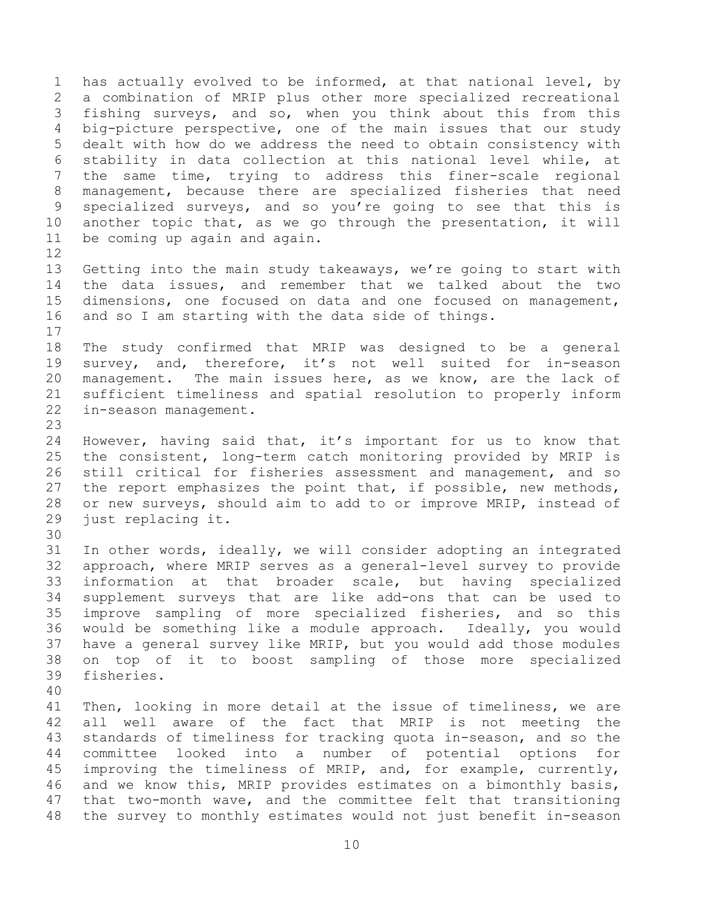1 has actually evolved to be informed, at that national level, by<br>2 a combination of MRIP plus other more specialized recreational 2 a combination of MRIP plus other more specialized recreational<br>3 fishing surveys, and so, when you think about this from this 3 fishing surveys, and so, when you think about this from this<br>4 big-picture perspective, one of the main issues that our study 4 big-picture perspective, one of the main issues that our study<br>5 dealt with how do we address the need to obtain consistency with 5 dealt with how do we address the need to obtain consistency with<br>6 stability in data collection at this national level while, at 6 stability in data collection at this national level while, at<br>7 the same time, trying to address this finer-scale regional the same time, trying to address this finer-scale regional 8 management, because there are specialized fisheries that need 9 specialized surveys, and so you're going to see that this is<br>10 another topic that, as we go through the presentation, it will 10 another topic that, as we go through the presentation, it will<br>11 be coming up again and again. be coming up again and again.

 $\begin{array}{c} 12 \\ 13 \end{array}$ 13 Getting into the main study takeaways, we're going to start with<br>14 the data issues, and remember that we talked about the two 14 the data issues, and remember that we talked about the two<br>15 dimensions, one focused on data and one focused on management, 15 dimensions, one focused on data and one focused on management,<br>16 and so I am starting with the data side of things. and so I am starting with the data side of things.

 $\begin{array}{c} 17 \\ 18 \end{array}$ 18 The study confirmed that MRIP was designed to be a general<br>19 survey, and, therefore, it's not well suited for in-season 19 survey, and, therefore, it's not well suited for in-season<br>20 management. The main issues here, as we know, are the lack of 20 management. The main issues here, as we know, are the lack of<br>21 sufficient timeliness and spatial resolution to properly inform 21 sufficient timeliness and spatial resolution to properly inform<br>22 in-season management. in-season management.

 $\frac{23}{24}$ 24 However, having said that, it's important for us to know that<br>25 the consistent, long-term catch monitoring provided by MRIP is 25 the consistent, long-term catch monitoring provided by MRIP is<br>26 still critical for fisheries assessment and management, and so 26 still critical for fisheries assessment and management, and so<br>27 the report emphasizes the point that, if possible, new methods, 27 the report emphasizes the point that, if possible, new methods,<br>28 or new surveys, should aim to add to or improve MRIP, instead of 28 or new surveys, should aim to add to or improve MRIP, instead of 29 just replacing it. just replacing it.

30<br>31 In other words, ideally, we will consider adopting an integrated 32 approach, where MRIP serves as a general-level survey to provide<br>33 information at that broader scale, but having specialized 33 information at that broader scale, but having specialized<br>34 supplement survevs that are like add-ons that can be used to 34 supplement surveys that are like add-ons that can be used to<br>35 improve sampling of more specialized fisheries, and so this 35 improve sampling of more specialized fisheries, and so this<br>36 would be something like a module approach. Ideally, you would 36 would be something like a module approach. Ideally, you would 37 have a general survey like MRIP, but you would add those modules<br>38 on top of it to boost sampling of those more specialized 38 on top of it to boost sampling of those more specialized fisheries.

40

41 Then, looking in more detail at the issue of timeliness, we are<br>42 all well aware of the fact that MRIP is not meeting the 42 all well aware of the fact that MRIP is not meeting the<br>43 standards of timeliness for tracking quota in-season, and so the 43 standards of timeliness for tracking quota in-season, and so the<br>44 committee looked into a number of potential options for 44 committee looked into a number of potential options<br>45 improving the timeliness of MRIP, and, for example, current 45 improving the timeliness of MRIP, and, for example, currently,<br>46 and we know this, MRIP provides estimates on a bimonthly basis, 46 and we know this, MRIP provides estimates on a bimonthly basis,<br>47 that two-month wave, and the committee felt that transitioning that two-month wave, and the committee felt that transitioning 48 the survey to monthly estimates would not just benefit in-season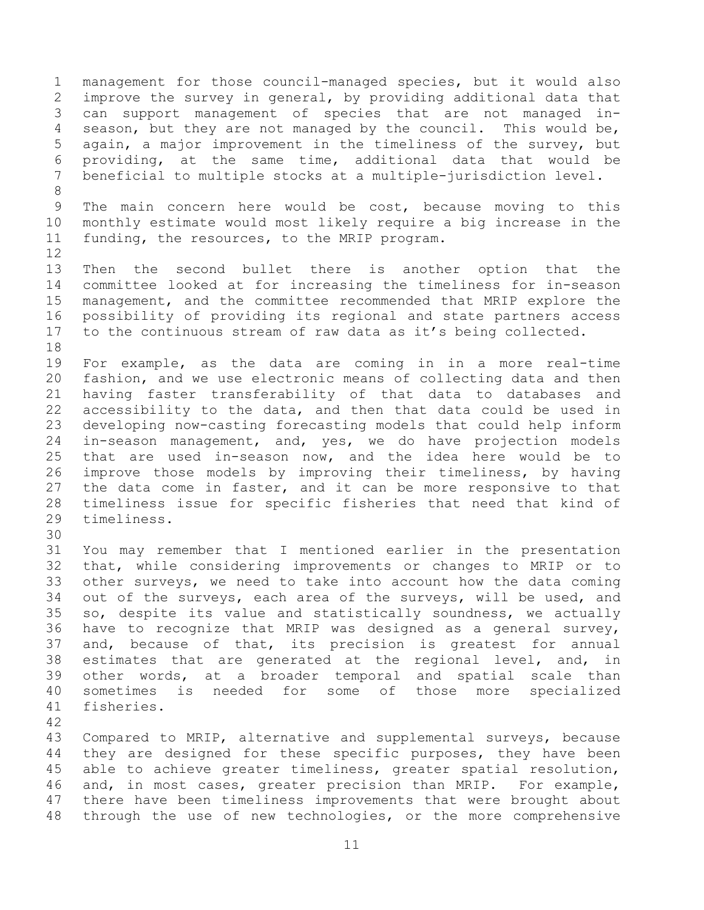1 management for those council-managed species, but it would also<br>2 improve the survey in general, by providing additional data that 2 improve the survey in general, by providing additional data that<br>3 can support management of species that are not managed in-3 can support management of species that are not managed in-<br>4 season, but they are not managed by the council. This would be, 4 season, but they are not managed by the council. This would be,<br>5 again, a major improvement in the timeliness of the survey, but 5 again, a major improvement in the timeliness of the survey, but 6 providing, at the same time, additional data that would be<br>7 beneficial to multiple stocks at a multiple-jurisdiction level. beneficial to multiple stocks at a multiple-jurisdiction level. 8 9 The main concern here would be cost, because moving to this<br>10 monthly estimate would most likely require a big increase in the 10 monthly estimate would most likely require a big increase in the<br>11 funding, the resources, to the MRIP program. funding, the resources, to the MRIP program.  $\begin{array}{c} 12 \\ 13 \end{array}$ 13 Then the second bullet there is another option that the<br>14 committee looked at for increasing the timeliness for in-season 14 committee looked at for increasing the timeliness for in-season<br>15 management, and the committee recommended that MRIP explore the 15 management, and the committee recommended that MRIP explore the<br>16 possibility of providing its regional and state partners access 16 possibility of providing its regional and state partners access<br>17 to the continuous stream of raw data as it's being collected. to the continuous stream of raw data as it's being collected. 18<br>19 19 For example, as the data are coming in in a more real-time<br>20 fashion, and we use electronic means of collecting data and then 20 fashion, and we use electronic means of collecting data and then<br>21 having faster transferability of that data to databases and 21 having faster transferability of that data to databases and<br>22 accessibility to the data, and then that data could be used in 22 accessibility to the data, and then that data could be used in<br>23 developing now-casting forecasting models that could help inform 23 developing now-casting forecasting models that could help inform<br>24 in-season management, and, ves, we do have projection models 24 in-season management, and, yes, we do have projection models<br>25 that are used in-season now, and the idea here would be to 25 that are used in-season now, and the idea here would be to<br>26 improve those models by improving their timeliness, by having 26 improve those models by improving their timeliness, by having<br>27 the data come in faster, and it can be more responsive to that 27 the data come in faster, and it can be more responsive to that<br>28 timeliness issue for specific fisheries that need that kind of 28 timeliness issue for specific fisheries that need that kind of timeliness. 30<br>31 You may remember that I mentioned earlier in the presentation 32 that, while considering improvements or changes to MRIP or to<br>33 other surveys, we need to take into account how the data coming 33 other surveys, we need to take into account how the data coming<br>34 out of the surveys, each area of the surveys, will be used, and 34 out of the surveys, each area of the surveys, will be used, and<br>35 so, despite its value and statistically soundness, we actually 35 so, despite its value and statistically soundness, we actually<br>36 have to recognize that MRIP was designed as a general survey, 36 have to recognize that MRIP was designed as a general survey,<br>37 and, because of that, its precision is greatest for annual 37 and, because of that, its precision is greatest for annual<br>38 estimates that are generated at the regional level, and, in 38 estimates that are generated at the regional level, and, in<br>39 other words, at a broader temporal and spatial scale than other words, at a broader temporal and spatial scale than 40 sometimes is needed for some of those more specialized 41 fisheries. 42 43 Compared to MRIP, alternative and supplemental surveys, because<br>44 they are designed for these specific purposes, they have been 44 they are designed for these specific purposes, they have been<br>45 able to achieve greater timeliness, greater spatial resolution, 45 able to achieve greater timeliness, greater spatial resolution,<br>46 and, in most cases, greater precision than MRIP. For example, 46 and, in most cases, greater precision than MRIP. For example,<br>47 there have been timeliness improvements that were brought about

11

there have been timeliness improvements that were brought about

48 through the use of new technologies, or the more comprehensive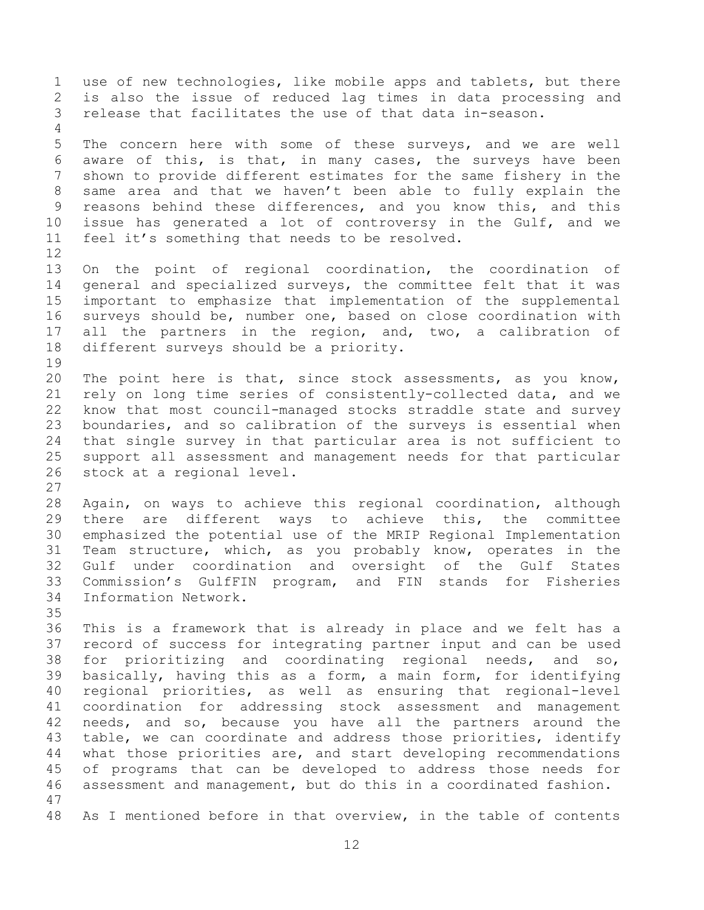1 use of new technologies, like mobile apps and tablets, but there<br>2 is also the issue of reduced lag times in data processing and 2 is also the issue of reduced lag times in data processing and<br>3 release that facilitates the use of that data in-season. release that facilitates the use of that data in-season.  $\frac{4}{5}$ 5 The concern here with some of these surveys, and we are well<br>6 aware of this, is that, in many cases, the surveys have been 6 aware of this, is that, in many cases, the surveys have been<br>7 shown to provide different estimates for the same fishery in the shown to provide different estimates for the same fishery in the 8 same area and that we haven't been able to fully explain the 9 reasons behind these differences, and you know this, and this<br>10 issue has generated a lot of controversy in the Gulf, and we 10 issue has generated a lot of controversy in the Gulf, and we<br>11 feel it's something that needs to be resolved. feel it's something that needs to be resolved. 12<br>13 13 On the point of regional coordination, the coordination of<br>14 general and specialized surveys, the committee felt that it was 14 general and specialized surveys, the committee felt that it was<br>15 important to emphasize that implementation of the supplemental 15 important to emphasize that implementation of the supplemental<br>16 surveys should be, number one, based on close coordination with surveys should be, number one, based on close coordination with 17 all the partners in the region, and, two, a calibration of<br>18 different surveys should be a priority. different surveys should be a priority. 19<br>20 20 The point here is that, since stock assessments, as you know,<br>21 rely on long time series of consistently-collected data, and we 21 rely on long time series of consistently-collected data, and we<br>22 know that most council-managed stocks straddle state and survey 22 know that most council-managed stocks straddle state and survey<br>23 boundaries, and so calibration of the surveys is essential when 23 boundaries, and so calibration of the surveys is essential when<br>24 that single survey in that particular area is not sufficient to 24 that single survey in that particular area is not sufficient to<br>25 support all assessment and management needs for that particular 25 support all assessment and management needs for that particular<br>26 stock at a regional level. stock at a regional level.  $\frac{27}{28}$ 28 Again, on ways to achieve this regional coordination, although<br>29 there are different ways to achieve this, the committee 29 there are different ways to achieve this, the committee<br>30 emphasized the potential use of the MRIP Regional Implementation 30 emphasized the potential use of the MRIP Regional Implementation<br>31 Team structure, which, as you probably know, operates in the Team structure, which, as you probably know, operates in the 32 Gulf under coordination and oversight of the Gulf States<br>33 Commission's GulfFIN program, and FIN stands for Fisheries 33 Commission's GulfFIN program, and FIN stands for Fisheries<br>34 Information Network. Information Network. 35<br>36 36 This is a framework that is already in place and we felt has a<br>37 record of success for integrating partner input and can be used 37 record of success for integrating partner input and can be used<br>38 for prioritizing and coordinating regional needs, and so, 38 for prioritizing and coordinating regional needs, and so,<br>39 basically, having this as a form, a main form, for identifying basically, having this as a form, a main form, for identifying 40 regional priorities, as well as ensuring that regional-level 41 coordination for addressing stock assessment and management<br>42 needs, and so, because vou have all the partners around the 42 needs, and so, because you have all the partners around the<br>43 table, we can coordinate and address those priorities, identify 43 table, we can coordinate and address those priorities, identify<br>44 what those priorities are, and start developing recommendations 44 what those priorities are, and start developing recommendations<br>45 of programs that can be developed to address those needs for 45 of programs that can be developed to address those needs for<br>46 assessment and management, but do this in a coordinated fashion. assessment and management, but do this in a coordinated fashion. 47 48 As I mentioned before in that overview, in the table of contents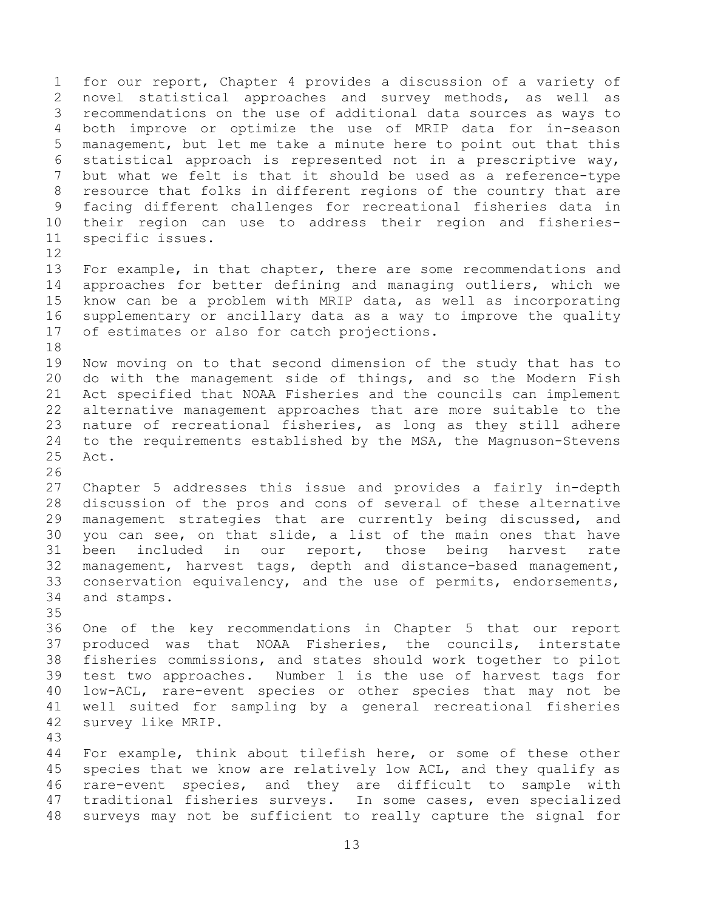1 for our report, Chapter 4 provides a discussion of a variety of<br>2 novel statistical approaches and survey methods, as well as 2 novel statistical approaches and survey methods, as well as<br>3 recommendations on the use of additional data sources as ways to 3 recommendations on the use of additional data sources as ways to<br>4 both improve or optimize the use of MRIP data for in-season 4 both improve or optimize the use of MRIP data for in-season<br>5 management, but let me take a minute here to point out that this 5 management, but let me take a minute here to point out that this<br>6 statistical approach is represented not in a prescriptive wav. 6 statistical approach is represented not in a prescriptive way, but what we felt is that it should be used as a reference-type 8 resource that folks in different regions of the country that are 9 facing different challenges for recreational fisheries data in<br>10 their region can use to address their region and fisheries-10 their region can use to address their region and fisheries-<br>11 specific issues. specific issues.

12<br>13 13 For example, in that chapter, there are some recommendations and<br>14 approaches for better defining and managing outliers, which we 14 approaches for better defining and managing outliers, which we<br>15 know can be a problem with MRIP data, as well as incorporating 15 know can be a problem with MRIP data, as well as incorporating<br>16 supplementary or ancillary data as a way to improve the quality supplementary or ancillary data as a way to improve the quality 17 of estimates or also for catch projections.

18<br>19 19 Now moving on to that second dimension of the study that has to<br>20 do with the management side of things, and so the Modern Fish 20 do with the management side of things, and so the Modern Fish<br>21 Act specified that NOAA Fisheries and the councils can implement 21 Act specified that NOAA Fisheries and the councils can implement<br>22 alternative management approaches that are more suitable to the 22 alternative management approaches that are more suitable to the<br>23 nature of recreational fisheries, as long as they still adhere 23 nature of recreational fisheries, as long as they still adhere<br>24 to the requirements established by the MSA, the Magnuson-Stevens 24 to the requirements established by the MSA, the Magnuson-Stevens<br>25 Act. Act.

 $\frac{26}{27}$ 27 Chapter 5 addresses this issue and provides a fairly in-depth<br>28 discussion of the pros and cons of several of these alternative 28 discussion of the pros and cons of several of these alternative<br>29 management strategies that are currently being discussed, and 29 management strategies that are currently being discussed, and<br>30 you can see, on that slide, a list of the main ones that have 30 you can see, on that slide, a list of the main ones that have<br>31 been included in our report, those being harvest rate included in our report, those being harvest rate 32 management, harvest tags, depth and distance-based management,<br>33 conservation equivalency, and the use of permits, endorsements, 33 conservation equivalency, and the use of permits, endorsements,<br>34 and stamps. and stamps.

35<br>36 36 One of the key recommendations in Chapter 5 that our report<br>37 produced was that NOAA Fisheries, the councils, interstate 37 produced was that NOAA Fisheries, the councils, interstate<br>38 fisheries commissions, and states should work together to pilot 38 fisheries commissions, and states should work together to pilot<br>39 test two approaches. Number 1 is the use of harvest tags for test two approaches. Number 1 is the use of harvest tags for 40 low-ACL, rare-event species or other species that may not be 41 well suited for sampling by a general recreational fisheries<br>42 survev like MRIP. survey like MRIP.

43 44 For example, think about tilefish here, or some of these other<br>45 species that we know are relatively low ACL, and they qualify as 45 species that we know are relatively low ACL, and they qualify as<br>46 rare-event species, and they are difficult to sample with 46 rare-event species, and they are difficult to sample with<br>47 traditional fisheries surveys. In some cases, even specialized traditional fisheries surveys. In some cases, even specialized 48 surveys may not be sufficient to really capture the signal for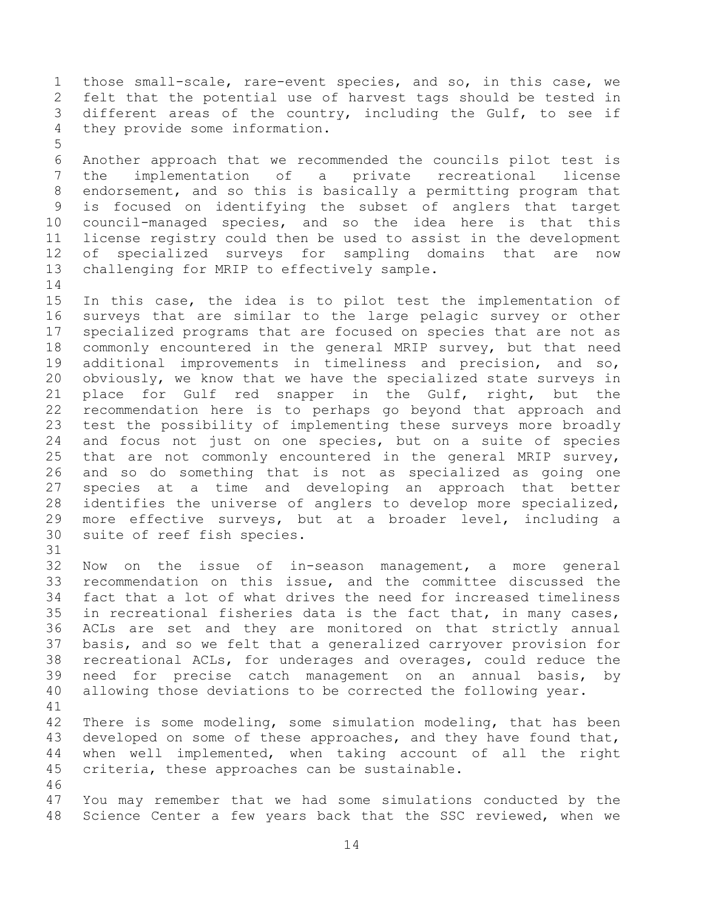1 those small-scale, rare-event species, and so, in this case, we<br>2 felt that the potential use of harvest tags should be tested in 2 felt that the potential use of harvest tags should be tested in<br>3 different areas of the country, including the Gulf, to see if 3 different areas of the country, including the Gulf, to see if<br>4 they provide some information. they provide some information.

5 6 Another approach that we recommended the councils pilot test is<br>7 the implementation of a private recreational license 7 the implementation of a private recreational license 8 endorsement, and so this is basically a permitting program that 9 is focused on identifying the subset of anglers that target<br>10 council-managed species, and so the idea here is that this 10 council-managed species, and so the idea here is that this<br>11 license registry could then be used to assist in the development 11 license registry could then be used to assist in the development<br>12 of specialized surveys for sampling domains that are now 12 of specialized surveys for sampling domains that are now<br>13 challenging for MRIP to effectively sample. challenging for MRIP to effectively sample.

 $\begin{array}{c} 14 \\ 15 \end{array}$ 15 In this case, the idea is to pilot test the implementation of<br>16 surveys that are similar to the large pelagic survey or other surveys that are similar to the large pelagic survey or other 17 specialized programs that are focused on species that are not as<br>18 commonly encountered in the general MRIP survey, but that need 18 commonly encountered in the general MRIP survey, but that need<br>19 additional improvements in timeliness and precision, and so, 19 additional improvements in timeliness and precision, and so,<br>20 obviously, we know that we have the specialized state surveys in 20 obviously, we know that we have the specialized state surveys in<br>21 place for Gulf red snapper in the Gulf, right, but the 21 place for Gulf red snapper in the Gulf, right, but the<br>22 recommendation here is to perhaps go beyond that approach and 22 recommendation here is to perhaps go beyond that approach and<br>23 test the possibility of implementing these surveys more broadly 23 test the possibility of implementing these surveys more broadly<br>24 and focus not just on one species, but on a suite of species 24 and focus not just on one species, but on a suite of species<br>25 that are not commonly encountered in the general MRIP survey, 25 that are not commonly encountered in the general MRIP survey,<br>26 and so do something that is not as specialized as going one 26 and so do something that is not as specialized as going one<br>27 species at a time and developing an approach that better 27 species at a time and developing an approach that better<br>28 identifies the universe of anglers to develop more specialized. 28 identifies the universe of anglers to develop more specialized,<br>29 more effective surveys, but at a broader level, including a 29 more effective surveys, but at a broader level, including a<br>30 suite of reef fish species. suite of reef fish species.

32 Now on the issue of in-season management, a more general<br>33 recommendation on this issue, and the committee discussed the 33 recommendation on this issue, and the committee discussed the<br>34 fact that a lot of what drives the need for increased timeliness 34 fact that a lot of what drives the need for increased timeliness<br>35 in recreational fisheries data is the fact that, in many cases, 35 in recreational fisheries data is the fact that, in many cases,<br>36 ACLs are set and they are monitored on that strictly annual 36 ACLs are set and they are monitored on that strictly annual<br>37 basis, and so we felt that a generalized carryover provision for 37 basis, and so we felt that a generalized carryover provision for<br>38 recreational ACLs, for underages and overages, could reduce the 38 recreational ACLs, for underages and overages, could reduce the<br>39 need for precise catch management on an annual basis, by need for precise catch management on an annual basis, by 40 allowing those deviations to be corrected the following year.

31

41<br>42 42 There is some modeling, some simulation modeling, that has been<br>43 developed on some of these approaches, and they have found that, 43 developed on some of these approaches, and they have found that,<br>44 when well implemented, when taking account of all the right 44 when well implemented, when taking account of all the right<br>45 criteria, these approaches can be sustainable. criteria, these approaches can be sustainable.

46<br>47 47 You may remember that we had some simulations conducted by the 48 Science Center a few years back that the SSC reviewed, when we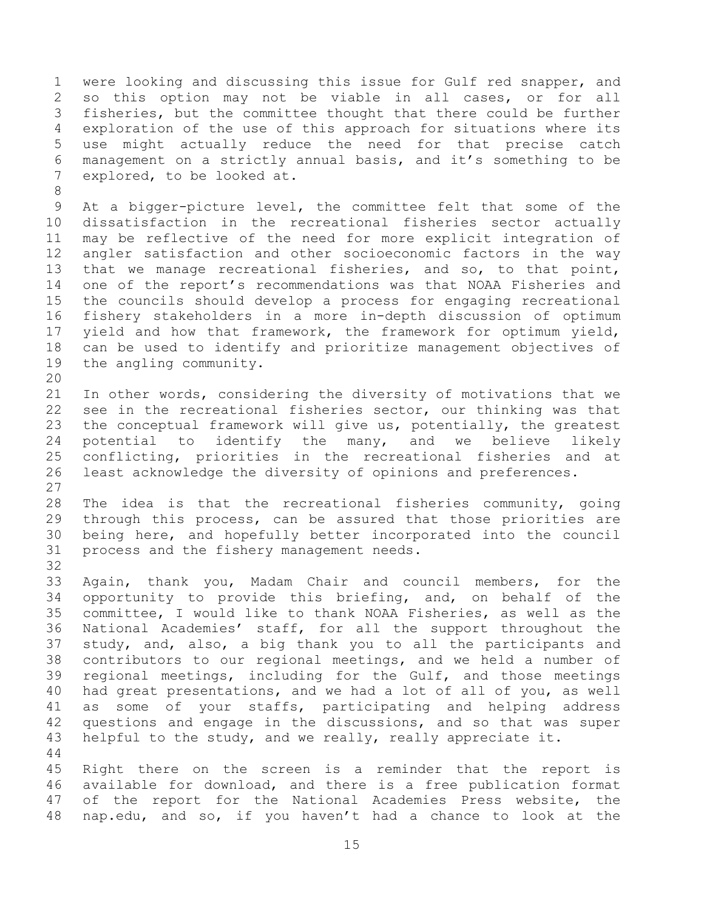1 were looking and discussing this issue for Gulf red snapper, and<br>2 so this option may not be viable in all cases, or for all 2 so this option may not be viable in all cases, or for all<br>3 fisheries, but the committee thought that there could be further 3 fisheries, but the committee thought that there could be further<br>4 exploration of the use of this approach for situations where its 4 exploration of the use of this approach for situations where its<br>5 use might actually reduce the need for that precise catch 5 use might actually reduce the need for that precise catch<br>6 management on a strictly annual basis, and it's something to be 6 management on a strictly annual basis, and it's something to be explored, to be looked at.

8

9 At a bigger-picture level, the committee felt that some of the<br>10 dissatisfaction in the recreational fisheries sector actually 10 dissatisfaction in the recreational fisheries sector actually<br>11 may be reflective of the need for more explicit integration of 11 may be reflective of the need for more explicit integration of<br>12 angler satisfaction and other socioeconomic factors in the way 12 angler satisfaction and other socioeconomic factors in the way<br>13 that we manage recreational fisheries, and so, to that point, 13 that we manage recreational fisheries, and so, to that point,<br>14 one of the report's recommendations was that NOAA Fisheries and 14 one of the report's recommendations was that NOAA Fisheries and<br>15 the councils should develop a process for engaging recreational 15 the councils should develop a process for engaging recreational<br>16 fishery stakeholders in a more in-depth discussion of optimum fishery stakeholders in a more in-depth discussion of optimum 17 yield and how that framework, the framework for optimum yield,<br>18 can be used to identify and prioritize management objectives of 18 can be used to identify and prioritize management objectives of<br>19 the angling community. the angling community.

20<br>21 21 In other words, considering the diversity of motivations that we<br>22 see in the recreational fisheries sector, our thinking was that 22 see in the recreational fisheries sector, our thinking was that<br>23 the conceptual framework will give us, potentially, the greatest 23 the conceptual framework will give us, potentially, the greatest<br>24 potential to identify the many, and we believe likely 24 potential to identify the many, and we believe likely<br>25 conflicting, priorities in the recreational fisheries and at 25 conflicting, priorities in the recreational fisheries and at<br>26 least acknowledge the diversity of opinions and preferences. least acknowledge the diversity of opinions and preferences.

 $\begin{array}{c} 27 \\ 28 \end{array}$ 28 The idea is that the recreational fisheries community, going<br>29 through this process, can be assured that those priorities are 29 through this process, can be assured that those priorities are<br>30 being here, and hopefully better incorporated into the council 30 being here, and hopefully better incorporated into the council<br>31 process and the fishery management needs. process and the fishery management needs.

32<br>33 33 Again, thank you, Madam Chair and council members, for the<br>34 opportunity to provide this briefing, and, on behalf of the 34 opportunity to provide this briefing, and, on behalf of the<br>35 committee, I would like to thank NOAA Fisheries, as well as the 35 committee, I would like to thank NOAA Fisheries, as well as the<br>36 National Academies' staff, for all the support throughout the 36 National Academies' staff, for all the support throughout the<br>37 study, and, also, a big thank you to all the participants and 37 study, and, also, a big thank you to all the participants and<br>38 contributors to our regional meetings, and we held a number of 38 contributors to our regional meetings, and we held a number of<br>39 regional meetings, including for the Gulf, and those meetings regional meetings, including for the Gulf, and those meetings 40 had great presentations, and we had a lot of all of you, as well 41 as some of your staffs, participating and helping address<br>42 questions and engage in the discussions, and so that was super 42 questions and engage in the discussions, and so that was super<br>43 helpful to the study, and we really, really appreciate it. helpful to the study, and we really, really appreciate it.

 $\begin{array}{c} 44 \\ 45 \end{array}$ 45 Right there on the screen is a reminder that the report is<br>46 available for download, and there is a free publication format 46 available for download, and there is a free publication format<br>47 of the report for the National Academies Press website, the of the report for the National Academies Press website, the 48 nap.edu, and so, if you haven't had a chance to look at the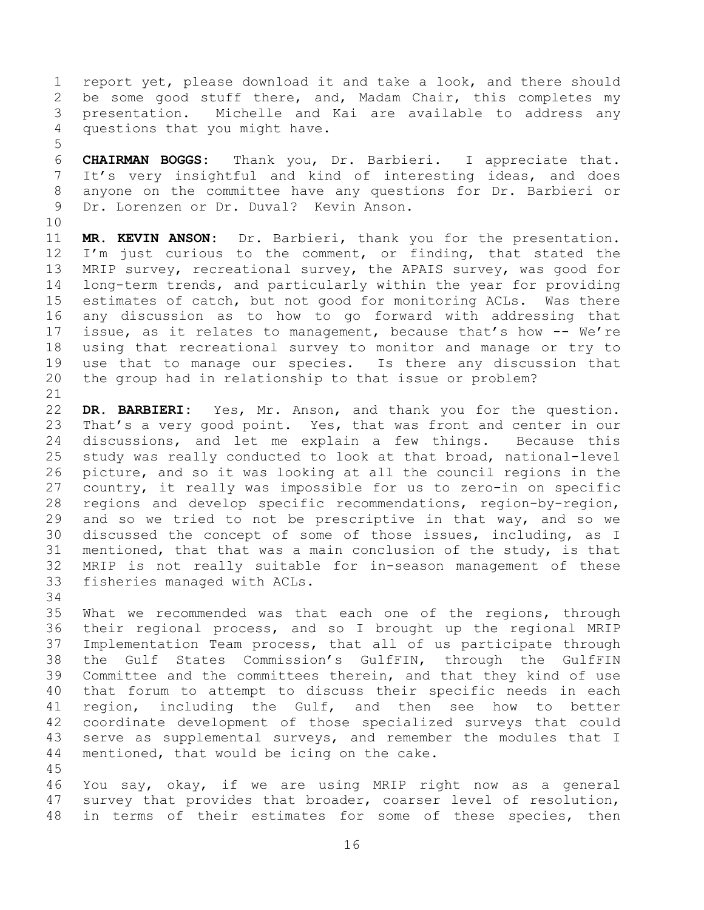1 report yet, please download it and take a look, and there should<br>2 be some good stuff there, and, Madam Chair, this completes my 2 be some good stuff there, and, Madam Chair, this completes my<br>3 presentation. Michelle and Kai are available to address any 3 presentation. Michelle and Kai are available to address any<br>4 questions that you might have. questions that you might have.

5 6 **CHAIRMAN BOGGS:** Thank you, Dr. Barbieri. I appreciate that. It's very insightful and kind of interesting ideas, and does 8 anyone on the committee have any questions for Dr. Barbieri or 9 Dr. Lorenzen or Dr. Duval? Kevin Anson.

10<br>11

11 **MR. KEVIN ANSON:** Dr. Barbieri, thank you for the presentation.<br>12 I'm just curious to the comment, or finding, that stated the 12 I'm just curious to the comment, or finding, that stated the<br>13 MRIP survey, recreational survey, the APAIS survey, was good for 13 MRIP survey, recreational survey, the APAIS survey, was good for<br>14 long-term trends, and particularly within the year for providing 14 long-term trends, and particularly within the year for providing<br>15 estimates of catch, but not good for monitoring ACLs. Was there 15 estimates of catch, but not good for monitoring ACLs. Was there<br>16 any discussion as to how to go forward with addressing that any discussion as to how to go forward with addressing that 17 issue, as it relates to management, because that's how -- We're<br>18 using that recreational survey to monitor and manage or try to 18 using that recreational survey to monitor and manage or try to<br>19 use that to manage our species. Is there any discussion that 19 use that to manage our species. Is there any discussion that<br>20 the group had in relationship to that issue or problem? the group had in relationship to that issue or problem?

21<br>22 22 **DR. BARBIERI:** Yes, Mr. Anson, and thank you for the question.<br>23 That's a very good point. Yes, that was front and center in our 23 That's a very good point. Yes, that was front and center in our<br>24 discussions, and let me explain a few things. Because this 24 discussions, and let me explain a few things. Because this<br>25 study was really conducted to look at that broad, national-level 25 study was really conducted to look at that broad, national-level<br>26 picture, and so it was looking at all the council regions in the 26 picture, and so it was looking at all the council regions in the<br>27 country, it really was impossible for us to zero-in on specific 27 country, it really was impossible for us to zero-in on specific<br>28 regions and develop specific recommendations, region-by-region, 28 regions and develop specific recommendations, region-by-region,<br>29 and so we tried to not be prescriptive in that way, and so we 29 and so we tried to not be prescriptive in that way, and so we<br>30 discussed the concept of some of those issues, including, as I 30 discussed the concept of some of those issues, including, as I<br>31 mentioned, that that was a main conclusion of the study, is that mentioned, that that was a main conclusion of the study, is that 32 MRIP is not really suitable for in-season management of these<br>33 fisheries managed with ACLs. fisheries managed with ACLs.

34<br>35

35 What we recommended was that each one of the regions, through<br>36 their regional process, and so I brought up the regional MRIP 36 their regional process, and so I brought up the regional MRIP<br>37 Implementation Team process, that all of us participate through 37 Implementation Team process, that all of us participate through<br>38 the Gulf States Commission's GulfFIN, through the GulfFIN 38 the Gulf States Commission's GulfFIN, through the GulfFIN<br>39 Committee and the committees therein, and that they kind of use Committee and the committees therein, and that they kind of use 40 that forum to attempt to discuss their specific needs in each 41 region, including the Gulf, and then see how to better<br>42 coordinate development of those specialized survevs that could 42 coordinate development of those specialized surveys that could<br>43 serve as supplemental surveys, and remember the modules that I 43 serve as supplemental surveys, and remember the modules that I<br>44 mentioned, that would be icing on the cake. mentioned, that would be icing on the cake.

45 46 You say, okay, if we are using MRIP right now as a general<br>47 survey that provides that broader, coarser level of resolution, survey that provides that broader, coarser level of resolution, 48 in terms of their estimates for some of these species, then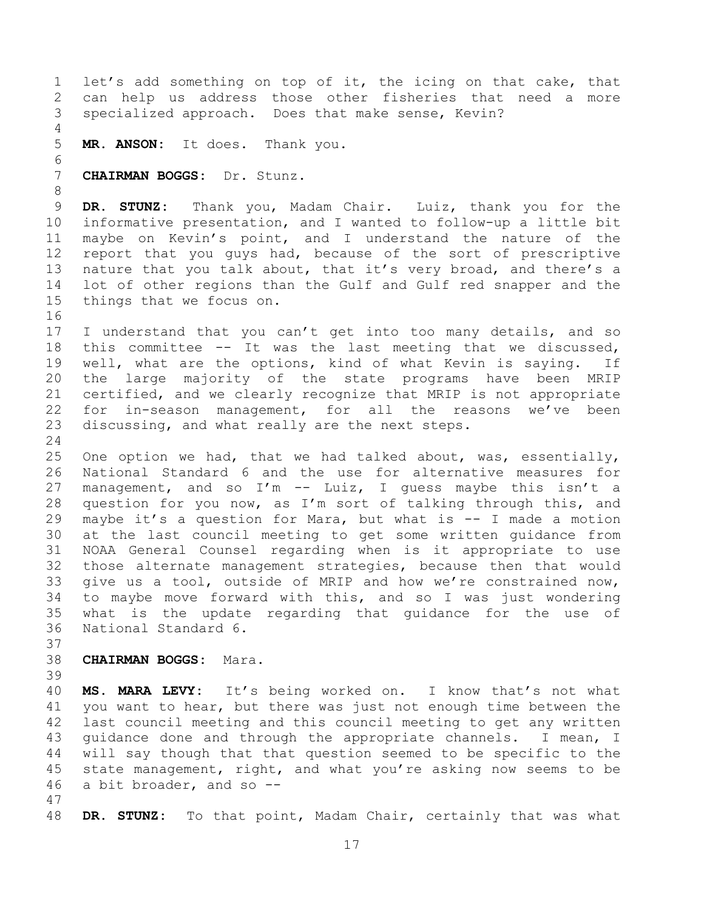1 let's add something on top of it, the icing on that cake, that<br>2 can help us address those other fisheries that need a more 2 can help us address those other fisheries that need a more<br>3 specialized approach. Does that make sense, Kevin? specialized approach. Does that make sense, Kevin?  $\frac{4}{5}$ MR. ANSON: It does. Thank you. 6<br>7 7 **CHAIRMAN BOGGS:** Dr. Stunz. 8 9 **DR. STUNZ:** Thank you, Madam Chair. Luiz, thank you for the 10 informative presentation, and I wanted to follow-up a little bit<br>11 maybe on Kevin's point, and I understand the nature of the 11 maybe on Kevin's point, and I understand the nature of the<br>12 report that you quys had, because of the sort of prescriptive 12 report that you guys had, because of the sort of prescriptive<br>13 nature that you talk about, that it's very broad, and there's a 13 nature that you talk about, that it's very broad, and there's a<br>14 lot of other regions than the Gulf and Gulf red snapper and the 14 lot of other regions than the Gulf and Gulf red snapper and the<br>15 things that we focus on. things that we focus on. 16 17 I understand that you can't get into too many details, and so<br>18 this committee -- It was the last meeting that we discussed, 18 this committee -- It was the last meeting that we discussed,<br>19 well, what are the options, kind of what Kevin is saving. If 19 well, what are the options, kind of what Kevin is saying. If<br>20 the large majority of the state programs have been MRIP 20 the large majority of the state programs have been MRIP<br>21 certified, and we clearly recognize that MRIP is not appropriate 21 certified, and we clearly recognize that MRIP is not appropriate<br>22 for in-season management, for all the reasons we've been 22 for in-season management, for all the reasons we've been<br>23 discussing, and what really are the next steps. discussing, and what really are the next steps.  $\frac{24}{25}$ 25 One option we had, that we had talked about, was, essentially,<br>26 National Standard 6 and the use for alternative measures for 26 National Standard 6 and the use for alternative measures for<br>27 management, and so I'm -- Luiz, I quess maybe this isn't a 27 management, and so I'm -- Luiz, I guess maybe this isn't a<br>28 question for you now, as I'm sort of talking through this, and 28 question for you now, as I'm sort of talking through this, and<br>29 maybe it's a question for Mara, but what is -- I made a motion 29 maybe it's a question for Mara, but what is -- I made a motion<br>30 at the last council meeting to get some written quidance from 30 at the last council meeting to get some written guidance from<br>31 NOAA General Counsel regarding when is it appropriate to use NOAA General Counsel regarding when is it appropriate to use 32 those alternate management strategies, because then that would<br>33 qive us a tool, outside of MRIP and how we're constrained now, 33 give us a tool, outside of MRIP and how we're constrained now,<br>34 to mavbe move forward with this, and so I was just wondering 34 to maybe move forward with this, and so I was just wondering<br>35 what is the update regarding that quidance for the use of 35 what is the update regarding that guidance for the use of<br>36 National Standard 6. National Standard 6. 37<br>38 38 **CHAIRMAN BOGGS:** Mara. 39 40 **MS. MARA LEVY:** It's being worked on. I know that's not what 41 you want to hear, but there was just not enough time between the<br>42 last council meeting and this council meeting to get any written 42 last council meeting and this council meeting to get any written<br>43 quidance done and through the appropriate channels. I mean, I 43 guidance done and through the appropriate channels. I mean, I<br>44 will say though that that question seemed to be specific to the 44 will say though that that question seemed to be specific to the<br>45 state management, right, and what you're asking now seems to be 45 state management, right, and what you're asking now seems to be  $46$  a bit broader, and so  $$ a bit broader, and so  $-$ -47 48 **DR. STUNZ:** To that point, Madam Chair, certainly that was what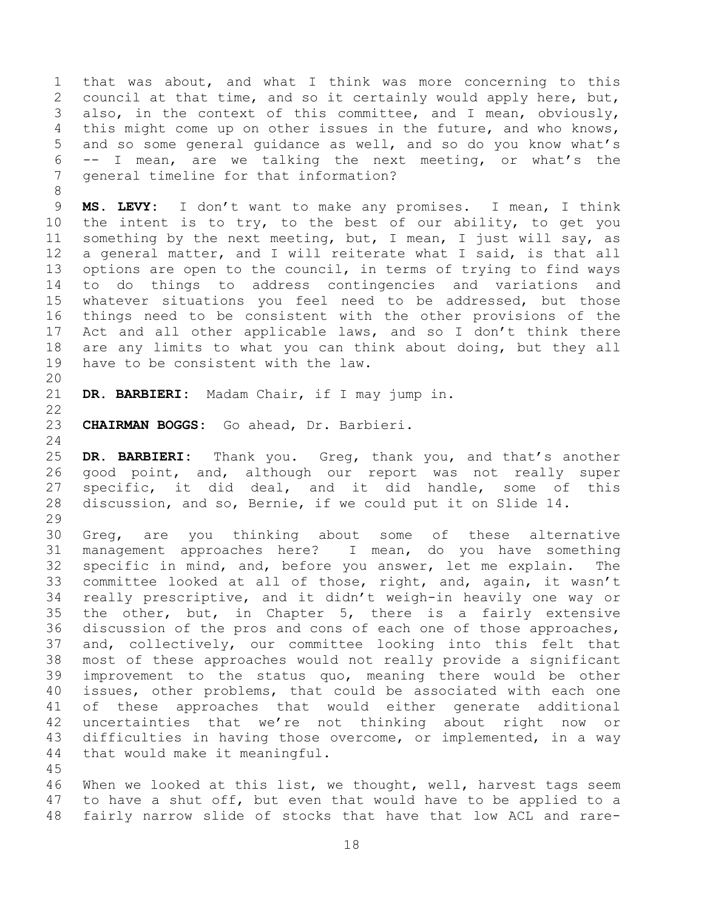1 that was about, and what I think was more concerning to this<br>2 council at that time, and so it certainly would apply here, but, 2 council at that time, and so it certainly would apply here, but,<br>3 also, in the context of this committee, and I mean, obviously, 3 also, in the context of this committee, and I mean, obviously,<br>4 this might come up on other issues in the future, and who knows, 4 this might come up on other issues in the future, and who knows,<br>5 and so some general quidance as well, and so do you know what's 5 and so some general guidance as well, and so do you know what's<br>6 -- I mean, are we talking the next meeting, or what's the 6 -- I mean, are we talking the next meeting, or what's the  $7$  qeneral timeline for that information? general timeline for that information?

9 **MS. LEVY:** I don't want to make any promises. I mean, I think 10 the intent is to try, to the best of our ability, to get you<br>11 something by the next meeting, but, I mean, I just will say, as 11 something by the next meeting, but, I mean, I just will say, as<br>12 a general matter, and I will reiterate what I said, is that all 12 a general matter, and I will reiterate what I said, is that all<br>13 options are open to the council, in terms of trying to find ways 13 options are open to the council, in terms of trying to find ways<br>14 to do things to address contingencies and variations and 14 to do things to address contingencies and variations<br>15 whatever situations vou feel need to be addressed, but th 15 whatever situations you feel need to be addressed, but those<br>16 things need to be consistent with the other provisions of the things need to be consistent with the other provisions of the 17 Act and all other applicable laws, and so I don't think there<br>18 are any limits to what you can think about doing, but they all 18 are any limits to what you can think about doing, but they all<br>19 have to be consistent with the law. have to be consistent with the law.

20<br>21 DR. BARBIERI: Madam Chair, if I may jump in.

 $\frac{22}{23}$ 

8

23 **CHAIRMAN BOGGS:** Go ahead, Dr. Barbieri.

 $\frac{24}{25}$ 25 **DR. BARBIERI:** Thank you. Greg, thank you, and that's another 26 good point, and, although our report was not really super<br>27 specific, it did deal, and it did handle, some of this 27 specific, it did deal, and it did handle, some of this<br>28 discussion, and so, Bernie, if we could put it on Slide 14. discussion, and so, Bernie, if we could put it on Slide 14.

29<br>30 30 Greg, are you thinking about some of these alternative<br>31 management approaches here? I mean, do you have something I mean, do you have something 32 specific in mind, and, before you answer, let me explain. The<br>33 committee looked at all of those, right, and, again, it wasn't 33 committee looked at all of those, right, and, again, it wasn't<br>34 really prescriptive, and it didn't weigh-in heavily one way or 34 really prescriptive, and it didn't weigh-in heavily one way or<br>35 the other, but, in Chapter 5, there is a fairly extensive 35 the other, but, in Chapter 5, there is a fairly extensive<br>36 discussion of the pros and cons of each one of those approaches, 36 discussion of the pros and cons of each one of those approaches,<br>37 and, collectively, our committee looking into this felt that 37 and, collectively, our committee looking into this felt that<br>38 most of these approaches would not really provide a significant 38 most of these approaches would not really provide a significant<br>39 improvement to the status quo, meaning there would be other improvement to the status quo, meaning there would be other 40 issues, other problems, that could be associated with each one 41 of these approaches that would either generate additional<br>42 uncertainties that we're not thinking about right now or 42 uncertainties that we're not thinking about right now or<br>43 difficulties in having those overcome, or implemented, in a way 43 difficulties in having those overcome, or implemented, in a way<br>44 that would make it meaningful. that would make it meaningful.

45 46 When we looked at this list, we thought, well, harvest tags seem<br>47 to have a shut off, but even that would have to be applied to a to have a shut off, but even that would have to be applied to a 48 fairly narrow slide of stocks that have that low ACL and rare-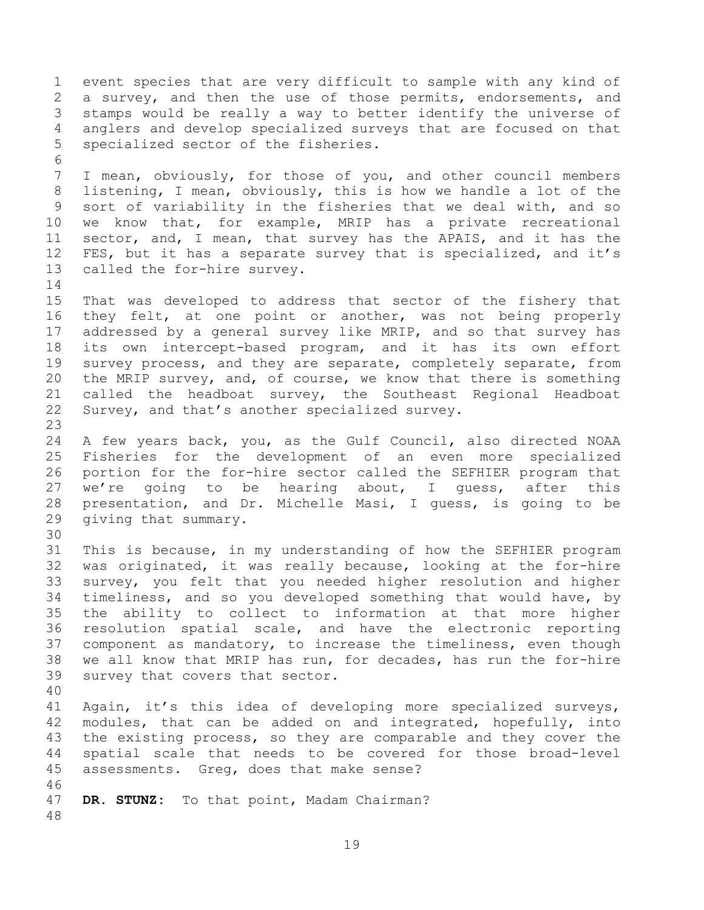1 event species that are very difficult to sample with any kind of<br>2 a survey, and then the use of those permits, endorsements, and 2 a survey, and then the use of those permits, endorsements, and<br>3 stamps would be really a way to better identify the universe of 3 stamps would be really a way to better identify the universe of<br>4 anglers and develop specialized surveys that are focused on that 4 anglers and develop specialized surveys that are focused on that<br>5 specialized sector of the fisheries. specialized sector of the fisheries. 6<br>7 I mean, obviously, for those of you, and other council members 8 listening, I mean, obviously, this is how we handle a lot of the 9 sort of variability in the fisheries that we deal with, and so<br>10 we know that, for example, MRIP has a private recreational 10 we know that, for example, MRIP has a private recreational<br>11 sector, and, I mean, that survey has the APAIS, and it has the 11 sector, and, I mean, that survey has the APAIS, and it has the<br>12 FES, but it has a separate survey that is specialized, and it's 12 FES, but it has a separate survey that is specialized, and it's 13 called the for-hire survey. called the for-hire survey.  $\begin{array}{c} 14 \\ 15 \end{array}$ 15 That was developed to address that sector of the fishery that<br>16 they felt, at one point or another, was not being properly they felt, at one point or another, was not being properly 17 addressed by a general survey like MRIP, and so that survey has<br>18 its own intercept-based program, and it has its own effort 18 its own intercept-based program, and it has its own effort<br>19 survev process, and thev are separate, completely separate, from 19 survey process, and they are separate, completely separate, from<br>20 the MRIP survey, and, of course, we know that there is something 20 the MRIP survey, and, of course, we know that there is something<br>21 called the headboat survey, the Southeast Regional Headboat 21 called the headboat survey, the Southeast Regional Headboat<br>22 Survey, and that's another specialized survey. Survey, and that's another specialized survey. 23 24 A few years back, you, as the Gulf Council, also directed NOAA<br>25 Fisheries for the development of an even more specialized 25 Fisheries for the development of an even more specialized<br>26 portion for the for-hire sector called the SEFHIER program that 26 portion for the for-hire sector called the SEFHIER program that<br>27 we're going to be hearing about, I guess, after this 27 we're going to be hearing about, I guess, after this<br>28 presentation, and Dr. Michelle Masi, I quess, is going to be 28 presentation, and Dr. Michelle Masi, I guess, is going to be 29 qiving that summary. giving that summary. 30<br>31 This is because, in my understanding of how the SEFHIER program 32 was originated, it was really because, looking at the for-hire<br>33 survey, you felt that you needed higher resolution and higher 33 survey, you felt that you needed higher resolution and higher<br>34 timeliness, and so vou developed something that would have, by 34 timeliness, and so you developed something that would have, by<br>35 the ability to collect to information at that more higher 35 the ability to collect to information at that more higher<br>36 resolution spatial scale, and have the electronic reporting 36 resolution spatial scale, and have the electronic reporting<br>37 component as mandatory, to increase the timeliness, even though 37 component as mandatory, to increase the timeliness, even though<br>38 we all know that MRIP has run, for decades, has run the for-hire 38 we all know that MRIP has run, for decades, has run the for-hire<br>39 survey that covers that sector. survey that covers that sector. 40 41 Again, it's this idea of developing more specialized surveys,<br>42 modules, that can be added on and integrated, hopefully, into 42 modules, that can be added on and integrated, hopefully, into<br>43 the existing process, so they are comparable and they cover the 43 the existing process, so they are comparable and they cover the<br>44 spatial scale that needs to be covered for those broad-level 44 spatial scale that needs to be covered for those broad-level<br>45 assessments. Greq, does that make sense? assessments. Greg, does that make sense? 46<br>47 DR. STUNZ: To that point, Madam Chairman? 48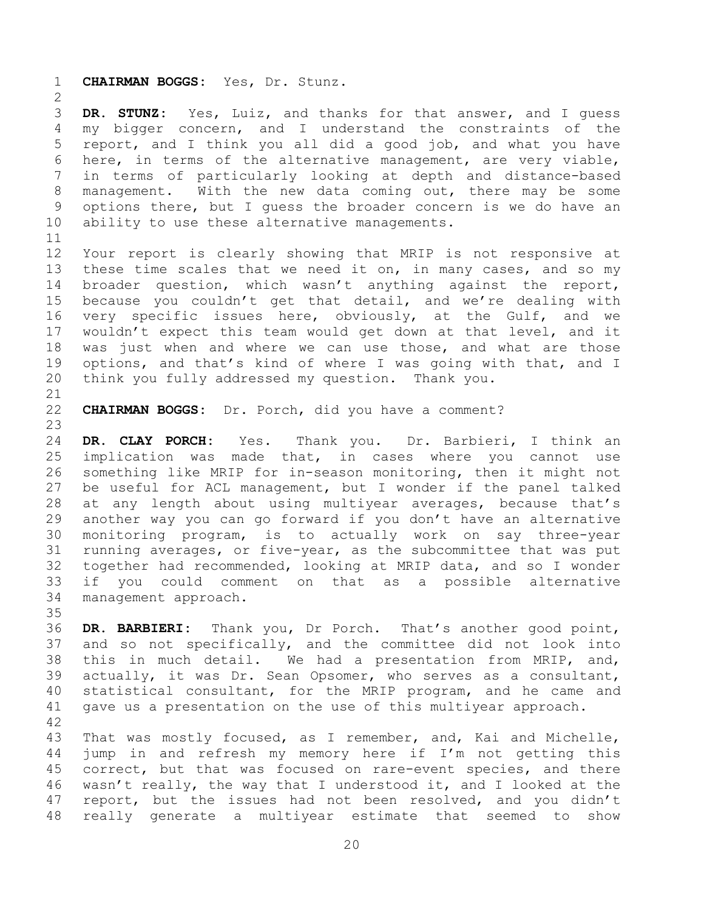1 **CHAIRMAN BOGGS:** Yes, Dr. Stunz.

 $\frac{2}{3}$ 3 **DR. STUNZ:** Yes, Luiz, and thanks for that answer, and I guess 4 my bigger concern, and I understand the constraints of the<br>5 report, and I think you all did a good job, and what you have 5 report, and I think you all did a good job, and what you have<br>6 here, in terms of the alternative management, are verv viable, 6 here, in terms of the alternative management, are very viable,<br>7 in terms of particularly looking at depth and distance-based in terms of particularly looking at depth and distance-based 8 management. With the new data coming out, there may be some 9 options there, but I guess the broader concern is we do have an<br>10 ability to use these alternative managements. ability to use these alternative managements.

11<br>12 12 Your report is clearly showing that MRIP is not responsive at<br>13 these time scales that we need it on, in many cases, and so my 13 these time scales that we need it on, in many cases, and so my<br>14 broader question, which wasn't anything against the report, 14 broader question, which wasn't anything against the report,<br>15 because you couldn't get that detail, and we're dealing with 15 because you couldn't get that detail, and we're dealing with<br>16 very specific issues here, obviously, at the Gulf, and we very specific issues here, obviously, at the Gulf, and we 17 wouldn't expect this team would get down at that level, and it<br>18 was just when and where we can use those, and what are those 18 was just when and where we can use those, and what are those<br>19 options, and that's kind of where I was going with that, and I 19 options, and that's kind of where I was going with that, and I<br>20 think you fully addressed my question. Thank you. think you fully addressed my question. Thank you.

21<br>22 CHAIRMAN BOGGS: Dr. Porch, did you have a comment?

23 24 **DR. CLAY PORCH:** Yes. Thank you. Dr. Barbieri, I think an 25 implication was made that, in cases where you cannot use<br>26 something like MRIP for in-season monitoring, then it might not 26 something like MRIP for in-season monitoring, then it might not<br>27 be useful for ACL management, but I wonder if the panel talked 27 be useful for ACL management, but I wonder if the panel talked<br>28 at any length about using multiyear averages, because that's 28 at any length about using multiyear averages, because that's<br>29 another way you can go forward if you don't have an alternative 29 another way you can go forward if you don't have an alternative<br>30 monitoring program, is to actually work on say three-year 30 monitoring program, is to actually work on say three-year<br>31 running averages, or five-year, as the subcommittee that was put 31 running averages, or five-year, as the subcommittee that was put<br>32 together had recommended, looking at MRIP data, and so I wonder 32 together had recommended, looking at MRIP data, and so I wonder<br>33 if you could comment on that as a possible alternative 33 if you could comment on that as a possible alternative<br>34 management approach. management approach.

35<br>36 36 **DR. BARBIERI:** Thank you, Dr Porch. That's another good point, 37 and so not specifically, and the committee did not look into<br>38 this in much detail. We had a presentation from MRIP, and, 38 this in much detail. We had a presentation from MRIP, and,<br>39 actually, it was Dr. Sean Opsomer, who serves as a consultant, actually, it was Dr. Sean Opsomer, who serves as a consultant, 40 statistical consultant, for the MRIP program, and he came and 41 gave us a presentation on the use of this multiyear approach.

42 43 That was mostly focused, as I remember, and, Kai and Michelle,<br>44 jump in and refresh my memory here if I'm not getting this 44 jump in and refresh my memory here if I'm not getting this<br>45 correct, but that was focused on rare-event species, and there 45 correct, but that was focused on rare-event species, and there<br>46 wasn't really, the way that I understood it, and I looked at the 46 wasn't really, the way that I understood it, and I looked at the<br>47 report, but the issues had not been resolved, and you didn't report, but the issues had not been resolved, and you didn't 48 really generate a multiyear estimate that seemed to show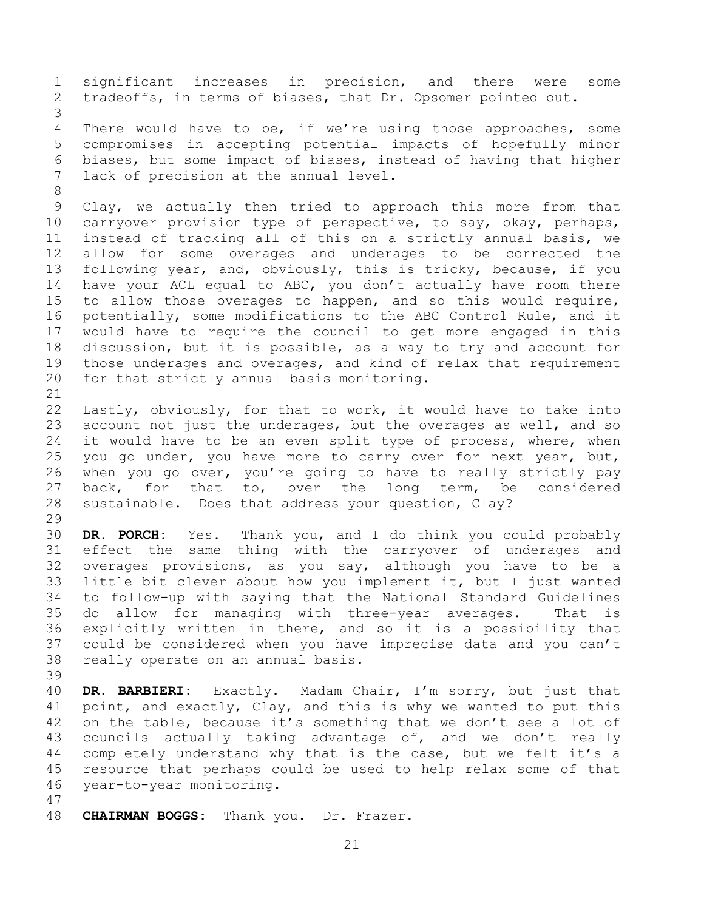1 significant increases in precision, and there were some<br>2 tradeoffs, in terms of biases, that Dr. Opsomer pointed out. tradeoffs, in terms of biases, that Dr. Opsomer pointed out. 3 4 There would have to be, if we're using those approaches, some<br>5 compromises in accepting potential impacts of hopefully minor 5 compromises in accepting potential impacts of hopefully minor 6 biases, but some impact of biases, instead of having that higher<br>7 lack of precision at the annual level. lack of precision at the annual level. 8 9 Clay, we actually then tried to approach this more from that<br>10 carryover provision type of perspective, to say, okay, perhaps, 10 carryover provision type of perspective, to say, okay, perhaps,<br>11 instead of tracking all of this on a strictly annual basis, we 11 instead of tracking all of this on a strictly annual basis, we 12 allow for some overages and underages to be corrected the<br>13 following year, and, obviously, this is tricky, because, if you 13 following year, and, obviously, this is tricky, because, if you<br>14 have your ACL equal to ABC, you don't actually have room there 14 have your ACL equal to ABC, you don't actually have room there<br>15 to allow those overages to happen, and so this would require, 15 to allow those overages to happen, and so this would require,<br>16 potentially, some modifications to the ABC Control Rule, and it potentially, some modifications to the ABC Control Rule, and it 17 would have to require the council to get more engaged in this<br>18 discussion, but it is possible, as a way to try and account for 18 discussion, but it is possible, as a way to try and account for<br>19 those underages and overages, and kind of relax that requirement 19 those underages and overages, and kind of relax that requirement<br>20 for that strictly annual basis monitoring. for that strictly annual basis monitoring. 21<br>22 22 Lastly, obviously, for that to work, it would have to take into<br>23 account not just the underages, but the overages as well, and so 23 account not just the underages, but the overages as well, and so<br>24 it would have to be an even split type of process, where, when 24 it would have to be an even split type of process, where, when<br>25 you go under, you have more to carry over for next year, but, 25 you go under, you have more to carry over for next year, but,<br>26 when you go over, you're going to have to really strictly pay 26 when you go over, you're going to have to really strictly pay<br>27 back, for that to, over the long term, be considered 27 back, for that to, over the long term, be considered<br>28 sustainable. Does that address your question, Clay? sustainable. Does that address your question, Clay? 29<br>30 30 **DR. PORCH:** Yes. Thank you, and I do think you could probably effect the same thing with the carryover of underages and 32 overages provisions, as you say, although you have to be a<br>33 little bit clever about how you implement it, but I just wanted 33 little bit clever about how you implement it, but I just wanted<br>34 to follow-up with saving that the National Standard Guidelines 34 to follow-up with saying that the National Standard Guidelines 35 do allow for managing with three-year averages.<br>36 explicitly written in there, and so it is a possi 36 explicitly written in there, and so it is a possibility that<br>37 could be considered when you have imprecise data and you can't 37 could be considered when you have imprecise data and you can't<br>38 really operate on an annual basis. really operate on an annual basis. 39 40 **DR. BARBIERI:** Exactly. Madam Chair, I'm sorry, but just that 41 point, and exactly, Clay, and this is why we wanted to put this<br>42 on the table, because it's something that we don't see a lot of 42 on the table, because it's something that we don't see a lot of<br>43 councils actually taking advantage of, and we don't really 43 councils actually taking advantage of, and we don't really<br>44 completely understand why that is the case, but we felt it's a 44 completely understand why that is the case, but we felt it's a<br>45 resource that perhaps could be used to help relax some of that 45 resource that perhaps could be used to help relax some of that<br>46 vear-to-vear monitoring. year-to-year monitoring. 47

48 **CHAIRMAN BOGGS:** Thank you. Dr. Frazer.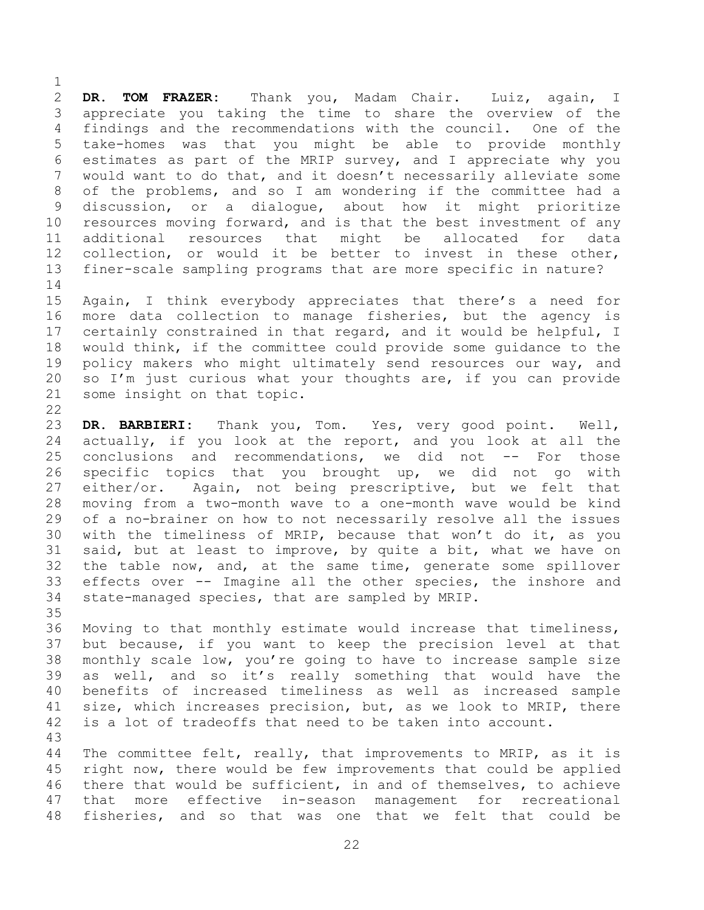$\frac{1}{2}$ 2 **DR. TOM FRAZER:** Thank you, Madam Chair. Luiz, again, I 3 appreciate you taking the time to share the overview of the<br>4 findings and the recommendations with the council. One of the 4 findings and the recommendations with the council. One of the<br>5 take-homes was that you might be able to provide monthly 5 take-homes was that you might be able to provide monthly 6 estimates as part of the MRIP survey, and I appreciate why you<br>7 would want to do that, and it doesn't necessarily alleviate some would want to do that, and it doesn't necessarily alleviate some 8 of the problems, and so I am wondering if the committee had a 9 discussion, or a dialogue, about how it might prioritize<br>10 resources moving forward, and is that the best investment of any 10 resources moving forward, and is that the best investment of any<br>11 additional resources that might be allocated for data 11 additional resources that might be allocated for data<br>12 collection, or would it be better to invest in these other, 12 collection, or would it be better to invest in these other,<br>13 finer-scale sampling programs that are more specific in nature? finer-scale sampling programs that are more specific in nature?

 $\begin{array}{c} 14 \\ 15 \end{array}$ 15 Again, I think everybody appreciates that there's a need for<br>16 more data collection to manage fisheries, but the agency is more data collection to manage fisheries, but the agency is 17 certainly constrained in that regard, and it would be helpful, I<br>18 would think, if the committee could provide some quidance to the 18 would think, if the committee could provide some guidance to the<br>19 policy makers who might ultimately send resources our way, and 19 policy makers who might ultimately send resources our way, and<br>20 so I'm just curious what your thoughts are, if you can provide 20 so I'm just curious what your thoughts are, if you can provide  $21$  some insight on that topic. some insight on that topic.

 $\frac{22}{23}$ 23 **DR. BARBIERI:** Thank you, Tom. Yes, very good point. Well,<br>24 actually, if you look at the report, and you look at all the 24 actually, if you look at the report, and you look at all the<br>25 conclusions and recommendations, we did not -- For those 25 conclusions and recommendations, we did not -- For those<br>26 specific topics that you brought up, we did not go with 26 specific topics that you brought up, we did not go with<br>27 either/or. Again, not being prescriptive, but we felt that 27 either/or. Again, not being prescriptive, but we felt that<br>28 moving from a two-month wave to a one-month wave would be kind 28 moving from a two-month wave to a one-month wave would be kind 29 of a no-brainer on how to not necessarily resolve all the issues<br>30 with the timeliness of MRIP, because that won't do it, as you 30 with the timeliness of MRIP, because that won't do it, as you<br>31 said, but at least to improve, by quite a bit, what we have on said, but at least to improve, by quite a bit, what we have on 32 the table now, and, at the same time, generate some spillover<br>33 effects over -- Imagine all the other species, the inshore and 33 effects over -- Imagine all the other species, the inshore and<br>34 state-managed species, that are sampled by MRIP. state-managed species, that are sampled by MRIP.

35<br>36 36 Moving to that monthly estimate would increase that timeliness,<br>37 but because, if you want to keep the precision level at that 37 but because, if you want to keep the precision level at that<br>38 monthly scale low, you're going to have to increase sample size 38 monthly scale low, you're going to have to increase sample size<br>39 as well, and so it's really something that would have the as well, and so it's really something that would have the 40 benefits of increased timeliness as well as increased sample 41 size, which increases precision, but, as we look to MRIP, there<br>42 is a lot of tradeoffs that need to be taken into account. is a lot of tradeoffs that need to be taken into account.

43 44 The committee felt, really, that improvements to MRIP, as it is<br>45 right now, there would be few improvements that could be applied 45 right now, there would be few improvements that could be applied<br>46 there that would be sufficient, in and of themselves, to achieve 46 there that would be sufficient, in and of themselves, to achieve<br>47 that more effective in-season management for recreational that more effective in-season management for recreational 48 fisheries, and so that was one that we felt that could be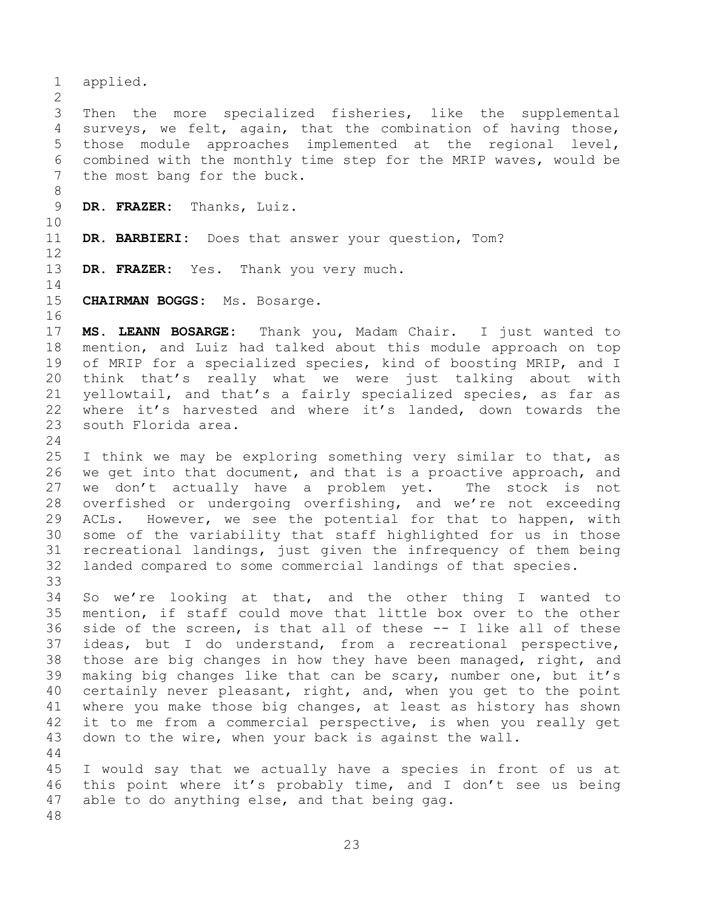1 applied.  $\frac{2}{3}$ 3 Then the more specialized fisheries, like the supplemental<br>4 surveys, we felt, again, that the combination of having those, 4 surveys, we felt, again, that the combination of having those,<br>5 those module approaches implemented at the regional level, 5 those module approaches implemented at the regional<br>6 combined with the monthly time step for the MRIP waves, w 6 combined with the monthly time step for the MRIP waves, would be<br>7 the most bang for the buck. the most bang for the buck. 8 9 **DR. FRAZER:** Thanks, Luiz. 10<br>11 DR. BARBIERI: Does that answer your question, Tom?  $\begin{array}{c} 12 \\ 13 \end{array}$ DR. FRAZER: Yes. Thank you very much.  $\begin{array}{c} 14 \\ 15 \end{array}$ 15 **CHAIRMAN BOGGS:** Ms. Bosarge. 16 17 **MS. LEANN BOSARGE:** Thank you, Madam Chair. I just wanted to 18 mention, and Luiz had talked about this module approach on top<br>19 of MRIP for a specialized species, kind of boosting MRIP, and I 19 of MRIP for a specialized species, kind of boosting MRIP, and I<br>20 think that's really what we were just talking about with 20 think that's really what we were just talking about with<br>21 vellowtail, and that's a fairly specialized species, as far as 21 yellowtail, and that's a fairly specialized species, as far as<br>22 where it's harvested and where it's landed, down towards the 22 where it's harvested and where it's landed, down towards the<br>23 south Florida area. south Florida area.  $\frac{24}{25}$ 25 I think we may be exploring something very similar to that, as<br>26 we get into that document, and that is a proactive approach, and 26 we get into that document, and that is a proactive approach, and<br>27 we don't actually have a problem yet. The stock is not 27 we don't actually have a problem yet.<br>28 overfished or undergoing overfishing, and 28 overfished or undergoing overfishing, and we're not exceeding<br>29 ACLs. However, we see the potential for that to happen, with 29 ACLs. However, we see the potential for that to happen, with<br>30 some of the variability that staff highlighted for us in those 30 some of the variability that staff highlighted for us in those<br>31 recreational landings, just given the infrequency of them being recreational landings, just given the infrequency of them being 32 landed compared to some commercial landings of that species. 33<br>34 34 So we're looking at that, and the other thing I wanted to<br>35 mention, if staff could move that little box over to the other 35 mention, if staff could move that little box over to the other<br>36 side of the screen, is that all of these -- I like all of these 36 side of the screen, is that all of these -- I like all of these<br>37 ideas, but I do understand, from a recreational perspective, 37 ideas, but I do understand, from a recreational perspective,<br>38 those are big changes in how they have been managed, right, and 38 those are big changes in how they have been managed, right, and<br>39 making big changes like that can be scary, number one, but it's making big changes like that can be scary, number one, but it's 40 certainly never pleasant, right, and, when you get to the point 41 where you make those big changes, at least as history has shown<br>42 it to me from a commercial perspective, is when you really get 42 it to me from a commercial perspective, is when you really get<br>43 down to the wire, when your back is against the wall. down to the wire, when your back is against the wall.  $\begin{array}{c} 44 \\ 45 \end{array}$ 45 I would say that we actually have a species in front of us at<br>46 this point where it's probably time, and I don't see us being 46 this point where it's probably time, and I don't see us being<br>47 able to do anything else, and that being gag. able to do anything else, and that being gag. 48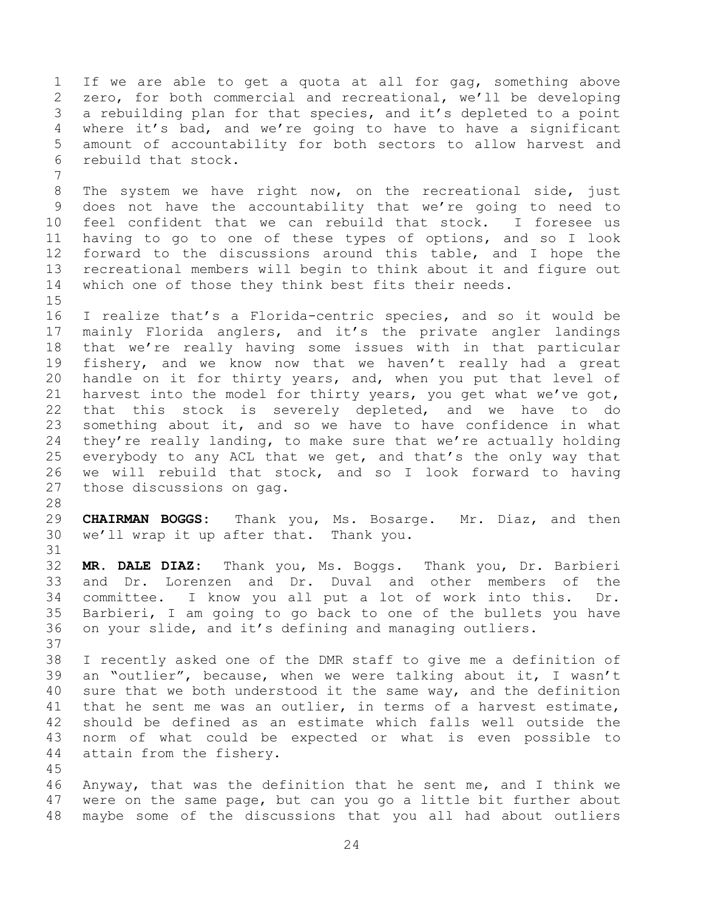1 If we are able to get a quota at all for gag, something above<br>2 zero, for both commercial and recreational, we'll be developing 2 zero, for both commercial and recreational, we'll be developing<br>3 a rebuilding plan for that species, and it's depleted to a point 3 a rebuilding plan for that species, and it's depleted to a point<br>4 where it's bad, and we're going to have to have a significant 4 where it's bad, and we're going to have to have a significant<br>5 amount of accountability for both sectors to allow harvest and 5 amount of accountability for both sectors to allow harvest and<br>6 rebuild that stock. rebuild that stock.

8 The system we have right now, on the recreational side, just 9 does not have the accountability that we're going to need to<br>10 feel confident that we can rebuild that stock. I foresee us 10 feel confident that we can rebuild that stock.<br>11 having to go to one of these types of options, 11 having to go to one of these types of options, and so I look<br>12 forward to the discussions around this table, and I hope the 12 forward to the discussions around this table, and I hope the<br>13 recreational members will begin to think about it and figure out 13 recreational members will begin to think about it and figure out<br>14 which one of those they think best fits their needs. which one of those they think best fits their needs.

 $\frac{15}{16}$ I realize that's a Florida-centric species, and so it would be 17 mainly Florida anglers, and it's the private angler landings<br>18 that we're really having some issues with in that particular 18 that we're really having some issues with in that particular<br>19 fisherv, and we know now that we haven't really had a great 19 fishery, and we know now that we haven't really had a great<br>20 handle on it for thirty years, and, when you put that level of 20 handle on it for thirty years, and, when you put that level of<br>21 harvest into the model for thirty years, you get what we've got, 21 harvest into the model for thirty years, you get what we've got,<br>22 that this stock is severely depleted, and we have to do 22 that this stock is severely depleted, and we have to<br>23 something about it, and so we have to have confidence in wh 23 something about it, and so we have to have confidence in what<br>24 they're really landing, to make sure that we're actually holding 24 they're really landing, to make sure that we're actually holding<br>25 everybody to any ACL that we get, and that's the only way that 25 everybody to any ACL that we get, and that's the only way that<br>26 we will rebuild that stock, and so I look forward to having 26 we will rebuild that stock, and so I look forward to having<br>27 those discussions on gag. those discussions on gag.

28<br>29

31

7

29 **CHAIRMAN BOGGS:** Thank you, Ms. Bosarge. Mr. Diaz, and then we'll wrap it up after that. Thank you.

32 **MR. DALE DIAZ:** Thank you, Ms. Boggs. Thank you, Dr. Barbieri 33 and Dr. Lorenzen and Dr. Duval and other members of the<br>34 committee. I know you all put a lot of work into this. Dr. 34 committee. I know you all put a lot of work into this. Dr.<br>35 Barbieri, I am going to go back to one of the bullets you have 35 Barbieri, I am going to go back to one of the bullets you have<br>36 on vour slide, and it's defining and managing outliers. on your slide, and it's defining and managing outliers.

37<br>38 38 I recently asked one of the DMR staff to give me a definition of<br>39 an "outlier", because, when we were talking about it, I wasn't an "outlier", because, when we were talking about it, I wasn't 40 sure that we both understood it the same way, and the definition 41 that he sent me was an outlier, in terms of a harvest estimate,<br>42 should be defined as an estimate which falls well outside the 42 should be defined as an estimate which falls well outside the<br>43 norm of what could be expected or what is even possible to 43 norm of what could be expected or what is even possible to<br>44 attain from the fishery. attain from the fishery.

45<br>46 46 Anyway, that was the definition that he sent me, and I think we<br>47 were on the same page, but can you go a little bit further about were on the same page, but can you go a little bit further about 48 maybe some of the discussions that you all had about outliers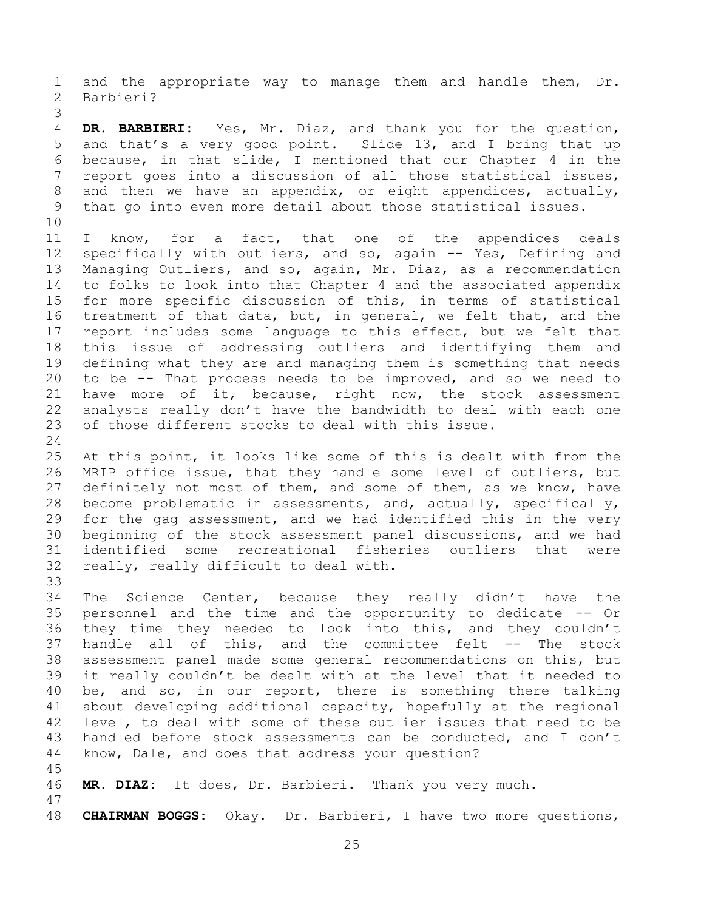1 and the appropriate way to manage them and handle them, Dr.<br>2 Barbieri? Barbieri?

3 4 **DR. BARBIERI:** Yes, Mr. Diaz, and thank you for the question,<br>5 and that's a very good point. Slide 13, and I bring that up 5 and that's a very good point. Slide 13, and I bring that up<br>6 because, in that slide, I mentioned that our Chapter 4 in the 6 because, in that slide, I mentioned that our Chapter 4 in the<br>7 report goes into a discussion of all those statistical issues, report goes into a discussion of all those statistical issues, 8 and then we have an appendix, or eight appendices, actually, 9 that go into even more detail about those statistical issues.

10<br>11 11 I know, for a fact, that one of the appendices deals<br>12 specifically with outliers, and so, again -- Yes, Defining and 12 specifically with outliers, and so, again -- Yes, Defining and<br>13 Managing Outliers, and so, again, Mr. Diaz, as a recommendation 13 Managing Outliers, and so, again, Mr. Diaz, as a recommendation<br>14 to folks to look into that Chapter 4 and the associated appendix 14 to folks to look into that Chapter 4 and the associated appendix<br>15 for more specific discussion of this, in terms of statistical 15 for more specific discussion of this, in terms of statistical<br>16 treatment of that data, but, in general, we felt that, and the treatment of that data, but, in general, we felt that, and the 17 report includes some language to this effect, but we felt that<br>18 this issue of addressing outliers and identifying them and 18 this issue of addressing outliers and identifying them and<br>19 defining what they are and managing them is something that needs 19 defining what they are and managing them is something that needs<br>20 to be -- That process needs to be improved, and so we need to 20 to be -- That process needs to be improved, and so we need to<br>21 have more of it, because, right now, the stock assessment 21 have more of it, because, right now, the stock assessment<br>22 analysts really don't have the bandwidth to deal with each one 22 analysts really don't have the bandwidth to deal with each one<br>23 of those different stocks to deal with this issue. of those different stocks to deal with this issue.

 $\frac{24}{25}$ 25 At this point, it looks like some of this is dealt with from the<br>26 MRIP office issue, that they handle some level of outliers, but 26 MRIP office issue, that they handle some level of outliers, but<br>27 definitely not most of them, and some of them, as we know, have 27 definitely not most of them, and some of them, as we know, have<br>28 become problematic in assessments, and, actually, specifically, 28 become problematic in assessments, and, actually, specifically,<br>29 for the gag assessment, and we had identified this in the very 29 for the gag assessment, and we had identified this in the very<br>30 beginning of the stock assessment panel discussions, and we had 30 beginning of the stock assessment panel discussions, and we had<br>31 identified some recreational fisheries outliers that were identified some recreational fisheries outliers that were 32 really, really difficult to deal with.

33<br>34 34 The Science Center, because they really didn't have the<br>35 personnel and the time and the opportunity to dedicate -- Or 35 personnel and the time and the opportunity to dedicate -- Or<br>36 they time they needed to look into this, and they couldn't 36 they time they needed to look into this, and they couldn't<br>37 handle all of this, and the committee felt -- The stock 37 handle all of this, and the committee felt  $--$  The 38 assessment panel made some general recommendations on thi 38 assessment panel made some general recommendations on this, but<br>39 it really couldn't be dealt with at the level that it needed to it really couldn't be dealt with at the level that it needed to 40 be, and so, in our report, there is something there talking 41 about developing additional capacity, hopefully at the regional<br>42 level, to deal with some of these outlier issues that need to be 42 level, to deal with some of these outlier issues that need to be<br>43 handled before stock assessments can be conducted, and I don't 43 handled before stock assessments can be conducted, and I don't 44 know, Dale, and does that address your question? know, Dale, and does that address your question?

45

47

46 **MR. DIAZ:** It does, Dr. Barbieri. Thank you very much.

48 **CHAIRMAN BOGGS:** Okay. Dr. Barbieri, I have two more questions,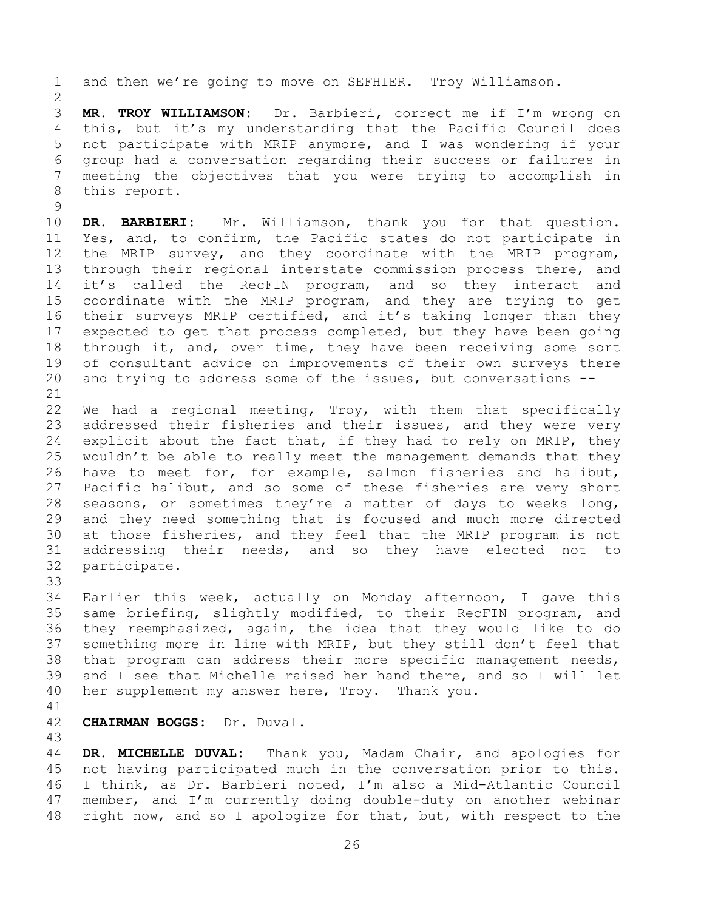1 and then we're going to move on SEFHIER. Troy Williamson.

 $\frac{2}{3}$ 3 **MR. TROY WILLIAMSON:** Dr. Barbieri, correct me if I'm wrong on 4 this, but it's my understanding that the Pacific Council does<br>5 not participate with MRIP anymore, and I was wondering if your 5 not participate with MRIP anymore, and I was wondering if your 6 group had a conversation regarding their success or failures in meeting the objectives that you were trying to accomplish in 8 this report.

 $\begin{array}{c} 9 \\ 10 \end{array}$ 10 **DR. BARBIERI:** Mr. Williamson, thank you for that question.<br>11 Yes, and, to confirm, the Pacific states do not participate in 11 Yes, and, to confirm, the Pacific states do not participate in<br>12 the MRIP survey, and they coordinate with the MRIP program, 12 the MRIP survey, and they coordinate with the MRIP program,<br>13 through their regional interstate commission process there, and 13 through their regional interstate commission process there, and<br>14 it's called the RecFIN program, and so they interact and 14 it's called the RecFIN program, and so they interact<br>15 coordinate with the MRIP program, and they are trying to 15 coordinate with the MRIP program, and they are trying to get<br>16 their surveys MRIP certified, and it's taking longer than they their surveys MRIP certified, and it's taking longer than they 17 expected to get that process completed, but they have been going<br>18 through it, and, over time, they have been receiving some sort 18 through it, and, over time, they have been receiving some sort<br>19 of consultant advice on improvements of their own surveys there 19 of consultant advice on improvements of their own surveys there<br>20 and trying to address some of the issues, but conversations -and trying to address some of the issues, but conversations  $--$ 

21<br>22 22 We had a regional meeting, Troy, with them that specifically<br>23 addressed their fisheries and their issues, and they were very 23 addressed their fisheries and their issues, and they were very<br>24 explicit about the fact that, if they had to rely on MRIP, they 24 explicit about the fact that, if they had to rely on MRIP, they<br>25 wouldn't be able to really meet the management demands that they 25 wouldn't be able to really meet the management demands that they<br>26 have to meet for, for example, salmon fisheries and halibut, 26 have to meet for, for example, salmon fisheries and halibut,<br>27 Pacific halibut, and so some of these fisheries are very short 27 Pacific halibut, and so some of these fisheries are very short<br>28 seasons, or sometimes they're a matter of days to weeks long, 28 seasons, or sometimes they're a matter of days to weeks long,<br>29 and they need something that is focused and much more directed 29 and they need something that is focused and much more directed<br>30 at those fisheries, and they feel that the MRIP program is not 30 at those fisheries, and they feel that the MRIP program is not<br>31 addressing their needs, and so they have elected not to 31 addressing their needs, and so they have elected not to<br>32 participate. participate.

33<br>34

34 Earlier this week, actually on Monday afternoon, I gave this<br>35 same briefing, slightly modified, to their RecFIN program, and 35 same briefing, slightly modified, to their RecFIN program, and<br>36 they reemphasized, again, the idea that they would like to do 36 they reemphasized, again, the idea that they would like to do<br>37 something more in line with MRIP, but they still don't feel that 37 something more in line with MRIP, but they still don't feel that<br>38 that program can address their more specific management needs, 38 that program can address their more specific management needs,<br>39 and I see that Michelle raised her hand there, and so I will let and I see that Michelle raised her hand there, and so I will let 40 her supplement my answer here, Troy. Thank you.

41<br>42

42 **CHAIRMAN BOGGS:** Dr. Duval.

43 44 **DR. MICHELLE DUVAL:** Thank you, Madam Chair, and apologies for 45 not having participated much in the conversation prior to this.<br>46 I think, as Dr. Barbieri noted, I'm also a Mid-Atlantic Council 46 I think, as Dr. Barbieri noted, I'm also a Mid-Atlantic Council<br>47 member, and I'm currently doing double-duty on another webinar member, and I'm currently doing double-duty on another webinar 48 right now, and so I apologize for that, but, with respect to the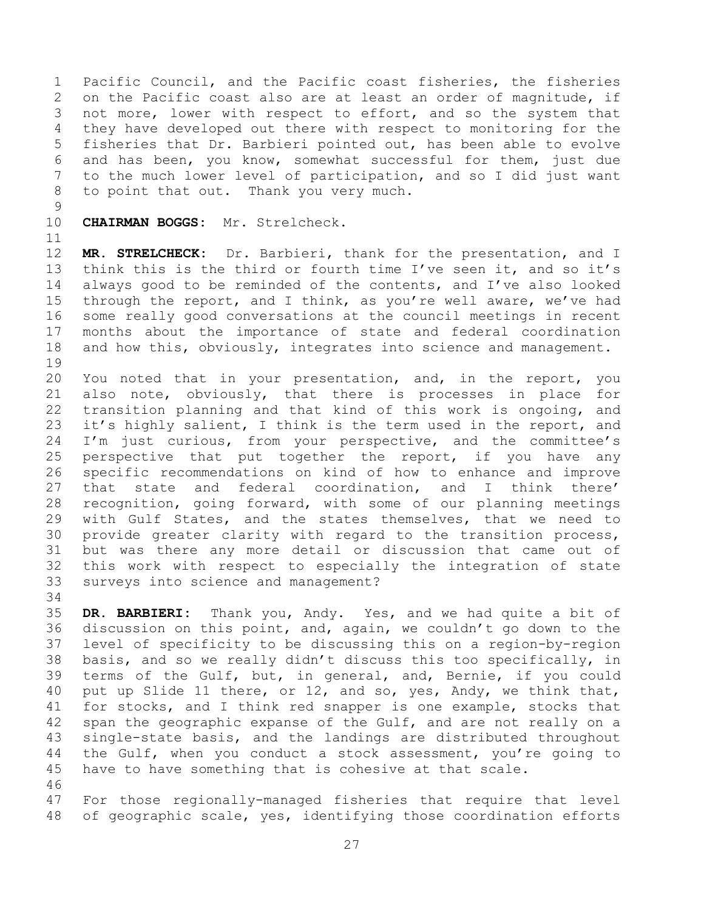1 Pacific Council, and the Pacific coast fisheries, the fisheries<br>2 on the Pacific coast also are at least an order of magnitude, if 2 on the Pacific coast also are at least an order of magnitude, if<br>3 not more, lower with respect to effort, and so the system that 3 not more, lower with respect to effort, and so the system that<br>4 they have developed out there with respect to monitoring for the 4 they have developed out there with respect to monitoring for the<br>5 fisheries that Dr. Barbieri pointed out, has been able to evolve 5 fisheries that Dr. Barbieri pointed out, has been able to evolve<br>6 and has been, vou know, somewhat successful for them, just due 6 and has been, you know, somewhat successful for them, just due<br>7 to the much lower level of participation, and so I did just want to the much lower level of participation, and so I did just want 8 to point that out. Thank you very much.

 $\begin{array}{c} 9 \\ 10 \end{array}$ 

CHAIRMAN BOGGS: Mr. Strelcheck.

11<br>12

12 **MR. STRELCHECK:** Dr. Barbieri, thank for the presentation, and I<br>13 think this is the third or fourth time I've seen it, and so it's 13 think this is the third or fourth time I've seen it, and so it's<br>14 always good to be reminded of the contents, and I've also looked 14 always good to be reminded of the contents, and I've also looked<br>15 through the report, and I think, as you're well aware, we've had 15 through the report, and I think, as you're well aware, we've had<br>16 some really good conversations at the council meetings in recent some really good conversations at the council meetings in recent 17 months about the importance of state and federal coordination<br>18 and how this, obviously, integrates into science and management. and how this, obviously, integrates into science and management.

19<br>20 20 You noted that in your presentation, and, in the report, you<br>21 also note, obviously, that there is processes in place for 21 also note, obviously, that there is processes in place for<br>22 transition planning and that kind of this work is ongoing, and 22 transition planning and that kind of this work is ongoing, and<br>23 it's highly salient, I think is the term used in the report, and 23 it's highly salient, I think is the term used in the report, and<br>24 I'm just curious, from your perspective, and the committee's 24 I'm just curious, from your perspective, and the committee's<br>25 perspective that put together the report, if you have any 25 perspective that put together the report, if you have any<br>26 specific recommendations on kind of how to enhance and improve 26 specific recommendations on kind of how to enhance and improve<br>27 that state and federal coordination, and I think there' 27 that state and federal coordination, and I<br>28 recognition, going forward, with some of our pla 28 recognition, going forward, with some of our planning meetings<br>29 with Gulf States, and the states themselves, that we need to 29 with Gulf States, and the states themselves, that we need to<br>30 provide greater clarity with regard to the transition process, 30 provide greater clarity with regard to the transition process,<br>31 but was there any more detail or discussion that came out of but was there any more detail or discussion that came out of 32 this work with respect to especially the integration of state<br>33 surveys into science and management? surveys into science and management?

34<br>35

35 **DR. BARBIERI:** Thank you, Andy. Yes, and we had quite a bit of 36 discussion on this point, and, again, we couldn't go down to the<br>37 level of specificity to be discussing this on a region-by-region 37 level of specificity to be discussing this on a region-by-region<br>38 basis, and so we really didn't discuss this too specifically, in 38 basis, and so we really didn't discuss this too specifically, in<br>39 terms of the Gulf, but, in general, and, Bernie, if you could terms of the Gulf, but, in general, and, Bernie, if you could 40 put up Slide 11 there, or 12, and so, yes, Andy, we think that, 41 for stocks, and I think red snapper is one example, stocks that<br>42 span the geographic expanse of the Gulf, and are not really on a 42 span the geographic expanse of the Gulf, and are not really on a<br>43 single-state basis, and the landings are distributed throughout 43 single-state basis, and the landings are distributed throughout<br>44 the Gulf, when you conduct a stock assessment, you're going to 44 the Gulf, when you conduct a stock assessment, you're going to<br>45 have to have something that is cohesive at that scale. have to have something that is cohesive at that scale.

46<br>47 For those regionally-managed fisheries that require that level 48 of geographic scale, yes, identifying those coordination efforts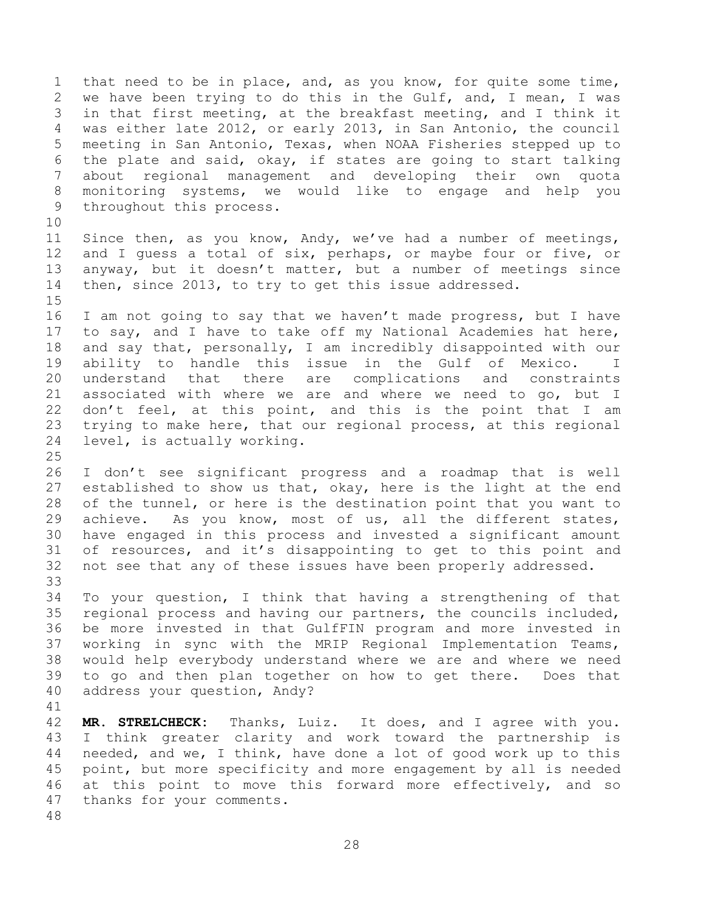1 that need to be in place, and, as you know, for quite some time,<br>2 we have been trying to do this in the Gulf, and, I mean, I was 2 we have been trying to do this in the Gulf, and, I mean, I was<br>3 in that first meeting, at the breakfast meeting, and I think it 3 in that first meeting, at the breakfast meeting, and I think it<br>4 was either late 2012, or early 2013, in San Antonio, the council 4 was either late 2012, or early 2013, in San Antonio, the council<br>5 meeting in San Antonio, Texas, when NOAA Fisheries stepped up to 5 meeting in San Antonio, Texas, when NOAA Fisheries stepped up to<br>6 the plate and said, okav, if states are going to start talking 6 the plate and said, okay, if states are going to start talking<br>7 about regional management and developing their own quota about regional management and developing their own quota 8 monitoring systems, we would like to engage and help you 9 throughout this process.

10<br>11 11 Since then, as you know, Andy, we've had a number of meetings,<br>12 and I quess a total of six, perhaps, or maybe four or five, or 12 and I guess a total of six, perhaps, or maybe four or five, or<br>13 anyway, but it doesn't matter, but a number of meetings since 13 anyway, but it doesn't matter, but a number of meetings since<br>14 then, since 2013, to try to get this issue addressed. then, since 2013, to try to get this issue addressed.

 $15$ <br> $16$ I am not going to say that we haven't made progress, but I have 17 to say, and I have to take off my National Academies hat here,<br>18 and say that, personally, I am incredibly disappointed with our 18 and say that, personally, I am incredibly disappointed with our<br>19 ability to handle this issue in the Gulf of Mexico. I 19 ability to handle this issue in the Gulf of Mexico. I<br>20 understand that there are complications and constraints 20 understand that there are complications and constraints<br>21 associated with where we are and where we need to go, but I 21 associated with where we are and where we need to go, but I<br>22 don't feel, at this point, and this is the point that I am 22 don't feel, at this point, and this is the point that I am<br>23 trying to make here, that our regional process, at this regional 23 trying to make here, that our regional process, at this regional<br>24 level, is actually working. level, is actually working.

 $\frac{25}{26}$ 26 I don't see significant progress and a roadmap that is well<br>27 established to show us that, okay, here is the light at the end 27 established to show us that, okay, here is the light at the end<br>28 of the tunnel, or here is the destination point that you want to 28 of the tunnel, or here is the destination point that you want to<br>29 achieve. As you know, most of us, all the different states, 29 achieve. As you know, most of us, all the different states,<br>30 have engaged in this process and invested a significant amount 30 have engaged in this process and invested a significant amount<br>31 of resources, and it's disappointing to get to this point and of resources, and it's disappointing to get to this point and 32 not see that any of these issues have been properly addressed.

33<br>34 34 To your question, I think that having a strengthening of that<br>35 regional process and having our partners, the councils included, 35 regional process and having our partners, the councils included,<br>36 be more invested in that GulfFIN program and more invested in 36 be more invested in that GulfFIN program and more invested in<br>37 working in sync with the MRIP Regional Implementation Teams, 37 working in sync with the MRIP Regional Implementation Teams,<br>38 would help everybody understand where we are and where we need 38 would help everybody understand where we are and where we need to go and then plan together on how to get there. 40 address your question, Andy?

41<br>42

42 **MR. STRELCHECK:** Thanks, Luiz. It does, and I agree with you.<br>43 I think greater clarity and work toward the partnership is 43 I think greater clarity and work toward the partnership is<br>44 needed, and we, I think, have done a lot of good work up to this 44 needed, and we, I think, have done a lot of good work up to this<br>45 point, but more specificity and more engagement by all is needed 45 point, but more specificity and more engagement by all is needed<br>46 at this point to move this forward more effectively, and so 46 at this point to move this forward more effectively, and so<br>47 thanks for your comments. thanks for your comments. 48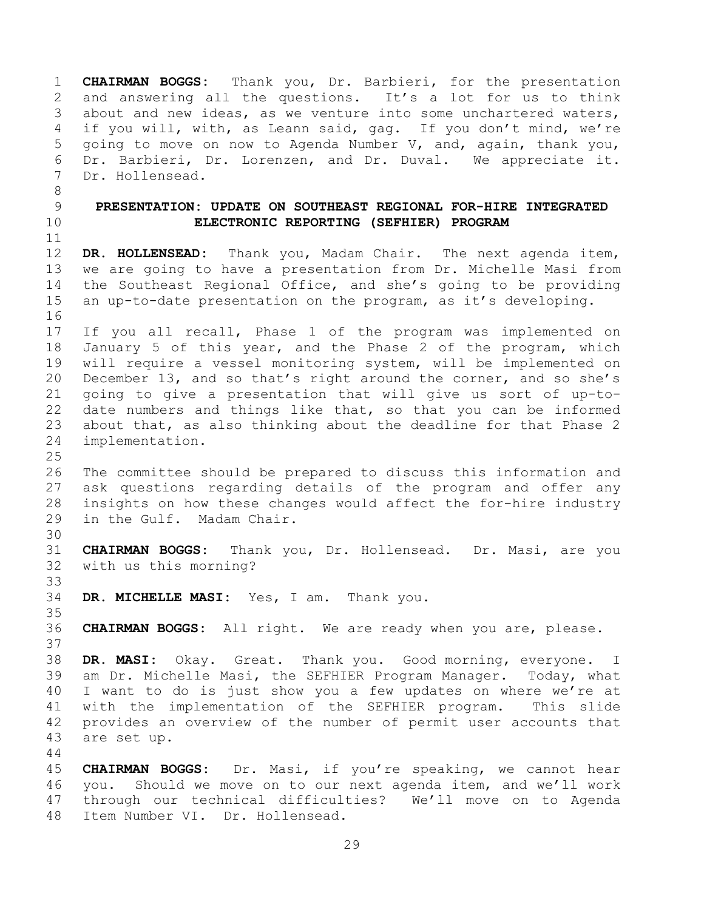<span id="page-28-0"></span>1 **CHAIRMAN BOGGS:** Thank you, Dr. Barbieri, for the presentation 2 and answering all the questions. It's a lot for us to think<br>3 about and new ideas, as we venture into some unchartered waters, 3 about and new ideas, as we venture into some unchartered waters,<br>4 if you will, with, as Leann said, gag. If you don't mind, we're 4 if you will, with, as Leann said, gag. If you don't mind, we're<br>5 qoing to move on now to Agenda Number V, and, again, thank you, 5 going to move on now to Agenda Number V, and, again, thank you,<br>6 Dr. Barbieri, Dr. Lorenzen, and Dr. Duval. We appreciate it. 6 Dr. Barbieri, Dr. Lorenzen, and Dr. Duval. We appreciate it.<br>7 Dr. Hollensead. Dr. Hollensead. 8 9 **PRESENTATION: UPDATE ON SOUTHEAST REGIONAL FOR-HIRE INTEGRATED**  10 **ELECTRONIC REPORTING (SEFHIER) PROGRAM** 11<br>12 12 **DR. HOLLENSEAD:** Thank you, Madam Chair. The next agenda item,<br>13 we are going to have a presentation from Dr. Michelle Masi from 13 we are going to have a presentation from Dr. Michelle Masi from<br>14 the Southeast Regional Office, and she's going to be providing 14 the Southeast Regional Office, and she's going to be providing<br>15 an up-to-date presentation on the program, as it's developing. an up-to-date presentation on the program, as it's developing. 16 17 If you all recall, Phase 1 of the program was implemented on<br>18 January 5 of this year, and the Phase 2 of the program, which 18 January 5 of this year, and the Phase 2 of the program, which<br>19 will require a vessel monitoring system, will be implemented on 19 will require a vessel monitoring system, will be implemented on<br>20 December 13, and so that's right around the corner, and so she's 20 December 13, and so that's right around the corner, and so she's<br>21 qoing to give a presentation that will give us sort of up-to-21 going to give a presentation that will give us sort of up-to-<br>22 date numbers and things like that, so that you can be informed 22 date numbers and things like that, so that you can be informed<br>23 about that, as also thinking about the deadline for that Phase 2 23 about that, as also thinking about the deadline for that Phase 2<br>24 implementation. implementation.  $\frac{25}{26}$ 26 The committee should be prepared to discuss this information and<br>27 ask questions regarding details of the program and offer any 27 ask questions regarding details of the program and offer any<br>28 insights on how these changes would affect the for-hire industry 28 insights on how these changes would affect the for-hire industry<br>29 in the Gulf. Madam Chair. in the Gulf. Madam Chair. 30<br>31 31 **CHAIRMAN BOGGS:** Thank you, Dr. Hollensead. Dr. Masi, are you 32 with us this morning? 33<br>34 DR. MICHELLE MASI: Yes, I am. Thank you. 35<br>36 36 **CHAIRMAN BOGGS:** All right. We are ready when you are, please. 37<br>38 38 **DR. MASI:** Okay. Great. Thank you. Good morning, everyone. I am Dr. Michelle Masi, the SEFHIER Program Manager. Today, what 40 I want to do is just show you a few updates on where we're at 41 with the implementation of the SEFHIER program. This slide<br>42 provides an overview of the number of permit user accounts that 42 provides an overview of the number of permit user accounts that<br>43 are set up. are set up. 44<br>45 45 **CHAIRMAN BOGGS:** Dr. Masi, if you're speaking, we cannot hear 46 you. Should we move on to our next agenda item, and we'll work<br>47 through our technical difficulties? We'll move on to Agenda 47 through our technical difficulties? We'll move on to Agenda 48 Item Number VI. Dr. Hollensead.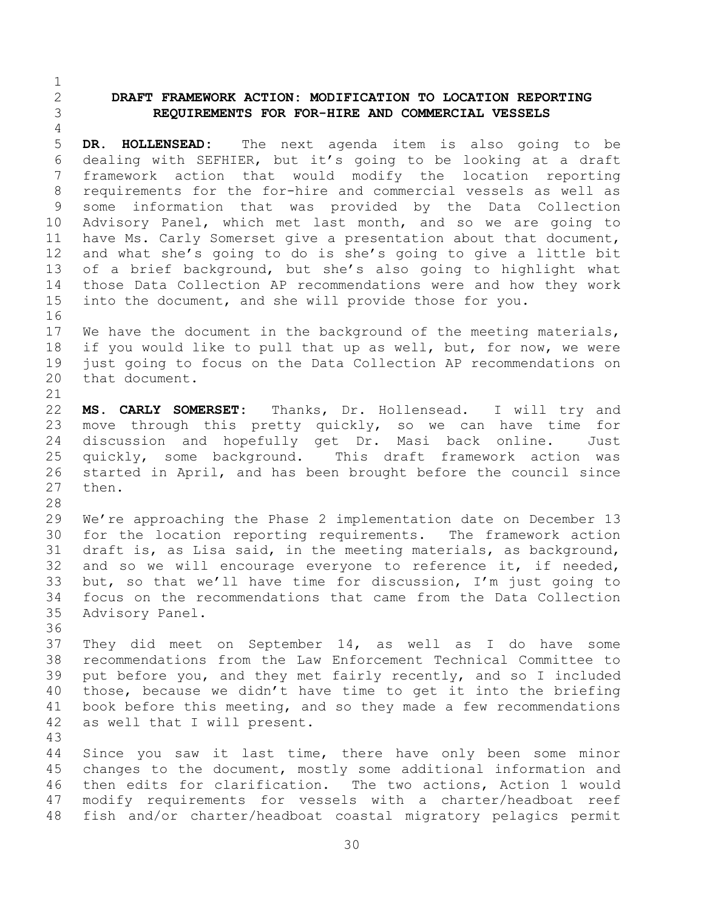## <span id="page-29-0"></span>2 **DRAFT FRAMEWORK ACTION: MODIFICATION TO LOCATION REPORTING**  3 **REQUIREMENTS FOR FOR-HIRE AND COMMERCIAL VESSELS**

 $\frac{1}{2}$ 

16

 $\frac{4}{5}$ 5 **DR. HOLLENSEAD:** The next agenda item is also going to be 6 dealing with SEFHIER, but it's going to be looking at a draft<br>7 framework action that would modify the location reporting framework action that would modify the location reporting 8 requirements for the for-hire and commercial vessels as well as 9 some information that was provided by the Data Collection<br>10 Advisory Panel, which met last month, and so we are going to 10 Advisory Panel, which met last month, and so we are going to<br>11 have Ms. Carly Somerset give a presentation about that document, 11 have Ms. Carly Somerset give a presentation about that document,<br>12 and what she's going to do is she's going to give a little bit 12 and what she's going to do is she's going to give a little bit<br>13 of a brief background, but she's also going to highlight what 13 of a brief background, but she's also going to highlight what<br>14 those Data Collection AP recommendations were and how they work 14 those Data Collection AP recommendations were and how they work<br>15 into the document, and she will provide those for you. into the document, and she will provide those for you.

17 We have the document in the background of the meeting materials,<br>18 if you would like to pull that up as well, but, for now, we were 18 if you would like to pull that up as well, but, for now, we were<br>19 iust going to focus on the Data Collection AP recommendations on 19 just going to focus on the Data Collection AP recommendations on<br>20 that document. that document.

21<br>22 22 **MS. CARLY SOMERSET:** Thanks, Dr. Hollensead. I will try and<br>23 move through this pretty quickly, so we can have time for 23 move through this pretty quickly, so we can have time for<br>24 discussion and hopefully get Dr. Masi back online. Just 24 discussion and hopefully get Dr. Masi back online. Just<br>25 quickly, some background. This draft framework action was 25 quickly, some background. This draft framework action was<br>26 started in April, and has been brought before the council since 26 started in April, and has been brought before the council since then.

28<br>29 29 We're approaching the Phase 2 implementation date on December 13<br>30 for the location reporting requirements. The framework action 30 for the location reporting requirements.<br>31 draft is, as Lisa said, in the meeting mat draft is, as Lisa said, in the meeting materials, as background, 32 and so we will encourage everyone to reference it, if needed,  $33$  but, so that we'll have time for discussion, I'm just going to 33 but, so that we'll have time for discussion, I'm just going to<br>34 focus on the recommendations that came from the Data Collection 34 focus on the recommendations that came from the Data Collection<br>35 Advisory Panel. Advisory Panel.

36<br>37 37 They did meet on September 14, as well as I do have some<br>38 recommendations from the Law Enforcement Technical Committee to 38 recommendations from the Law Enforcement Technical Committee to<br>39 put before you, and they met fairly recently, and so I included put before you, and they met fairly recently, and so I included 40 those, because we didn't have time to get it into the briefing 41 book before this meeting, and so they made a few recommendations<br>42 as well that I will present. as well that I will present.

43 44 Since you saw it last time, there have only been some minor<br>45 changes to the document, mostly some additional information and 45 changes to the document, mostly some additional information and<br>46 then edits for clarification. The two actions, Action 1 would 46 then edits for clarification. The two actions, Action 1 would<br>47 modify requirements for vessels with a charter/headboat reef modify requirements for vessels with a charter/headboat reef 48 fish and/or charter/headboat coastal migratory pelagics permit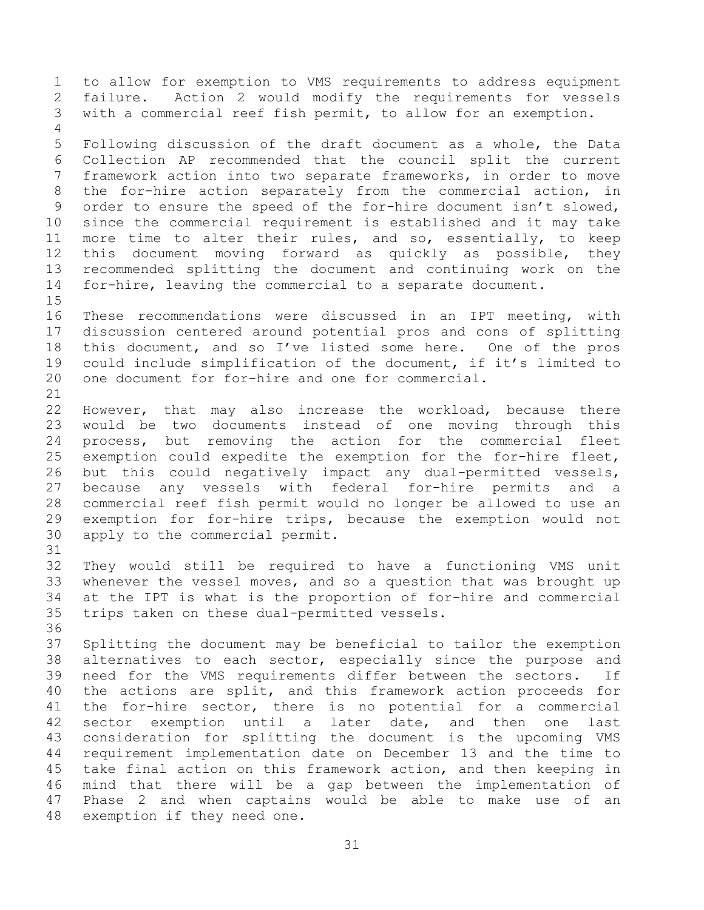1 to allow for exemption to VMS requirements to address equipment<br>2 failure. Action 2 would modify the requirements for vessels 2 failure. Action 2 would modify the requirements for vessels<br>3 with a commercial reef fish permit, to allow for an exemption. with a commercial reef fish permit, to allow for an exemption.  $\frac{4}{5}$ 5 Following discussion of the draft document as a whole, the Data<br>6 Collection AP recommended that the council split the current

6 Collection AP recommended that the council split the current<br>7 framework action into two separate frameworks, in order to move framework action into two separate frameworks, in order to move 8 the for-hire action separately from the commercial action, in 9 order to ensure the speed of the for-hire document isn't slowed,<br>10 since the commercial requirement is established and it may take 10 since the commercial requirement is established and it may take<br>11 more time to alter their rules, and so, essentially, to keep 11 more time to alter their rules, and so, essentially, to keep<br>12 this document moving forward as quickly as possible, they 12 this document moving forward as quickly as possible, they<br>13 recommended splitting the document and continuing work on the 13 recommended splitting the document and continuing work on the<br>14 for-hire, leaving the commercial to a separate document. for-hire, leaving the commercial to a separate document.

 $\frac{15}{16}$ These recommendations were discussed in an IPT meeting, with 17 discussion centered around potential pros and cons of splitting<br>18 this document, and so I've listed some here. One of the pros 18 this document, and so I've listed some here. One of the pros<br>19 could include simplification of the document, if it's limited to 19 could include simplification of the document, if it's limited to<br>20 one document for for-hire and one for commercial. one document for for-hire and one for commercial.

 $\frac{21}{22}$ 22 However, that may also increase the workload, because there<br>23 would be two documents instead of one moving through this 23 would be two documents instead of one moving through this<br>24 process, but removing the action for the commercial fleet 24 process, but removing the action for the commercial fleet<br>25 exemption could expedite the exemption for the for-hire fleet, 25 exemption could expedite the exemption for the for-hire fleet,<br>26 but this could negatively impact any dual-permitted vessels, 26 but this could negatively impact any dual-permitted vessels,<br>27 because any vessels with federal for-hire permits and a 27 because any vessels with federal for-hire permits and a<br>28 commercial reef fish permit would no longer be allowed to use an 28 commercial reef fish permit would no longer be allowed to use an<br>29 exemption for for-hire trips, because the exemption would not 29 exemption for for-hire trips, because the exemption would not<br>30 apply to the commercial permit. apply to the commercial permit.

32 They would still be required to have a functioning VMS unit<br>33 whenever the vessel moves, and so a question that was brought up 33 whenever the vessel moves, and so a question that was brought up<br>34 at the IPT is what is the proportion of for-hire and commercial 34 at the IPT is what is the proportion of for-hire and commercial<br>35 trips taken on these dual-permitted vessels. trips taken on these dual-permitted vessels.

31

36<br>37 37 Splitting the document may be beneficial to tailor the exemption<br>38 alternatives to each sector, especially since the purpose and 38 alternatives to each sector, especially since the purpose and<br>39 need for the VMS requirements differ between the sectors. If need for the VMS requirements differ between the sectors. 40 the actions are split, and this framework action proceeds for 41 the for-hire sector, there is no potential for a commercial<br>42 sector exemption until a later date, and then one last 42 sector exemption until a later date, and then one last<br>43 consideration for splitting the document is the upcoming VMS 43 consideration for splitting the document is the upcoming VMS<br>44 requirement implementation date on December 13 and the time to 44 requirement implementation date on December 13 and the time to<br>45 take final action on this framework action, and then keeping in 45 take final action on this framework action, and then keeping in<br>46 mind that there will be a gap between the implementation of 46 mind that there will be a gap between the implementation of<br>47 Phase 2 and when captains would be able to make use of an Phase 2 and when captains would be able to make use of an 48 exemption if they need one.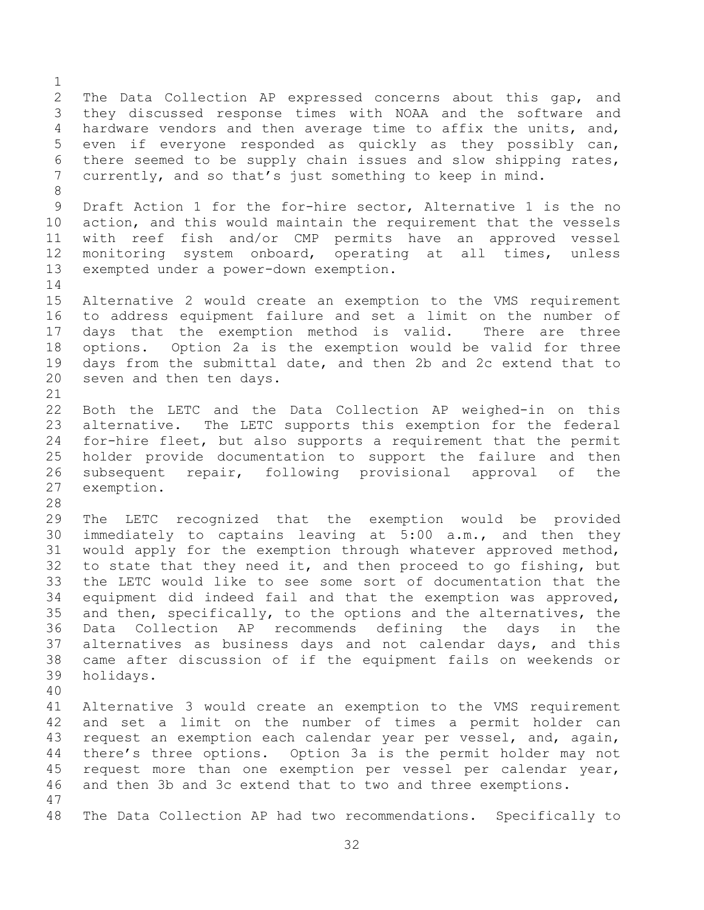$\frac{1}{2}$ 2 The Data Collection AP expressed concerns about this gap, and<br>3 they discussed response times with NOAA and the software and 3 they discussed response times with NOAA and the software and<br>4 hardware vendors and then average time to affix the units, and, 4 hardware vendors and then average time to affix the units, and,<br>5 even if everyone responded as quickly as they possibly can, 5 even if everyone responded as quickly as they possibly can,<br>6 there seemed to be supply chain issues and slow shipping rates, 6 there seemed to be supply chain issues and slow shipping rates,<br>7 currently, and so that's just something to keep in mind. currently, and so that's just something to keep in mind. 8 9 Draft Action 1 for the for-hire sector, Alternative 1 is the no<br>10 action, and this would maintain the requirement that the vessels 10 action, and this would maintain the requirement that the vessels<br>11 with reef fish and/or CMP permits have an approved vessel 11 with reef fish and/or CMP permits have an approved vessel<br>12 monitoring system onboard, operating at all times, unless 12 monitoring system onboard, operating at all times, unless<br>13 exempted under a power-down exemption. exempted under a power-down exemption.  $\frac{14}{15}$ 15 Alternative 2 would create an exemption to the VMS requirement<br>16 to address equipment failure and set a limit on the number of to address equipment failure and set a limit on the number of 17 days that the exemption method is valid. There are three<br>18 options. Option 2a is the exemption would be valid for three 18 options. Option 2a is the exemption would be valid for three<br>19 davs from the submittal date, and then 2b and 2c extend that to 19 days from the submittal date, and then 2b and 2c extend that to 20 seven and then ten days. seven and then ten days. 21<br>22 22 Both the LETC and the Data Collection AP weighed-in on this<br>23 alternative. The LETC supports this exemption for the federal 23 alternative. The LETC supports this exemption for the federal<br>24 for-hire fleet, but also supports a requirement that the permit 24 for-hire fleet, but also supports a requirement that the permit<br>25 holder provide documentation to support the failure and then 25 holder provide documentation to support the failure and then<br>26 subsequent repair, following provisional approval of the 26 subsequent repair, following provisional approval of the<br>27 exemption. exemption. 28<br>29 29 The LETC recognized that the exemption would be provided<br>30 immediately to captains leaving at 5:00 a.m., and then they 30 immediately to captains leaving at 5:00 a.m., and then they<br>31 would apply for the exemption through whatever approved method, would apply for the exemption through whatever approved method, 32 to state that they need it, and then proceed to go fishing, but<br>33 the LETC would like to see some sort of documentation that the 33 the LETC would like to see some sort of documentation that the<br>34 equipment did indeed fail and that the exemption was approved. 34 equipment did indeed fail and that the exemption was approved,<br>35 and then, specifically, to the options and the alternatives, the 35 and then, specifically, to the options and the alternatives, the<br>36 Data Collection AP recommends defining the davs in the 36 Data Collection AP recommends defining the days in the<br>37 alternatives as business days and not calendar days, and this 37 alternatives as business days and not calendar days, and this<br>38 came after discussion of if the equipment fails on weekends or 38 came after discussion of if the equipment fails on weekends or holidays. 40 41 Alternative 3 would create an exemption to the VMS requirement<br>42 and set a limit on the number of times a permit holder can 42 and set a limit on the number of times a permit holder can<br>43 request an exemption each calendar year per vessel, and, again, 43 request an exemption each calendar year per vessel, and, again,<br>44 there's three options. Option 3a is the permit holder may not 44 there's three options. Option 3a is the permit holder may not<br>45 request more than one exemption per vessel per calendar year, 45 request more than one exemption per vessel per calendar year,<br>46 and then 3b and 3c extend that to two and three exemptions. and then 3b and 3c extend that to two and three exemptions. 47 48 The Data Collection AP had two recommendations. Specifically to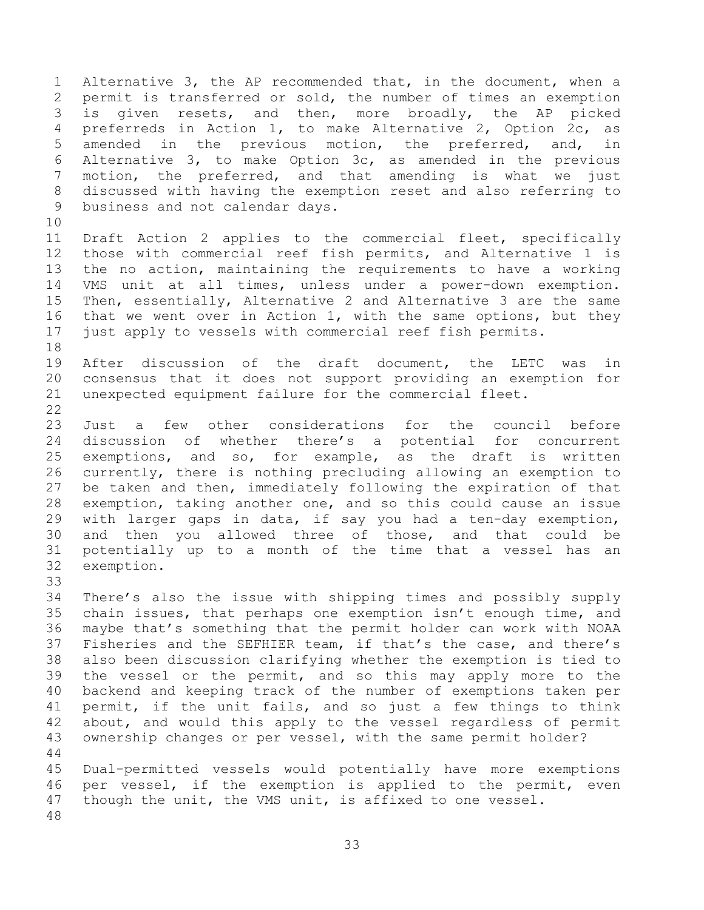1 Alternative 3, the AP recommended that, in the document, when a<br>2 permit is transferred or sold, the number of times an exemption 2 permit is transferred or sold, the number of times an exemption<br>3 is given resets, and then, more broadly, the AP picked 3 is given resets, and then, more broadly, the AP picked<br>4 preferreds in Action 1, to make Alternative 2, Option 2c, as 4 preferreds in Action 1, to make Alternative 2, Option 2c, as<br>5 amended in the previous motion, the preferred, and, in 5 amended in the previous motion, the<br>6 Alternative 3, to make Option 3c, as ame 6 Alternative 3, to make Option 3c, as amended in the previous<br>7 motion, the preferred, and that amending is what we just motion, the preferred, and that amending is what we just 8 discussed with having the exemption reset and also referring to 9 business and not calendar days.

10<br>11 11 Draft Action 2 applies to the commercial fleet, specifically<br>12 those with commercial reef fish permits, and Alternative 1 is 12 those with commercial reef fish permits, and Alternative 1 is<br>13 the no action, maintaining the requirements to have a working 13 the no action, maintaining the requirements to have a working<br>14 VMS unit at all times, unless under a power-down exemption. 14 VMS unit at all times, unless under a power-down exemption.<br>15 Then, essentially, Alternative 2 and Alternative 3 are the same 15 Then, essentially, Alternative 2 and Alternative 3 are the same<br>16 that we went over in Action 1, with the same options, but they that we went over in Action 1, with the same options, but they 17 just apply to vessels with commercial reef fish permits.

18<br>19 19 After discussion of the draft document, the LETC was in<br>20 consensus that it does not support providing an exemption for 20 consensus that it does not support providing an exemption for<br>21 unexpected equipment failure for the commercial fleet. unexpected equipment failure for the commercial fleet.

 $\frac{22}{23}$ 23 Just a few other considerations for the council before<br>24 discussion of whether there's a potential for concurrent 24 discussion of whether there's a potential for concurrent<br>25 exemptions, and so, for example, as the draft is written 25 exemptions, and so, for example, as the draft is written<br>26 currently, there is nothing precluding allowing an exemption to 26 currently, there is nothing precluding allowing an exemption to<br>27 be taken and then, immediately following the expiration of that 27 be taken and then, immediately following the expiration of that<br>28 exemption, taking another one, and so this could cause an issue 28 exemption, taking another one, and so this could cause an issue<br>29 with larger gaps in data, if say you had a ten-day exemption, 29 with larger gaps in data, if say you had a ten-day exemption,<br>30 and then you allowed three of those, and that could be 30 and then you allowed three of those, and that could be<br>31 potentially up to a month of the time that a vessel has an 31 potentially up to a month of the time that a vessel has an exemption.

33<br>34

34 There's also the issue with shipping times and possibly supply<br>35 chain issues, that perhaps one exemption isn't enough time, and 35 chain issues, that perhaps one exemption isn't enough time, and<br>36 maybe that's something that the permit holder can work with NOAA 36 maybe that's something that the permit holder can work with NOAA<br>37 Fisheries and the SEFHIER team, if that's the case, and there's 37 Fisheries and the SEFHIER team, if that's the case, and there's<br>38 also been discussion clarifying whether the exemption is tied to 38 also been discussion clarifying whether the exemption is tied to<br>39 the vessel or the permit, and so this may apply more to the the vessel or the permit, and so this may apply more to the 40 backend and keeping track of the number of exemptions taken per 41 permit, if the unit fails, and so just a few things to think<br>42 about, and would this apply to the vessel regardless of permit 42 about, and would this apply to the vessel regardless of permit<br>43 ownership changes or per vessel, with the same permit holder? ownership changes or per vessel, with the same permit holder?

 $\begin{array}{c} 44 \\ 45 \end{array}$ 45 Dual-permitted vessels would potentially have more exemptions<br>46 per vessel, if the exemption is applied to the permit, even 46 per vessel, if the exemption is applied to the permit, even<br>47 though the unit, the VMS unit, is affixed to one vessel. though the unit, the VMS unit, is affixed to one vessel.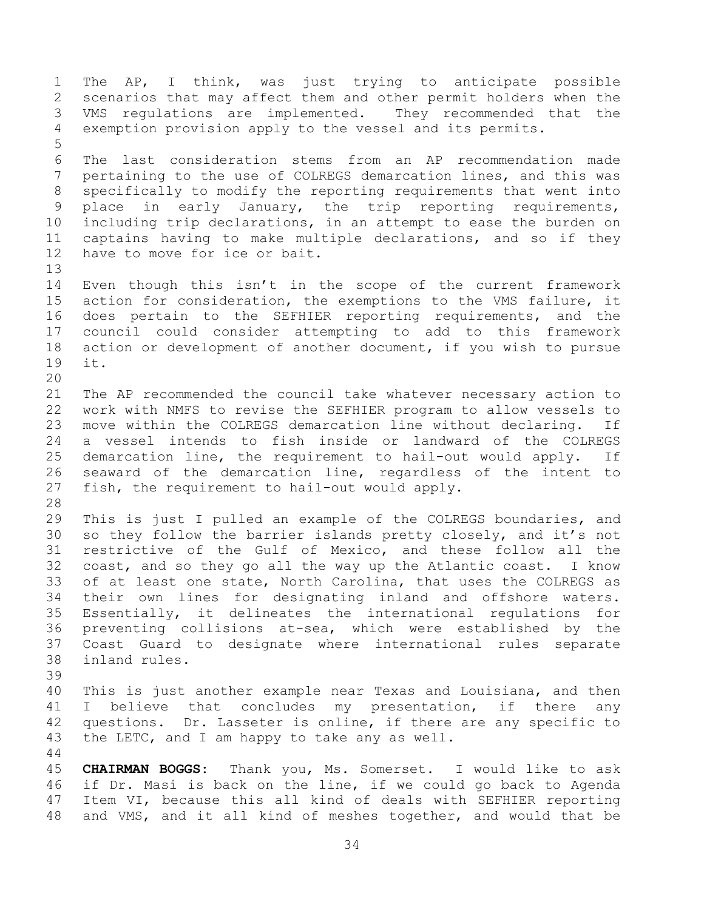1 The AP, I think, was just trying to anticipate possible<br>2 scenarios that may affect them and other permit holders when the 2 scenarios that may affect them and other permit holders when the<br>3 VMS requlations are implemented. They recommended that the 3 VMS regulations are implemented. They recommended that the<br>4 exemption provision apply to the vessel and its permits. exemption provision apply to the vessel and its permits. 5 6 The last consideration stems from an AP recommendation made<br>7 pertaining to the use of COLREGS demarcation lines, and this was pertaining to the use of COLREGS demarcation lines, and this was 8 specifically to modify the reporting requirements that went into 9 place in early January, the trip reporting requirements,<br>10 including trip declarations, in an attempt to ease the burden on 10 including trip declarations, in an attempt to ease the burden on<br>11 captains having to make multiple declarations, and so if they 11 captains having to make multiple declarations, and so if they<br>12 have to move for ice or bait. have to move for ice or bait. 13<br>14 14 Even though this isn't in the scope of the current framework<br>15 action for consideration, the exemptions to the VMS failure, it 15 action for consideration, the exemptions to the VMS failure, it<br>16 does pertain to the SEFHIER reporting requirements, and the does pertain to the SEFHIER reporting requirements, and the 17 council could consider attempting to add to this framework<br>18 action or development of another document, if you wish to pursue 18 action or development of another document, if you wish to pursue<br>19 it. it. 20<br>21 21 The AP recommended the council take whatever necessary action to<br>22 work with NMFS to revise the SEFHIER program to allow vessels to 22 work with NMFS to revise the SEFHIER program to allow vessels to<br>23 move within the COLREGS demarcation line without declaring. If 23 move within the COLREGS demarcation line without declaring.<br>24 a vessel intends to fish inside or landward of the COL 24 a vessel intends to fish inside or landward of the COLREGS<br>25 demarcation line, the requirement to hail-out would apply. If 25 demarcation line, the requirement to hail-out would apply. If<br>26 seaward of the demarcation line, regardless of the intent to 26 seaward of the demarcation line, regardless of the intent to<br>27 fish, the requirement to hail-out would apply. fish, the requirement to hail-out would apply. 28<br>29 29 This is just I pulled an example of the COLREGS boundaries, and<br>30 so they follow the barrier islands pretty closely, and it's not 30 so they follow the barrier islands pretty closely, and it's not<br>31 restrictive of the Gulf of Mexico, and these follow all the restrictive of the Gulf of Mexico, and these follow all the 32 coast, and so they go all the way up the Atlantic coast. I know<br>33 of at least one state, North Carolina, that uses the COLREGS as 33 of at least one state, North Carolina, that uses the COLREGS as<br>34 their own lines for designating inland and offshore waters. 34 their own lines for designating inland and offshore waters.<br>35 Essentially, it delineates the international requlations for 35 Essentially, it delineates the international regulations for<br>36 preventing collisions at-sea, which were established by the 36 preventing collisions at-sea, which were established by the<br>37 Coast Guard to designate where international rules separate 37 Coast Guard to designate where international rules separate inland rules. 39 40 This is just another example near Texas and Louisiana, and then 41 I believe that concludes my presentation, if there any<br>42 questions. Dr. Lasseter is online, if there are any specific to 42 questions. Dr. Lasseter is online, if there are any specific to<br>43 the LETC, and I am happy to take any as well. the LETC, and I am happy to take any as well.  $\begin{array}{c} 44 \\ 45 \end{array}$ 45 **CHAIRMAN BOGGS:** Thank you, Ms. Somerset. I would like to ask 46 if Dr. Masi is back on the line, if we could go back to Agenda<br>47 Item VI, because this all kind of deals with SEFHIER reporting Item VI, because this all kind of deals with SEFHIER reporting 48 and VMS, and it all kind of meshes together, and would that be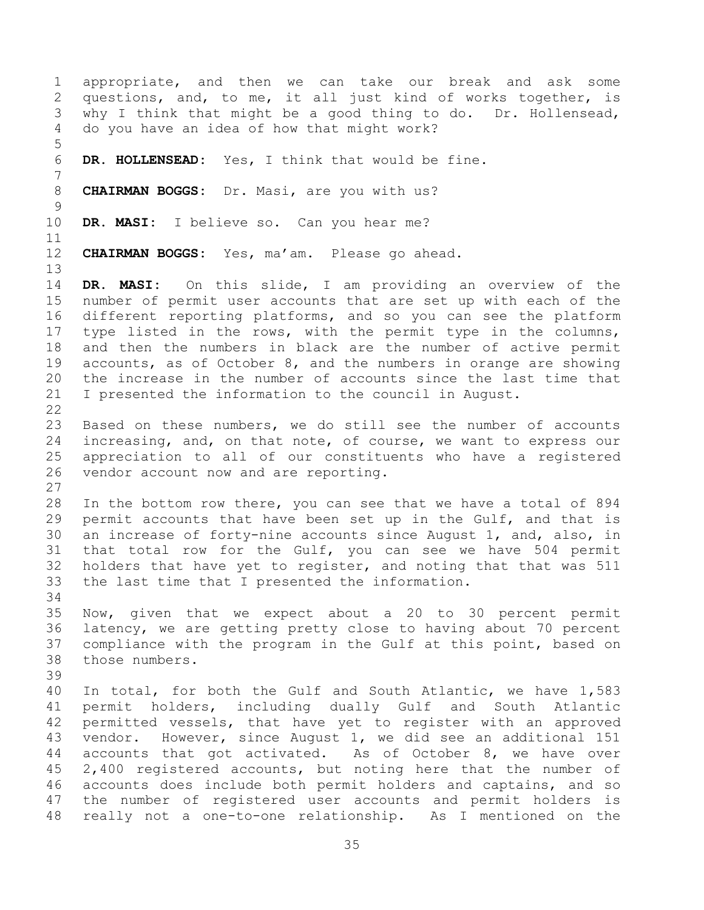1 appropriate, and then we can take our break and ask some<br>2 questions, and, to me, it all just kind of works together, is 2 questions, and, to me, it all just kind of works together, is<br>3 why I think that might be a good thing to do. Dr. Hollensead, 3 why I think that might be a good thing to do. Dr. Hollensead,<br>4 do vou have an idea of how that might work? do you have an idea of how that might work? 5 DR. HOLLENSEAD: Yes, I think that would be fine. 7 8 **CHAIRMAN BOGGS:** Dr. Masi, are you with us?  $\begin{array}{c} 9 \\ 10 \end{array}$ DR. MASI: I believe so. Can you hear me? 11<br>12 12 **CHAIRMAN BOGGS:** Yes, ma'am. Please go ahead. 13<br>14 14 **DR. MASI:** On this slide, I am providing an overview of the 15 number of permit user accounts that are set up with each of the<br>16 different reporting platforms, and so you can see the platform different reporting platforms, and so you can see the platform 17 type listed in the rows, with the permit type in the columns,<br>18 and then the numbers in black are the number of active permit 18 and then the numbers in black are the number of active permit<br>19 accounts, as of October 8, and the numbers in orange are showing 19 accounts, as of October 8, and the numbers in orange are showing<br>20 the increase in the number of accounts since the last time that 20 the increase in the number of accounts since the last time that<br>21 I presented the information to the council in August. I presented the information to the council in August.  $\frac{22}{23}$ 23 Based on these numbers, we do still see the number of accounts<br>24 increasing, and, on that note, of course, we want to express our 24 increasing, and, on that note, of course, we want to express our<br>25 appreciation to all of our constituents who have a registered 25 appreciation to all of our constituents who have a registered<br>26 vendor account now and are reporting. vendor account now and are reporting.  $\frac{27}{28}$ 28 In the bottom row there, you can see that we have a total of 894<br>29 permit accounts that have been set up in the Gulf, and that is 29 permit accounts that have been set up in the Gulf, and that is<br>30 an increase of forty-nine accounts since August 1, and, also, in 30 an increase of forty-nine accounts since August 1, and, also, in<br>31 that total row for the Gulf, you can see we have 504 permit that total row for the Gulf, you can see we have 504 permit 32 holders that have yet to register, and noting that that was 511<br>33 the last time that I presented the information. the last time that I presented the information. 34<br>35 35 Now, given that we expect about a 20 to 30 percent permit<br>36 latency, we are getting pretty close to having about 70 percent 36 latency, we are getting pretty close to having about 70 percent<br>37 compliance with the program in the Gulf at this point, based on 37 compliance with the program in the Gulf at this point, based on<br>38 those numbers. those numbers. 39 40 In total, for both the Gulf and South Atlantic, we have 1,583 41 permit holders, including dually Gulf and South Atlantic<br>42 permitted vessels, that have vet to register with an approved 42 permitted vessels, that have yet to register with an approved<br>43 vendor. However, since Auqust 1, we did see an additional 151 43 vendor. However, since August 1, we did see an additional 151<br>44 accounts that got activated. As of October 8, we have over 44 accounts that got activated. As of October 8, we have over<br>45 2,400 registered accounts, but noting here that the number of 45 2,400 registered accounts, but noting here that the number of<br>46 accounts does include both permit holders and captains, and so 46 accounts does include both permit holders and captains, and so<br>47 the number of registered user accounts and permit holders is the number of registered user accounts and permit holders is 48 really not a one-to-one relationship. As I mentioned on the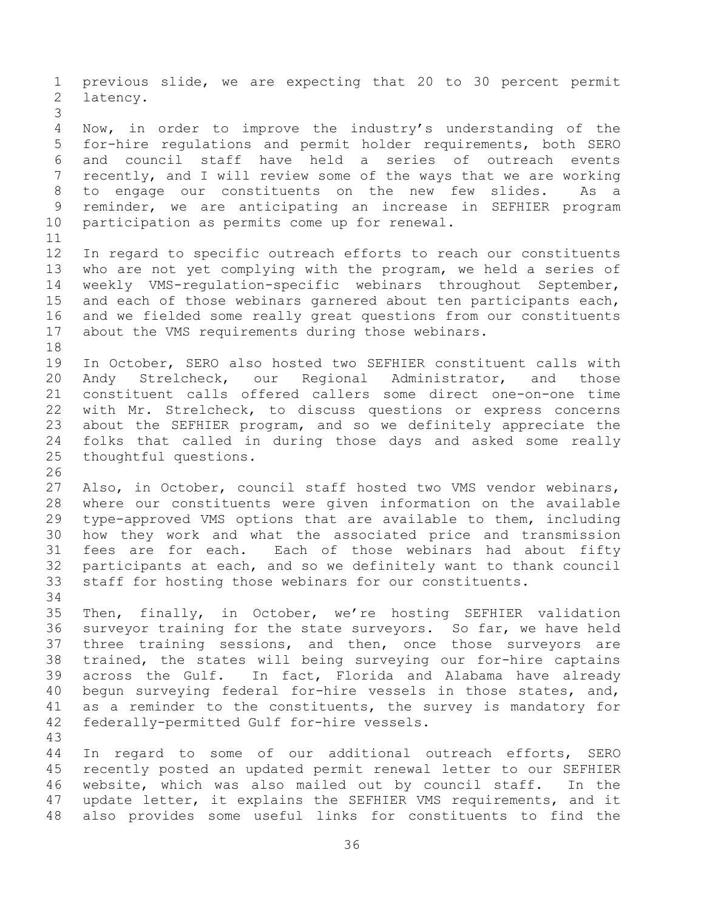1 previous slide, we are expecting that 20 to 30 percent permit<br>2 latency. latency. 3 4 Now, in order to improve the industry's understanding of the<br>5 for-hire regulations and permit holder requirements, both SERO 5 for-hire regulations and permit holder requirements, both SERO<br>6 and council staff have held a series of outreach events 6 and council staff have held a series of outreach events<br>7 recently, and I will review some of the ways that we are working recently, and I will review some of the ways that we are working 8 to engage our constituents on the new few slides. As a 9 reminder, we are anticipating an increase in SEFHIER program<br>10 participation as permits come up for renewal. participation as permits come up for renewal. 11<br>12 12 In regard to specific outreach efforts to reach our constituents<br>13 who are not yet complying with the program, we held a series of 13 who are not yet complying with the program, we held a series of<br>14 weekly VMS-requlation-specific webinars throughout September, 14 weekly VMS-regulation-specific webinars throughout September,<br>15 and each of those webinars garnered about ten participants each. 15 and each of those webinars garnered about ten participants each,<br>16 and we fielded some really great questions from our constituents and we fielded some really great questions from our constituents 17 about the VMS requirements during those webinars. 18<br>19 19 In October, SERO also hosted two SEFHIER constituent calls with<br>20 Andy Strelcheck, our Regional Administrator, and those 20 Andy Strelcheck, our Regional Administrator,<br>21 constituent calls offered callers some direct one 21 constituent calls offered callers some direct one-on-one time<br>22 with Mr. Strelcheck, to discuss questions or express concerns 22 with Mr. Strelcheck, to discuss questions or express concerns<br>23 about the SEFHIER program, and so we definitely appreciate the 23 about the SEFHIER program, and so we definitely appreciate the<br>24 folks that called in during those days and asked some really 24 folks that called in during those days and asked some really<br>25 thoughtful questions. thoughtful questions. 26<br>27 27 Also, in October, council staff hosted two VMS vendor webinars,<br>28 where our constituents were given information on the available 28 where our constituents were given information on the available<br>29 type-approved VMS options that are available to them, including 29 type-approved VMS options that are available to them, including<br>30 how they work and what the associated price and transmission 30 how they work and what the associated price and transmission<br>31 fees are for each. Each of those webinars had about fifty fees are for each. Each of those webinars had about fifty 32 participants at each, and so we definitely want to thank council<br>33 staff for hosting those webinars for our constituents. staff for hosting those webinars for our constituents. 34<br>35 35 Then, finally, in October, we're hosting SEFHIER validation<br>36 survevor training for the state survevors. So far, we have held 36 surveyor training for the state surveyors. So far, we have held<br>37 three training sessions, and then, once those surveyors are 37 three training sessions, and then, once those surveyors are<br>38 trained, the states will being surveying our for-hire captains 38 trained, the states will being surveying our for-hire captains<br>39 across the Gulf. In fact, Florida and Alabama have already across the Gulf. In fact, Florida and Alabama have already 40 begun surveying federal for-hire vessels in those states, and, 41 as a reminder to the constituents, the survey is mandatory for<br>42 federallv-permitted Gulf for-hire vessels. federally-permitted Gulf for-hire vessels. 43 44 In regard to some of our additional outreach efforts, SERO<br>45 recently posted an updated permit renewal letter to our SEFHIER 45 recently posted an updated permit renewal letter to our SEFHIER<br>46 website, which was also mailed out by council staff. In the 46 website, which was also mailed out by council staff.<br>47 update letter, it explains the SEFHIER VMS requirements update letter, it explains the SEFHIER VMS requirements, and it

36

48 also provides some useful links for constituents to find the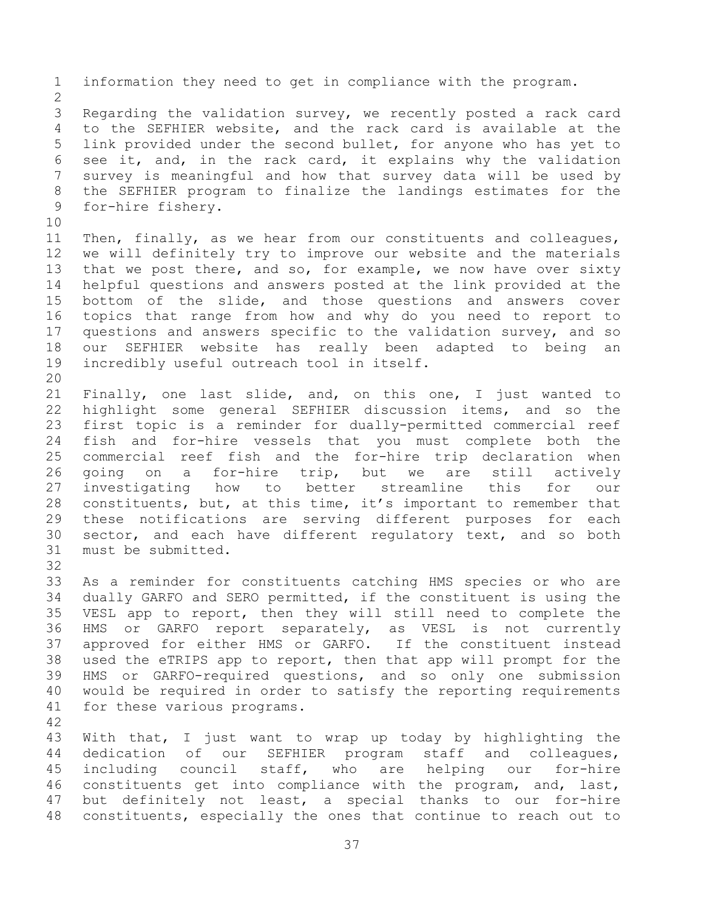1 information they need to get in compliance with the program.  $\frac{2}{3}$ 3 Regarding the validation survey, we recently posted a rack card<br>4 to the SEFHIER website, and the rack card is available at the 4 to the SEFHIER website, and the rack card is available at the<br>5 link provided under the second bullet, for anyone who has yet to 5 link provided under the second bullet, for anyone who has yet to<br>6 see it, and, in the rack card, it explains why the validation 6 see it, and, in the rack card, it explains why the validation<br>7 survey is meaningful and how that survey data will be used by survey is meaningful and how that survey data will be used by 8 the SEFHIER program to finalize the landings estimates for the 9 for-hire fishery. 10<br>11 11 Then, finally, as we hear from our constituents and colleagues,<br>12 we will definitely try to improve our website and the materials 12 we will definitely try to improve our website and the materials<br>13 that we post there, and so, for example, we now have over sixty 13 that we post there, and so, for example, we now have over sixty<br>14 helpful questions and answers posted at the link provided at the 14 helpful questions and answers posted at the link provided at the<br>15 bottom of the slide, and those questions and answers cover 15 bottom of the slide, and those questions and answers cover<br>16 topics that range from how and why do you need to report to topics that range from how and why do you need to report to 17 questions and answers specific to the validation survey, and so<br>18 our SEFHIER website has really been adapted to being an 18 our SEFHIER website has really been adapted to being<br>19 incredibly useful outreach tool in itself. incredibly useful outreach tool in itself. 20<br>21 21 Finally, one last slide, and, on this one, I just wanted to<br>22 highlight some general SEFHIER discussion items, and so the 22 highlight some general SEFHIER discussion items, and so the<br>23 first topic is a reminder for dually-permitted commercial reef 23 first topic is a reminder for dually-permitted commercial reef<br>24 fish and for-hire vessels that you must complete both the 24 fish and for-hire vessels that you must complete both the<br>25 commercial reef fish and the for-hire trip declaration when 25 commercial reef fish and the for-hire trip declaration when<br>26 going on a for-hire trip, but we are still actively 26 going on a for-hire trip, but we are still act<br>27 investigating how to better streamline this for 27 investigating how to better streamline this for our<br>28 constituents, but, at this time, it's important to remember that 28 constituents, but, at this time, it's important to remember that<br>29 these notifications are serving different purposes for each 29 these notifications are serving different purposes for each<br>30 sector, and each have different regulatory text, and so both 30 sector, and each have different regulatory text, and so both 31 must be submitted. must be submitted. 32<br>33 33 As a reminder for constituents catching HMS species or who are<br>34 dually GARFO and SERO permitted, if the constituent is using the 34 dually GARFO and SERO permitted, if the constituent is using the<br>35 VESL app to report, then they will still need to complete the 35 VESL app to report, then they will still need to complete the<br>36 HMS or GARFO report separately, as VESL is not currently 36 HMS or GARFO report separately, as VESL is not currently<br>37 approved for either HMS or GARFO. If the constituent instead 37 approved for either HMS or GARFO.<br>38 used the eTRIPS app to report, then 38 used the eTRIPS app to report, then that app will prompt for the<br>39 HMS or GARFO-required questions, and so only one submission HMS or GARFO-required questions, and so only one submission 40 would be required in order to satisfy the reporting requirements 41 for these various programs. 42 43 With that, I just want to wrap up today by highlighting the<br>44 dedication of our SEFHIER program staff and colleagues, 44 dedication of our SEFHIER program staff and colleagues,<br>45 including council staff, who are helping our for-hire

45 including council staff, who are helping our<br>46 constituents get into compliance with the program, a 46 constituents get into compliance with the program, and, last,<br>47 but definitely not least, a special thanks to our for-hire but definitely not least, a special thanks to our for-hire 48 constituents, especially the ones that continue to reach out to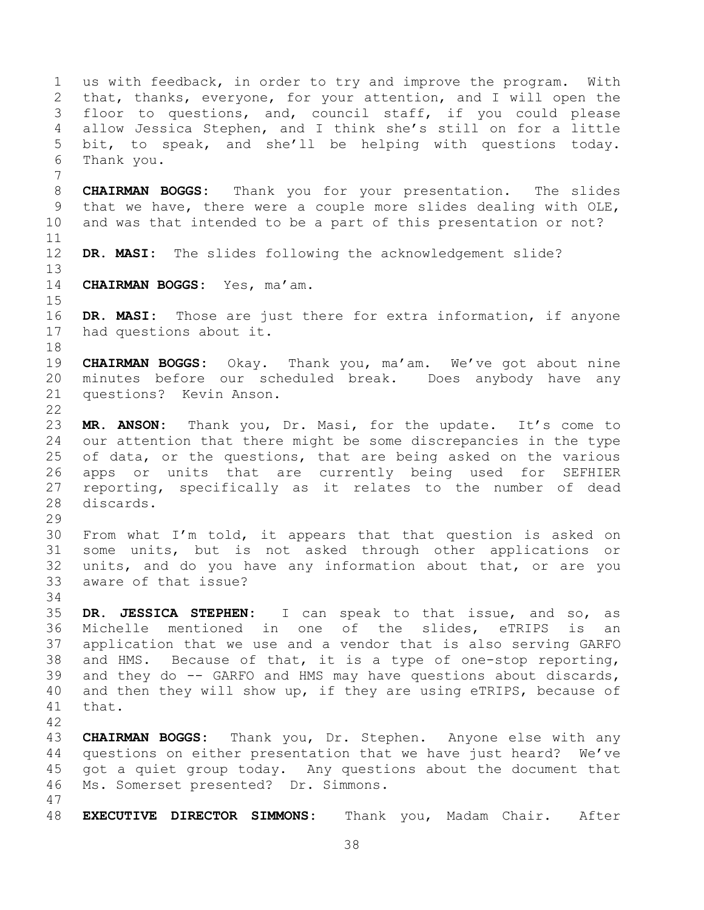1 us with feedback, in order to try and improve the program. With<br>2 that, thanks, everyone, for your attention, and I will open the 2 that, thanks, everyone, for your attention, and I will open the<br>3 floor to questions, and, council staff, if you could please 3 floor to questions, and, council staff, if you could please<br>4 allow Jessica Stephen, and I think she's still on for a little 4 allow Jessica Stephen, and I think she's still on for a little<br>5 bit, to speak, and she'll be helping with questions today. 5 bit, to speak, and she'll be helping with questions today.<br>6 Thank vou. Thank you. 7 8 **CHAIRMAN BOGGS:** Thank you for your presentation. The slides 9 that we have, there were a couple more slides dealing with OLE,<br>10 and was that intended to be a part of this presentation or not? and was that intended to be a part of this presentation or not? 11<br>12 DR. MASI: The slides following the acknowledgement slide? 13<br>14 14 **CHAIRMAN BOGGS:** Yes, ma'am.  $15$ <br> $16$ DR. MASI: Those are just there for extra information, if anyone 17 had questions about it. 18<br>19 19 **CHAIRMAN BOGGS:** Okay. Thank you, ma'am. We've got about nine 20 minutes before our scheduled break. Does anybody have any<br>21 questions? Kevin Anson. questions? Kevin Anson.  $\frac{22}{23}$ MR. ANSON: Thank you, Dr. Masi, for the update. It's come to 24 our attention that there might be some discrepancies in the type<br>25 of data, or the questions, that are being asked on the various 25 of data, or the questions, that are being asked on the various<br>26 apps or units that are currently being used for SEFHIER 26 apps or units that are currently being used for<br>27 reporting, specifically as it relates to the number 27 reporting, specifically as it relates to the number of dead<br>28 discards. discards. 29<br>30 30 From what I'm told, it appears that that question is asked on<br>31 some units, but is not asked through other applications or some units, but is not asked through other applications or 32 units, and do you have any information about that, or are you<br>33 aware of that issue? aware of that issue? 34<br>35 35 **DR. JESSICA STEPHEN:** I can speak to that issue, and so, as 36 Michelle mentioned in one of the slides, eTRIPS is an<br>37 application that we use and a vendor that is also serving GARFO 37 application that we use and a vendor that is also serving GARFO<br>38 and HMS. Because of that, it is a type of one-stop reporting, 38 and HMS. Because of that, it is a type of one-stop reporting,<br>39 and they do -- GARFO and HMS may have questions about discards, and they do  $-$ - GARFO and HMS may have questions about discards, 40 and then they will show up, if they are using eTRIPS, because of 41 that. 42 43 **CHAIRMAN BOGGS:** Thank you, Dr. Stephen. Anyone else with any 44 questions on either presentation that we have just heard? We've<br>45 qot a quiet group today. Any questions about the document that 45 got a quiet group today. Any questions about the document that<br>46 Ms. Somerset presented? Dr. Simmons. Ms. Somerset presented? Dr. Simmons. 47 48 **EXECUTIVE DIRECTOR SIMMONS:** Thank you, Madam Chair. After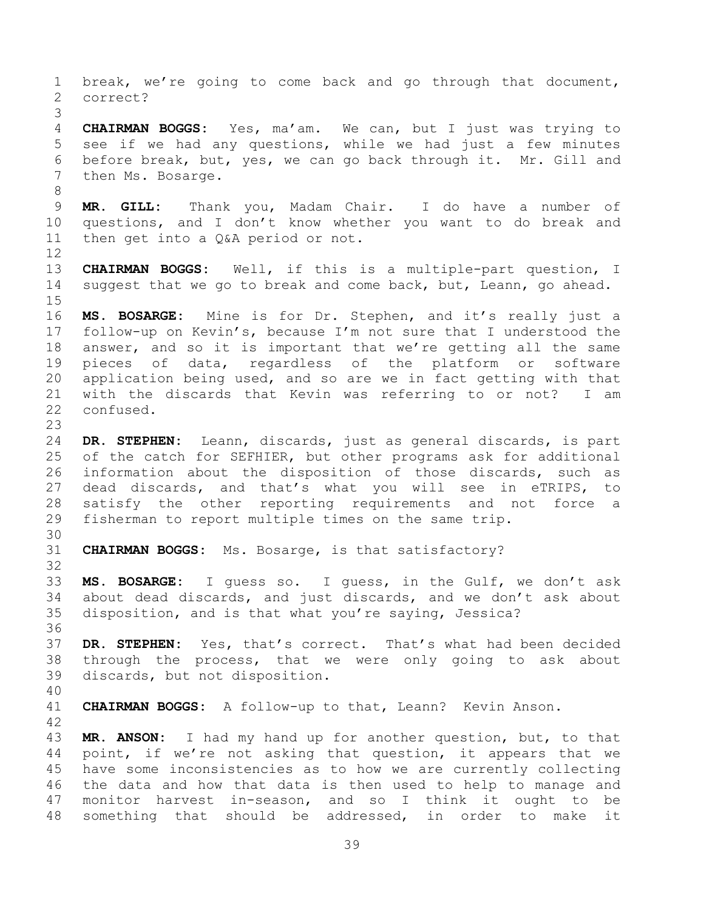1 break, we're going to come back and go through that document,<br>2 correct? 2 correct? 3 4 **CHAIRMAN BOGGS:** Yes, ma'am. We can, but I just was trying to 5 see if we had any questions, while we had just a few minutes<br>6 before break, but, ves, we can go back through it. Mr. Gill and 6 before break, but, yes, we can go back through it. Mr. Gill and then Ms. Bosarge. 8 9 **MR. GILL:** Thank you, Madam Chair. I do have a number of 10 questions, and I don't know whether you want to do break and<br>11 then get into a Q&A period or not. then get into a Q&A period or not. 12<br>13 13 **CHAIRMAN BOGGS:** Well, if this is a multiple-part question, I suggest that we go to break and come back, but, Leann, go ahead.  $\frac{15}{16}$ MS. BOSARGE: Mine is for Dr. Stephen, and it's really just a 17 follow-up on Kevin's, because I'm not sure that I understood the<br>18 answer, and so it is important that we're getting all the same 18 answer, and so it is important that we're getting all the same<br>19 pieces of data, regardless of the platform or software 19 pieces of data, regardless of the platform or software<br>20 application being used, and so are we in fact getting with that 20 application being used, and so are we in fact getting with that<br>21 with the discards that Kevin was referring to or not? I am 21 with the discards that Kevin was referring to or not? I am<br>22 confused. confused. 23 24 **DR. STEPHEN:** Leann, discards, just as general discards, is part 25 of the catch for SEFHIER, but other programs ask for additional<br>26 information about the disposition of those discards, such as 26 information about the disposition of those discards, such as<br>27 dead discards, and that's what you will see in eTRIPS, to 27 dead discards, and that's what you will see in eTRIPS, to<br>28 satisfy the other reporting requirements and not force a 28 satisfy the other reporting requirements and not force a<br>29 fisherman to report-multiple-times on the same-trip. fisherman to report multiple times on the same trip. 30<br>31 CHAIRMAN BOGGS: Ms. Bosarge, is that satisfactory? 32<br>33 33 **MS. BOSARGE:** I guess so. I guess, in the Gulf, we don't ask 34 about dead discards, and just discards, and we don't ask about<br>35 disposition, and is that what you're saying, Jessica? disposition, and is that what you're saying, Jessica? 36<br>37 37 **DR. STEPHEN:** Yes, that's correct. That's what had been decided 38 through the process, that we were only going to ask about<br>39 discards, but not disposition. discards, but not disposition. 40 41 **CHAIRMAN BOGGS:** A follow-up to that, Leann? Kevin Anson. 42 43 **MR. ANSON:** I had my hand up for another question, but, to that 44 point, if we're not asking that question, it appears that we 44 point, if we're not asking that question, it appears that we<br>45 have some inconsistencies as to how we are currently collecting 45 have some inconsistencies as to how we are currently collecting<br>46 the data and how that data is then used to help to manage and 46 the data and how that data is then used to help to manage and<br>47 monitor harvest in-season, and so I think it ought to be monitor harvest in-season, and so I think it ought to be 48 something that should be addressed, in order to make it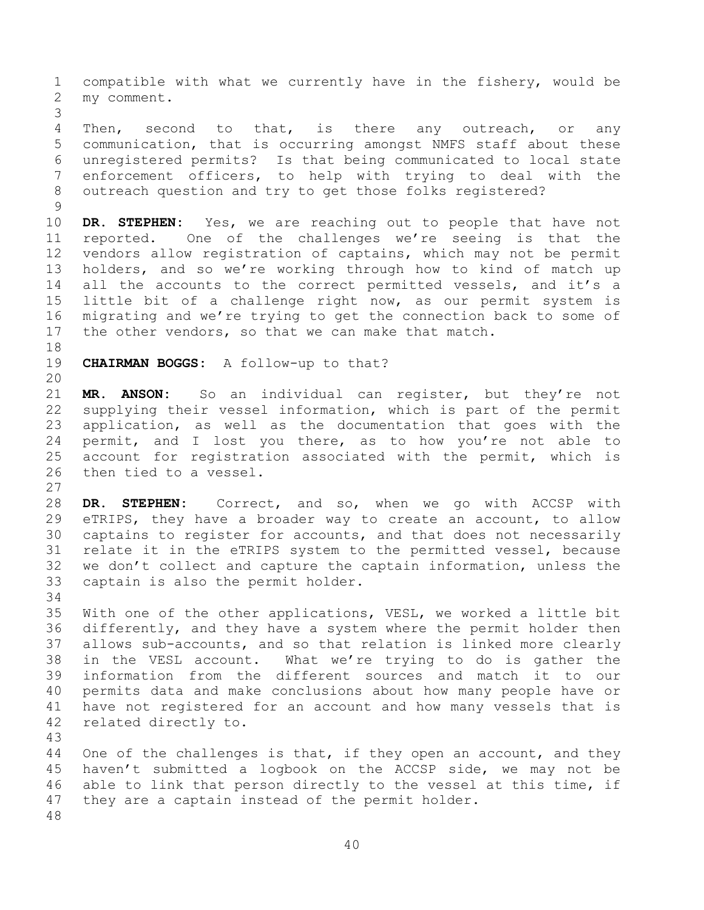1 compatible with what we currently have in the fishery, would be<br>2 my comment. my comment.

3 4 Then, second to that, is there any outreach, or any<br>5 communication, that is occurring amongst NMFS staff about these 5 communication, that is occurring amongst NMFS staff about these<br>6 unregistered permits? Is that being communicated to local state 6 unregistered permits? Is that being communicated to local state enforcement officers, to help with trying to deal with the 8 outreach question and try to get those folks registered?

 $\begin{array}{c} 9 \\ 10 \end{array}$ 10 DR. STEPHEN: Yes, we are reaching out to people that have not<br>11 reported. One of the challenges we're seeing is that the 11 reported. One of the challenges we're seeing is that the<br>12 vendors allow registration of captains, which may not be permit 12 vendors allow registration of captains, which may not be permit<br>13 holders, and so we're working through how to kind of match up 13 holders, and so we're working through how to kind of match up<br>14 all the accounts to the correct permitted vessels, and it's a 14 all the accounts to the correct permitted vessels, and it's a<br>15 little bit of a challenge right now, as our permit system is 15 little bit of a challenge right now, as our permit system is<br>16 migrating and we're trying to get the connection back to some of migrating and we're trying to get the connection back to some of 17 the other vendors, so that we can make that match.

18<br>19

CHAIRMAN BOGGS: A follow-up to that?

20<br>21 21 **MR. ANSON:** So an individual can register, but they're not 22 supplying their vessel information, which is part of the permit<br>23 application, as well as the documentation that goes with the 23 application, as well as the documentation that goes with the<br>24 permit, and I lost you there, as to how you're not able to 24 permit, and I lost you there, as to how you're not able to<br>25 account for registration associated with the permit, which is 25 account for registration associated with the permit, which is<br>26 then tied to a vessel. then tied to a vessel.

 $\frac{27}{28}$ 28 DR. STEPHEN: Correct, and so, when we go with ACCSP with<br>29 eTRIPS, they have a broader way to create an account, to allow 29 eTRIPS, they have a broader way to create an account, to allow<br>30 captains to register for accounts, and that does not necessarily 30 captains to register for accounts, and that does not necessarily<br>31 relate it in the eTRIPS system to the permitted vessel, because 31 relate it in the eTRIPS system to the permitted vessel, because<br>32 we don't collect and capture the captain information, unless the 32 we don't collect and capture the captain information, unless the  $33$  captain is also the permit holder. captain is also the permit holder.

34<br>35

35 With one of the other applications, VESL, we worked a little bit<br>36 differently, and they have a system where the permit holder then 36 differently, and they have a system where the permit holder then<br>37 allows sub-accounts, and so that relation is linked more clearly 37 allows sub-accounts, and so that relation is linked more clearly<br>38 in the VESL account. What we're trying to do is gather the 38 in the VESL account. What we're trying to do is gather the information from the different sources and match it to our 40 permits data and make conclusions about how many people have or 41 have not registered for an account and how many vessels that is<br>42 related directly to. related directly to.

43

44 One of the challenges is that, if they open an account, and they<br>45 haven't submitted a logbook on the ACCSP side, we may not be 45 haven't submitted a logbook on the ACCSP side, we may not be<br>46 able to link that person directly to the vessel at this time, if 46 able to link that person directly to the vessel at this time, if<br>47 they are a captain instead of the permit holder. they are a captain instead of the permit holder.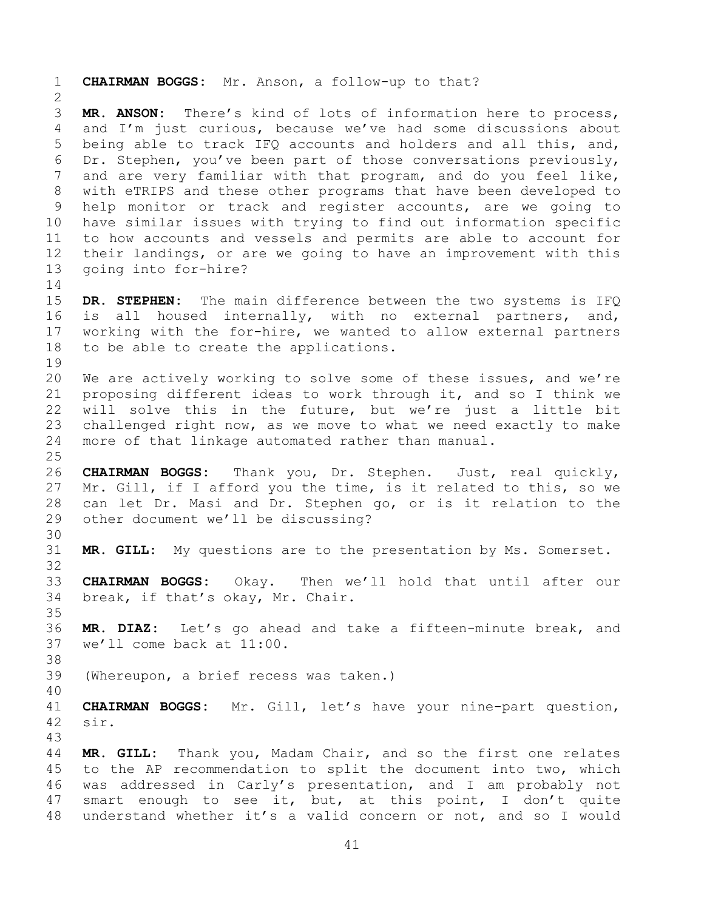1 **CHAIRMAN BOGGS:** Mr. Anson, a follow-up to that?  $\frac{2}{3}$ 3 **MR. ANSON:** There's kind of lots of information here to process,<br>4 and I'm just curious, because we've had some discussions about 4 and I'm just curious, because we've had some discussions about<br>5 being able to track IFQ accounts and holders and all this, and, 5 being able to track IFQ accounts and holders and all this, and,<br>6 Dr. Stephen, vou've been part of those conversations previously, 6 Dr. Stephen, you've been part of those conversations previously,<br>7 and are very familiar with that program, and do you feel like, and are very familiar with that program, and do you feel like, 8 with eTRIPS and these other programs that have been developed to 9 help monitor or track and register accounts, are we going to<br>10 have similar issues with trying to find out information specific 10 have similar issues with trying to find out information specific<br>11 to how accounts and vessels and permits are able to account for 11 to how accounts and vessels and permits are able to account for<br>12 their landings, or are we going to have an improvement with this 12 their landings, or are we going to have an improvement with this<br>13 qoing into for-hire? going into for-hire?  $\frac{14}{15}$ 15 **DR. STEPHEN:** The main difference between the two systems is IFQ<br>16 is all housed internally, with no external partners, and, is all housed internally, with no external partners, and, 17 working with the for-hire, we wanted to allow external partners<br>18 to be able to create the applications. to be able to create the applications. 19<br>20 20 We are actively working to solve some of these issues, and we're<br>21 proposing different ideas to work through it, and so I think we 21 proposing different ideas to work through it, and so I think we<br>22 will solve this in the future, but we're just a little bit 22 will solve this in the future, but we're just a little bit<br>23 challenged right now, as we move to what we need exactly to make 23 challenged right now, as we move to what we need exactly to make<br>24 more of that linkage automated rather than manual. more of that linkage automated rather than manual.  $\frac{25}{26}$ 26 **CHAIRMAN BOGGS:** Thank you, Dr. Stephen. Just, real quickly,<br>27 Mr. Gill, if I afford you the time, is it related to this, so we 27 Mr. Gill, if I afford you the time, is it related to this, so we<br>28 can let Dr. Masi and Dr. Stephen go, or is it relation to the 28 can let Dr. Masi and Dr. Stephen go, or is it relation to the<br>29 other document we'll be discussing? other document we'll be discussing? 30<br>31 MR. GILL: My questions are to the presentation by Ms. Somerset. 32<br>33 33 **CHAIRMAN BOGGS:** Okay. Then we'll hold that until after our break, if that's okay, Mr. Chair. 35<br>36 36 **MR. DIAZ:** Let's go ahead and take a fifteen-minute break, and we'll come back at 11:00. 38<br>39 (Whereupon, a brief recess was taken.) 40 41 **CHAIRMAN BOGGS:** Mr. Gill, let's have your nine-part question, sir. 43 44 **MR. GILL:** Thank you, Madam Chair, and so the first one relates 45 to the AP recommendation to split the document into two, which<br>46 was addressed in Carly's presentation, and I am probably not 46 was addressed in Carly's presentation, and I am probably not<br>47 smart enough to see it, but, at this point, I don't quite smart enough to see it, but, at this point, I don't quite 48 understand whether it's a valid concern or not, and so I would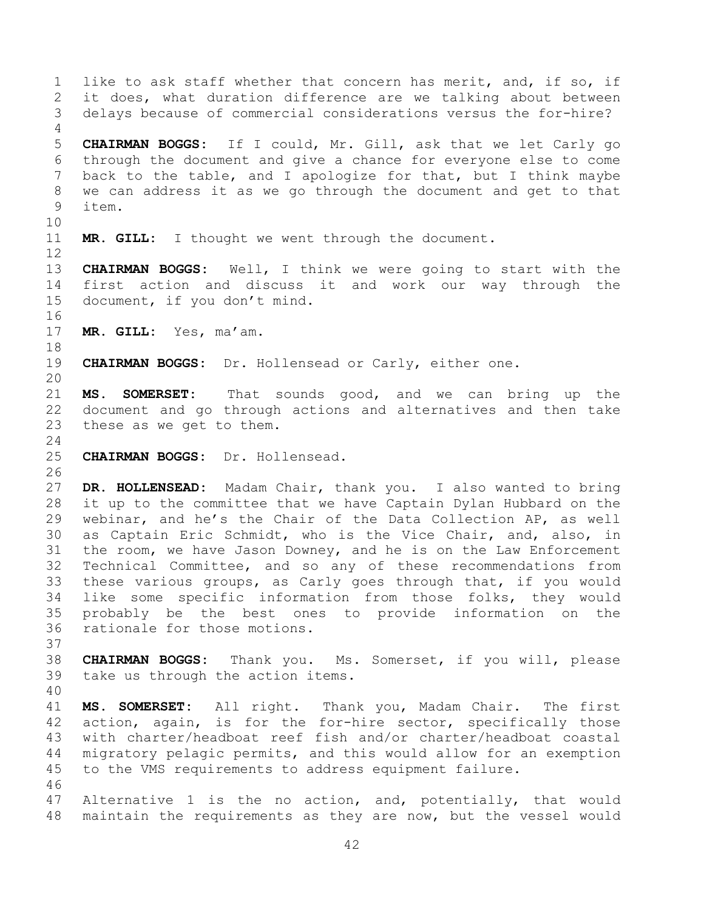42 1 like to ask staff whether that concern has merit, and, if so, if<br>2 it does, what duration difference are we talking about between 2 it does, what duration difference are we talking about between<br>3 delays because of commercial considerations versus the for-hire? delays because of commercial considerations versus the for-hire?  $\frac{4}{5}$ 5 **CHAIRMAN BOGGS:** If I could, Mr. Gill, ask that we let Carly go 6 through the document and give a chance for everyone else to come<br>7 back to the table, and I apologize for that, but I think maybe back to the table, and I apologize for that, but I think maybe 8 we can address it as we go through the document and get to that 9 item. 10<br>11 MR. GILL: I thought we went through the document.  $\begin{array}{c} 12 \\ 13 \end{array}$ 13 **CHAIRMAN BOGGS:** Well, I think we were going to start with the 14 first action and discuss it and work our way through the<br>15 document, if you don't mind. document, if you don't mind. 16<br>17 MR. GILL: Yes, ma'am. 18<br>19 19 **CHAIRMAN BOGGS:** Dr. Hollensead or Carly, either one. 20<br>21 21 **MS. SOMERSET:** That sounds good, and we can bring up the 22 document and go through actions and alternatives and then take<br>23 these as we get to them. these as we get to them.  $\frac{24}{25}$ 25 **CHAIRMAN BOGGS:** Dr. Hollensead. 26<br>27 27 **DR. HOLLENSEAD:** Madam Chair, thank you. I also wanted to bring 28 it up to the committee that we have Captain Dylan Hubbard on the<br>29 webinar, and he's the Chair of the Data Collection AP, as well 29 webinar, and he's the Chair of the Data Collection AP, as well<br>30 as Captain Eric Schmidt, who is the Vice Chair, and, also, in 30 as Captain Eric Schmidt, who is the Vice Chair, and, also, in<br>31 the room, we have Jason Downey, and he is on the Law Enforcement the room, we have Jason Downey, and he is on the Law Enforcement 32 Technical Committee, and so any of these recommendations from<br>33 these various groups, as Carly goes through that, if you would 33 these various groups, as Carly goes through that, if you would<br>34 like some specific information from those folks, thev would 34 like some specific information from those folks, they would<br>35 probably be the best ones to provide information on the 35 probably be the best ones to provide information on the<br>36 rationale for those motions. rationale for those motions. 37<br>38 38 **CHAIRMAN BOGGS:** Thank you. Ms. Somerset, if you will, please take us through the action items. 40 41 **MS. SOMERSET:** All right. Thank you, Madam Chair. The first 42 action, again, is for the for-hire sector, specifically those<br>43 with charter/headboat reef fish and/or charter/headboat coastal 43 with charter/headboat reef fish and/or charter/headboat coastal<br>44 migratory pelagic permits, and this would allow for an exemption 44 migratory pelagic permits, and this would allow for an exemption<br>45 to the VMS requirements to address equipment failure. to the VMS requirements to address equipment failure. 46<br>47 Alternative 1 is the no action, and, potentially, that would 48 maintain the requirements as they are now, but the vessel would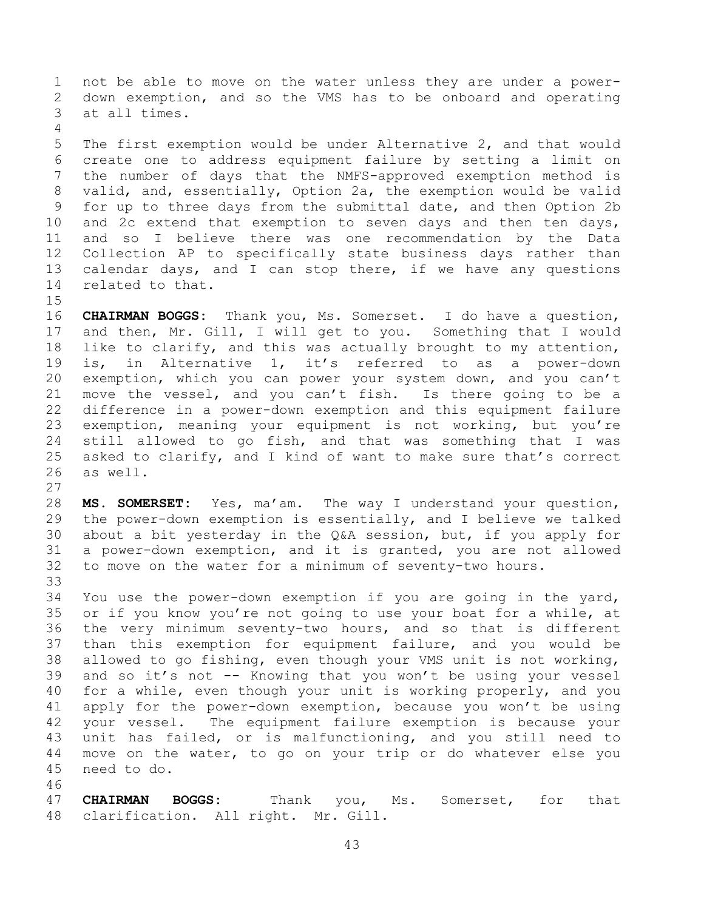1 not be able to move on the water unless they are under a power-<br>2 down exemption, and so the VMS has to be onboard and operating 2 down exemption, and so the VMS has to be onboard and operating at all times.

 $\frac{4}{5}$ 5 The first exemption would be under Alternative 2, and that would<br>6 create one to address equipment failure by setting a limit on 6 create one to address equipment failure by setting a limit on<br>7 the number of days that the NMFS-approved exemption method is 7 the number of days that the NMFS-approved exemption method is 8 valid, and, essentially, Option 2a, the exemption would be valid 9 for up to three days from the submittal date, and then Option 2b<br>10 and 2c extend that exemption to seven days and then ten days, 10 and 2c extend that exemption to seven days and then ten days,<br>11 and so I believe there was one recommendation by the Data 11 and so I believe there was one recommendation by the Data<br>12 Collection AP to specifically state business days rather than 12 Collection AP to specifically state business days rather than<br>13 calendar days, and I can stop there, if we have any questions 13 calendar days, and I can stop there, if we have any questions<br>14 related to that. related to that.

 $15$ <br> $16$ CHAIRMAN BOGGS: Thank you, Ms. Somerset. I do have a question, 17 and then, Mr. Gill, I will get to you. Something that I would<br>18 like to clarify, and this was actually brought to my attention, 18 like to clarify, and this was actually brought to my attention,<br>19 is, in Alternative 1, it's referred to as a power-down 19 is, in Alternative 1, it's referred to as a power-down<br>20 exemption, which you can power your system down, and you can't 20 exemption, which you can power your system down, and you can't<br>21 move the vessel, and you can't fish. Is there going to be a 21 move the vessel, and you can't fish. Is there going to be a<br>22 difference in a power-down exemption and this equipment failure 22 difference in a power-down exemption and this equipment failure<br>23 exemption, meaning your equipment is not working, but you're 23 exemption, meaning your equipment is not working, but you're<br>24 still allowed to go fish, and that was something that I was 24 still allowed to go fish, and that was something that I was<br>25 asked to clarify, and I kind of want to make sure that's correct 25 asked to clarify, and I kind of want to make sure that's correct<br>26 as well. as well.

 $\frac{27}{28}$ 28 **MS. SOMERSET:** Yes, ma'am. The way I understand your question,<br>29 the power-down exemption is essentially, and I believe we talked 29 the power-down exemption is essentially, and I believe we talked<br>30 about a bit vesterday in the O&A session, but, if you apply for 30 about a bit yesterday in the Q&A session, but, if you apply for  $31$  a power-down exemption, and it is granted, you are not allowed 31 a power-down exemption, and it is granted, you are not allowed<br>32 to move on the water for a minimum of seventy-two hours. to move on the water for a minimum of seventy-two hours.

33<br>34 34 You use the power-down exemption if you are going in the yard,<br>35 or if you know you're not going to use your boat for a while, at 35 or if you know you're not going to use your boat for a while, at<br>36 the very minimum seventy-two hours, and so that is different 36 the very minimum seventy-two hours, and so that is different<br>37 than this exemption for equipment failure, and you would be 37 than this exemption for equipment failure, and you would be<br>38 allowed to go fishing, even though your VMS unit is not working, 38 allowed to go fishing, even though your VMS unit is not working,<br>39 and so it's not -- Knowing that you won't be using your vessel and so it's not -- Knowing that you won't be using your vessel 40 for a while, even though your unit is working properly, and you 41 apply for the power-down exemption, because you won't be using<br>42 vour vessel. The equipment failure exemption is because vour 42 your vessel. The equipment failure exemption is because your<br>43 unit has failed, or is malfunctioning, and you still need to 43 unit has failed, or is malfunctioning, and you still need to<br>44 move on the water, to go on your trip or do whatever else you 44 move on the water, to go on your trip or do whatever else you need to do.

46<br>47

47 **CHAIRMAN BOGGS:** Thank you, Ms. Somerset, for that 48 clarification. All right. Mr. Gill.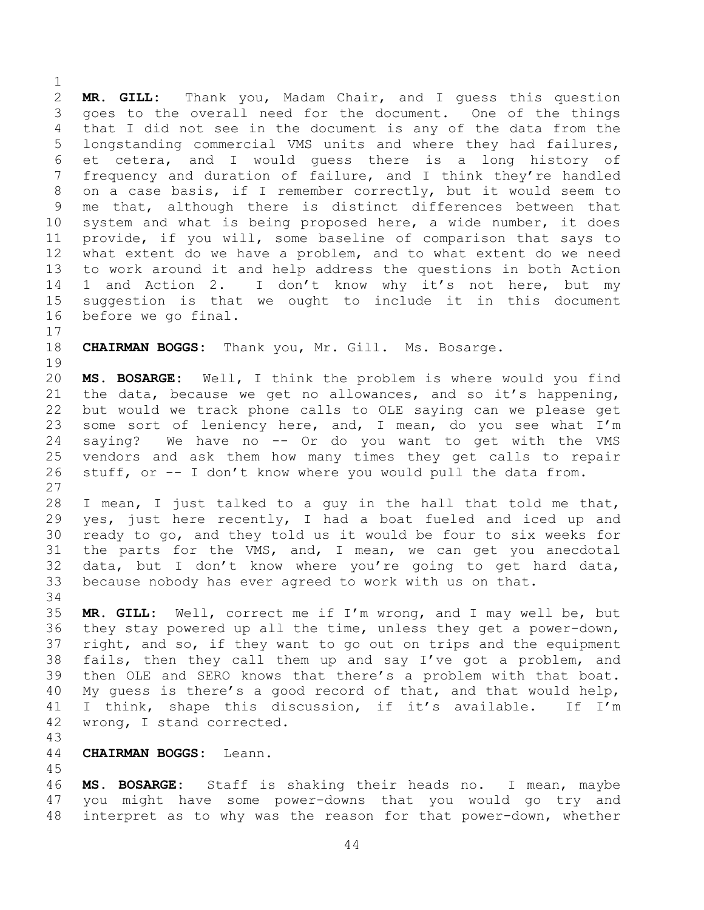$\frac{1}{2}$ 2 **MR. GILL:** Thank you, Madam Chair, and I guess this question 3 goes to the overall need for the document. One of the things<br>4 that I did not see in the document is any of the data from the 4 that I did not see in the document is any of the data from the<br>5 longstanding commercial VMS units and where they had failures, 5 longstanding commercial VMS units and where they had failures,<br>6 et cetera, and I would quess there is a long history of 6 et cetera, and I would guess there is a long history<br>7 frequency and duration of failure, and I think they're handl frequency and duration of failure, and I think they're handled 8 on a case basis, if I remember correctly, but it would seem to 9 me that, although there is distinct differences between that<br>10 system and what is being proposed here, a wide number, it does 10 system and what is being proposed here, a wide number, it does<br>11 provide, if you will, some baseline of comparison that says to 11 provide, if you will, some baseline of comparison that says to<br>12 what extent do we have a problem, and to what extent do we need 12 what extent do we have a problem, and to what extent do we need<br>13 to work around it and help address the questions in both Action 13 to work around it and help address the questions in both Action<br>14 1 and Action 2. I don't know why it's not here, but my 14 1 and Action 2. I don't know why it's not here, but my<br>15 suggestion is that we ought to include it in this document 15 suggestion is that we ought to include it in this document<br>16 before we go final. before we go final.

 $17$ <br> $18$ CHAIRMAN BOGGS: Thank you, Mr. Gill. Ms. Bosarge.

19<br>20 20 **MS. BOSARGE:** Well, I think the problem is where would you find<br>21 the data, because we get no allowances, and so it's happening, 21 the data, because we get no allowances, and so it's happening,<br>22 but would we track phone calls to OLE saying can we please get 22 but would we track phone calls to OLE saying can we please get<br>23 some sort of leniency here, and, I mean, do you see what I'm 23 some sort of leniency here, and, I mean, do you see what  $I'm$ <br>24 saving? We have no -- Or do you want to get with the VMS 24 saying? We have no -- Or do you want to get with the VMS<br>25 vendors and ask them how many times they get calls to repair 25 vendors and ask them how many times they get calls to repair<br>26 stuff, or -- I don't know where you would pull the data from. stuff, or -- I don't know where you would pull the data from.

 $\begin{array}{c} 27 \\ 28 \end{array}$ 28 I mean, I just talked to a guy in the hall that told me that,<br>29 yes, just here recently, I had a boat fueled and iced up and 29 yes, just here recently, I had a boat fueled and iced up and<br>30 ready to go, and they told us it would be four to six weeks for 30 ready to go, and they told us it would be four to six weeks for<br>31 the parts for the VMS, and, I mean, we can get you anecdotal the parts for the VMS, and, I mean, we can get you anecdotal 32 data, but I don't know where you're going to get hard data,<br>33 because nobody has ever agreed to work with us on that. because nobody has ever agreed to work with us on that.

34<br>35

35 MR. GILL: Well, correct me if I'm wrong, and I may well be, but<br>36 they stay powered up all the time, unless they get a power-down, 36 they stay powered up all the time, unless they get a power-down,<br>37 right, and so, if they want to go out on trips and the equipment 37 right, and so, if they want to go out on trips and the equipment<br>38 fails, then they call them up and say I've got a problem, and 38 fails, then they call them up and say I've got a problem, and<br>39 then OLE and SERO knows that there's a problem with that boat. then OLE and SERO knows that there's a problem with that boat. 40 My guess is there's a good record of that, and that would help, 41 I think, shape this discussion, if it's available. If I'm<br>42 wrong, I stand corrected. wrong, I stand corrected.

43

44 **CHAIRMAN BOGGS:** Leann.

45 46 **MS. BOSARGE:** Staff is shaking their heads no. I mean, maybe you might have some power-downs that you would go try and 48 interpret as to why was the reason for that power-down, whether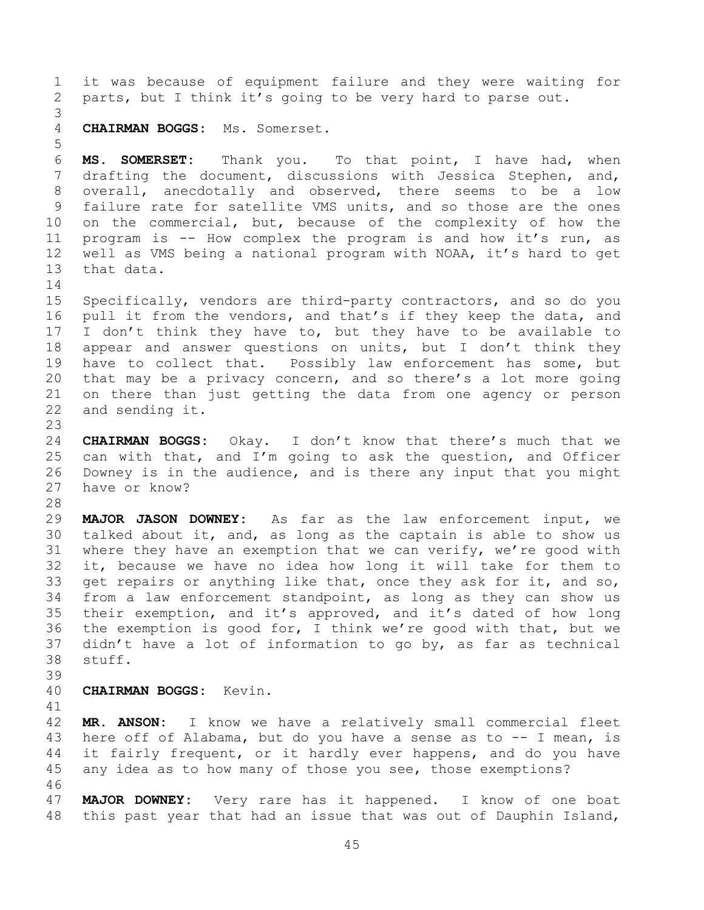1 it was because of equipment failure and they were waiting for<br>2 parts, but I think it's going to be very hard to parse out. parts, but I think it's going to be very hard to parse out. 3 4 **CHAIRMAN BOGGS:** Ms. Somerset. 5 6 **MS. SOMERSET:** Thank you. To that point, I have had, when<br>7 drafting the document, discussions with Jessica Stephen, and, drafting the document, discussions with Jessica Stephen, and, 8 overall, anecdotally and observed, there seems to be a low 9 failure rate for satellite VMS units, and so those are the ones<br>10 on the commercial, but, because of the complexity of how the 10 on the commercial, but, because of the complexity of how the<br>11 program is -- How complex the program is and how it's run, as 11 program is -- How complex the program is and how it's run, as<br>12 well as VMS being a national program with NOAA, it's hard to get 12 well as VMS being a national program with NOAA, it's hard to get<br>13 that data. that data.  $\frac{14}{15}$ 15 Specifically, vendors are third-party contractors, and so do you<br>16 pull it from the vendors, and that's if they keep the data, and pull it from the vendors, and that's if they keep the data, and 17 I don't think they have to, but they have to be available to<br>18 appear and answer questions on units, but I don't think they 18 appear and answer questions on units, but I don't think they<br>19 have to collect that. Possibly law enforcement has some, but 19 have to collect that. Possibly law enforcement has some, but<br>20 that may be a privacy concern, and so there's a lot more going 20 that may be a privacy concern, and so there's a lot more going<br>21 on there than just getting the data from one agency or person 21 on there than just getting the data from one agency or person<br>22 and sending it. and sending it. 23 24 **CHAIRMAN BOGGS:** Okay. I don't know that there's much that we 25 can with that, and I'm going to ask the question, and Officer<br>26 Downey is in the audience, and is there any input that you might 26 Downey is in the audience, and is there any input that you might<br>27 have or know? have or know? 28<br>29 29 **MAJOR JASON DOWNEY:** As far as the law enforcement input, we 30 talked about it, and, as long as the captain is able to show us<br>31 where they have an exemption that we can verify, we're good with where they have an exemption that we can verify, we're good with 32 it, because we have no idea how long it will take for them to<br>33 get repairs or anything like that, once they ask for it, and so, 33 get repairs or anything like that, once they ask for it, and so,<br>34 from a law enforcement standpoint, as long as they can show us 34 from a law enforcement standpoint, as long as they can show us<br>35 their exemption, and it's approved, and it's dated of how long 35 their exemption, and it's approved, and it's dated of how long<br>36 the exemption is good for, I think we're good with that, but we 36 the exemption is good for, I think we're good with that, but we<br>37 didn't have a lot of information to go by, as far as technical 37 didn't have a lot of information to go by, as far as technical stuff. stuff. 39 40 **CHAIRMAN BOGGS:** Kevin. 41<br>42 42 **MR. ANSON:** I know we have a relatively small commercial fleet<br>43 here off of Alabama, but do you have a sense as to -- I mean, is 43 here off of Alabama, but do you have a sense as to  $-$  I mean, is 44 it fairly frequent, or it hardly ever happens, and do you have 44 it fairly frequent, or it hardly ever happens, and do you have<br>45 any idea as to how many of those you see, those exemptions? any idea as to how many of those you see, those exemptions? 46<br>47 MAJOR DOWNEY: Very rare has it happened. I know of one boat 48 this past year that had an issue that was out of Dauphin Island,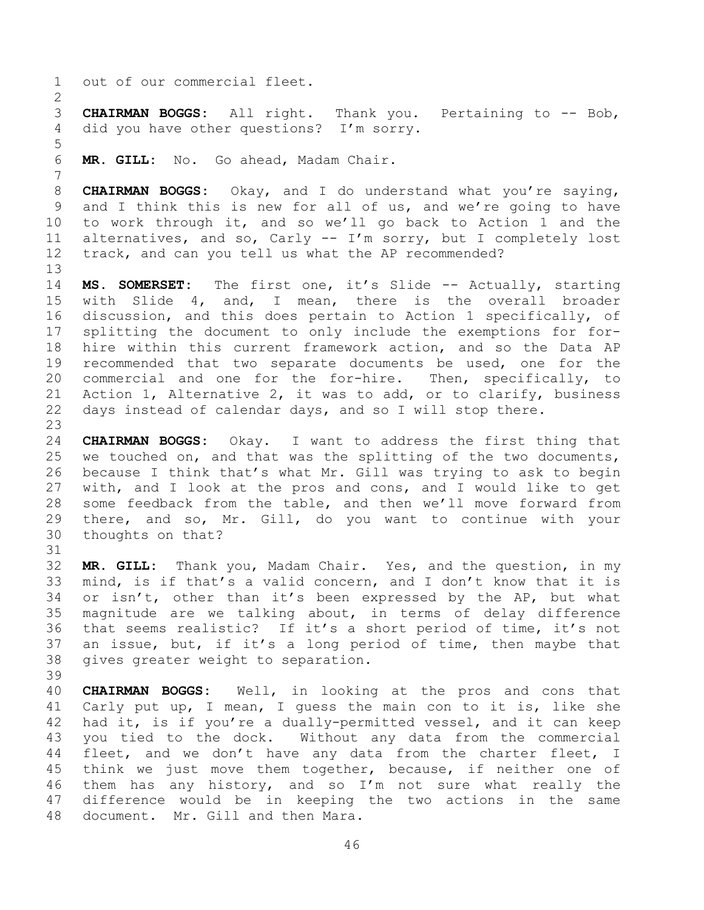1 out of our commercial fleet.

 $\frac{2}{3}$ 3 **CHAIRMAN BOGGS:** All right. Thank you. Pertaining to -- Bob,<br>4 did vou have other questions? I'm sorrv. did you have other questions? I'm sorry.

5 7

MR. GILL: No. Go ahead, Madam Chair.

8 **CHAIRMAN BOGGS:** Okay, and I do understand what you're saying, 9 and I think this is new for all of us, and we're going to have<br>10 to work through it, and so we'll go back to Action 1 and the 10 to work through it, and so we'll go back to Action 1 and the 11 alternatives, and so, Carly  $--$  I'm sorry, but I completely lost 11 alternatives, and so, Carly  $--$  I'm sorry, but I completely lost 12 track, and can you tell us what the AP recommended? track, and can you tell us what the AP recommended?

13<br>14 14 **MS. SOMERSET:** The first one, it's Slide -- Actually, starting<br>15 with Slide 4, and, I mean, there is the overall broader 15 with Slide 4, and, I mean, there is the overall broader<br>16 discussion, and this does pertain to Action 1 specifically, of discussion, and this does pertain to Action 1 specifically, of 17 splitting the document to only include the exemptions for for-<br>18 hire within this current framework action, and so the Data AP 18 hire within this current framework action, and so the Data AP<br>19 recommended that two separate documents be used, one for the 19 recommended that two separate documents be used, one for the<br>20 commercial and one for the for-hire. Then, specifically, to 20 commercial and one for the for-hire. Then, specifically, to<br>21 Action 1, Alternative 2, it was to add, or to clarify, business 21 Action 1, Alternative 2, it was to add, or to clarify, business<br>22 days instead of calendar days, and so I will stop there. days instead of calendar days, and so I will stop there.

23 24 **CHAIRMAN BOGGS:** Okay. I want to address the first thing that 25 we touched on, and that was the splitting of the two documents,<br>26 because I think that's what Mr. Gill was trying to ask to begin 26 because I think that's what Mr. Gill was trying to ask to begin<br>27 with, and I look at the pros and cons, and I would like to get 27 with, and I look at the pros and cons, and I would like to get<br>28 some feedback from the table, and then we'll move forward from 28 some feedback from the table, and then we'll move forward from<br>29 there, and so, Mr. Gill, do you want to continue with your 29 there, and so, Mr. Gill, do you want to continue with your<br>30 thoughts on that? thoughts on that?

32 **MR. GILL:** Thank you, Madam Chair. Yes, and the question, in my 33 mind, is if that's a valid concern, and I don't know that it is<br>34 or isn't, other than it's been expressed by the AP, but what 34 or isn't, other than it's been expressed by the AP, but what<br>35 magnitude are we talking about, in terms of delay difference 35 magnitude are we talking about, in terms of delay difference<br>36 that seems realistic? If it's a short period of time, it's not 36 that seems realistic? If it's a short period of time, it's not<br>37 an issue, but, if it's a long period of time, then maybe that 37 an issue, but, if it's a long period of time, then maybe that<br>38 qives qreater weight to separation. gives greater weight to separation.

39

31

40 **CHAIRMAN BOGGS:** Well, in looking at the pros and cons that 41 Carly put up, I mean, I guess the main con to it is, like she<br>42 had it, is if vou're a duallv-permitted vessel, and it can keep 42 had it, is if you're a dually-permitted vessel, and it can keep<br>43 you tied to the dock. Without any data from the commercial 43 you tied to the dock. Without any data from the commercial<br>44 fleet, and we don't have any data from the charter fleet, I 44 fleet, and we don't have any data from the charter fleet, I<br>45 think we just move them together, because, if neither one of 45 think we just move them together, because, if neither one of<br>46 them has any history, and so I'm not sure what really the 46 them has any history, and so I'm not sure what really the<br>47 difference would be in keeping the two actions in the same difference would be in keeping the two actions in the same 48 document. Mr. Gill and then Mara.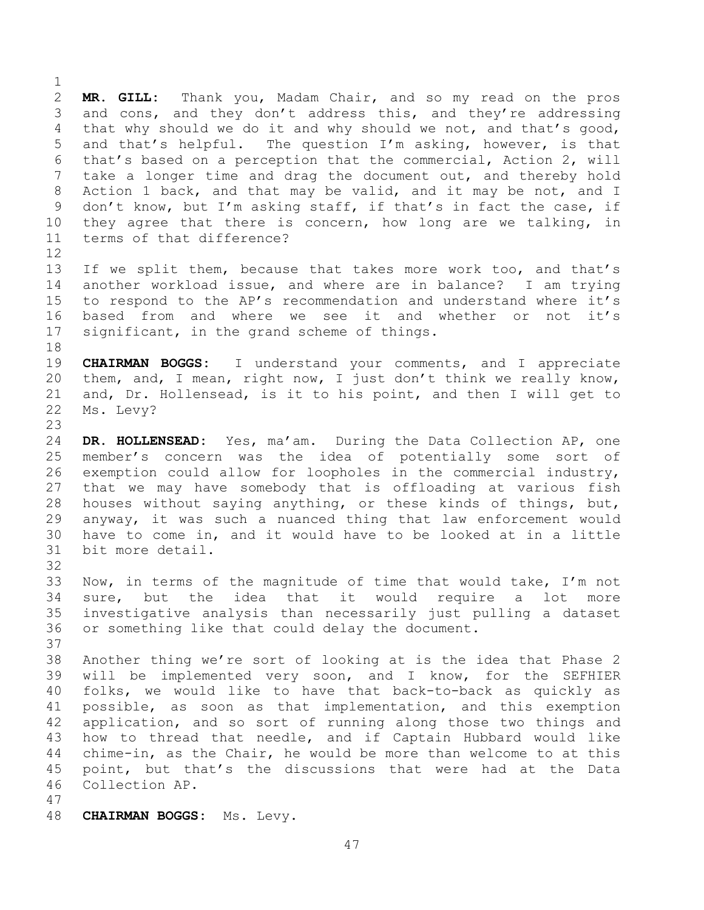$\frac{1}{2}$ 2 **MR. GILL:** Thank you, Madam Chair, and so my read on the pros 3 and cons, and they don't address this, and they're addressing<br>4 that why should we do it and why should we not, and that's good, 4 that why should we do it and why should we not, and that's good,<br>5 and that's helpful. The question I'm asking, however, is that 5 and that's helpful. The question I'm asking, however, is that<br>6 that's based on a perception that the commercial, Action 2, will 6 that's based on a perception that the commercial, Action 2, will<br>7 take a longer time and drag the document out, and thereby hold take a longer time and drag the document out, and thereby hold 8 Action 1 back, and that may be valid, and it may be not, and I 9 don't know, but I'm asking staff, if that's in fact the case, if<br>10 they agree that there is concern, how long are we talking, in 10 they agree that there is concern, how long are we talking, in<br>11 terms of that difference? terms of that difference?

 $\begin{array}{c} 12 \\ 13 \end{array}$ 13 If we split them, because that takes more work too, and that's<br>14 another workload issue, and where are in balance? I am trying 14 another workload issue, and where are in balance? I am trying<br>15 to respond to the AP's recommendation and understand where it's 15 to respond to the AP's recommendation and understand where it's<br>16 based from and where we see it and whether or not it's based from and where we see it and whether or not it's 17 significant, in the grand scheme of things.

18<br>19 19 **CHAIRMAN BOGGS:** I understand your comments, and I appreciate<br>20 them, and, I mean, right now, I just don't think we really know, 20 them, and, I mean, right now, I just don't think we really know,<br>21 and, Dr. Hollensead, is it to his point, and then I will get to 21 and, Dr. Hollensead, is it to his point, and then I will get to 22 Ms. Levy? Ms. Levy?

 $\frac{23}{24}$ 24 **DR. HOLLENSEAD:** Yes, ma'am. During the Data Collection AP, one 25 member's concern was the idea of potentially some sort of<br>26 exemption could allow for loopholes in the commercial industry, 26 exemption could allow for loopholes in the commercial industry,<br>27 that we may have somebody that is offloading at various fish 27 that we may have somebody that is offloading at various fish<br>28 houses without saying anything, or these kinds of things, but, 28 houses without saying anything, or these kinds of things, but,<br>29 anyway, it was such a nuanced thing that law enforcement would 29 anyway, it was such a nuanced thing that law enforcement would<br>30 have to come in, and it would have to be looked at in a little 30 have to come in, and it would have to be looked at in a little bit more detail.

32<br>33

33 Now, in terms of the magnitude of time that would take, I'm not<br>34 sure, but the idea that it would require a lot more 34 sure, but the idea that it would require a lot more<br>35 investigative analysis than necessarily just pulling a dataset 35 investigative analysis than necessarily just pulling a dataset<br>36 or something like that could delay the document. or something like that could delay the document.

37<br>38 38 Another thing we're sort of looking at is the idea that Phase 2<br>39 will be implemented very soon, and I know, for the SEFHIER will be implemented very soon, and I know, for the SEFHIER 40 folks, we would like to have that back-to-back as quickly as 41 possible, as soon as that implementation, and this exemption<br>42 application, and so sort of running along those two things and 42 application, and so sort of running along those two things and<br>43 how to thread that needle, and if Captain Hubbard would like 43 how to thread that needle, and if Captain Hubbard would like<br>44 chime-in, as the Chair, he would be more than welcome to at this 44 chime-in, as the Chair, he would be more than welcome to at this<br>45 point, but that's the discussions that were had at the Data 45 point, but that's the discussions that were had at the Data<br>46 Collection AP. Collection AP.

47

48 **CHAIRMAN BOGGS:** Ms. Levy.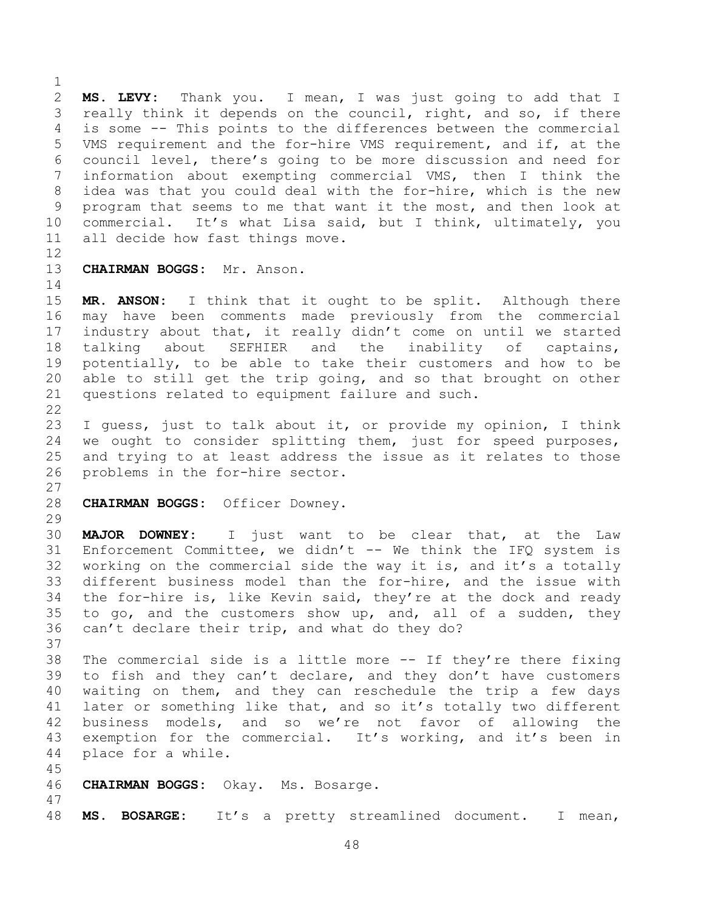$\frac{1}{2}$ 2 **MS. LEVY:** Thank you. I mean, I was just going to add that I<br>3 really think it depends on the council, right, and so, if there 3 really think it depends on the council, right, and so, if there<br>4 is some -- This points to the differences between the commercial 4 is some -- This points to the differences between the commercial<br>5 VMS requirement and the for-hire VMS requirement, and if, at the 5 VMS requirement and the for-hire VMS requirement, and if, at the<br>6 council level, there's going to be more discussion and need for 6 council level, there's going to be more discussion and need for<br>7 information about exempting commercial VMS, then I think the information about exempting commercial VMS, then I think the 8 idea was that you could deal with the for-hire, which is the new 9 program that seems to me that want it the most, and then look at<br>10 commercial. It's what Lisa said, but I think, ultimately, you 10 commercial. It's what Lisa said, but I think, ultimately, you<br>11 all decide how fast things move. all decide how fast things move.

 $\begin{array}{c} 12 \\ 13 \end{array}$ 13 **CHAIRMAN BOGGS:** Mr. Anson.

 $\begin{array}{c} 14 \\ 15 \end{array}$ 

15 **MR. ANSON:** I think that it ought to be split. Although there<br>16 may have been comments made previously from the commercial may have been comments made previously from the commercial 17 industry about that, it really didn't come on until we started<br>18 talking about SEFHIER and the inability of captains, 18 talking about SEFHIER and the inability<br>19 potentially, to be able to take their customers 19 potentially, to be able to take their customers and how to be<br>20 able to still get the trip going, and so that brought on other 20 able to still get the trip going, and so that brought on other<br>21 questions related to equipment failure and such. questions related to equipment failure and such.

 $\frac{22}{23}$ 23 I guess, just to talk about it, or provide my opinion, I think<br>24 we ought to consider splitting them, just for speed purposes, 24 we ought to consider splitting them, just for speed purposes,<br>25 and trying to at least address the issue as it relates to those 25 and trying to at least address the issue as it relates to those<br>26 problems in the for-hire sector. problems in the for-hire sector.

 $\frac{27}{28}$ 28 **CHAIRMAN BOGGS:** Officer Downey.

 $\frac{29}{30}$ 

30 **MAJOR DOWNEY:** I just want to be clear that, at the Law Enforcement Committee, we didn't -- We think the IFQ system is 32 working on the commercial side the way it is, and it's a totally<br>33 different business model than the for-hire, and the issue with 33 different business model than the for-hire, and the issue with<br>34 the for-hire is, like Kevin said, thev're at the dock and ready 34 the for-hire is, like Kevin said, they're at the dock and ready<br>35 to go, and the customers show up, and, all of a sudden, they 35 to go, and the customers show up, and, all of a sudden, they<br>36 can't declare their trip, and what do they do? can't declare their trip, and what do they do?

37<br>38 38 The commercial side is a little more -- If they're there fixing<br>39 to fish and they can't declare, and they don't have customers to fish and they can't declare, and they don't have customers 40 waiting on them, and they can reschedule the trip a few days 41 later or something like that, and so it's totally two different<br>42 business models, and so we're not favor of allowing the 42 business models, and so we're not favor of allowing the<br>43 exemption for the commercial. It's working, and it's been in 43 exemption for the commercial. It's working, and it's been in<br>44 place for a while. place for a while.

45

- 46 **CHAIRMAN BOGGS:** Okay. Ms. Bosarge.
- 48 **MS. BOSARGE:** It's a pretty streamlined document. I mean,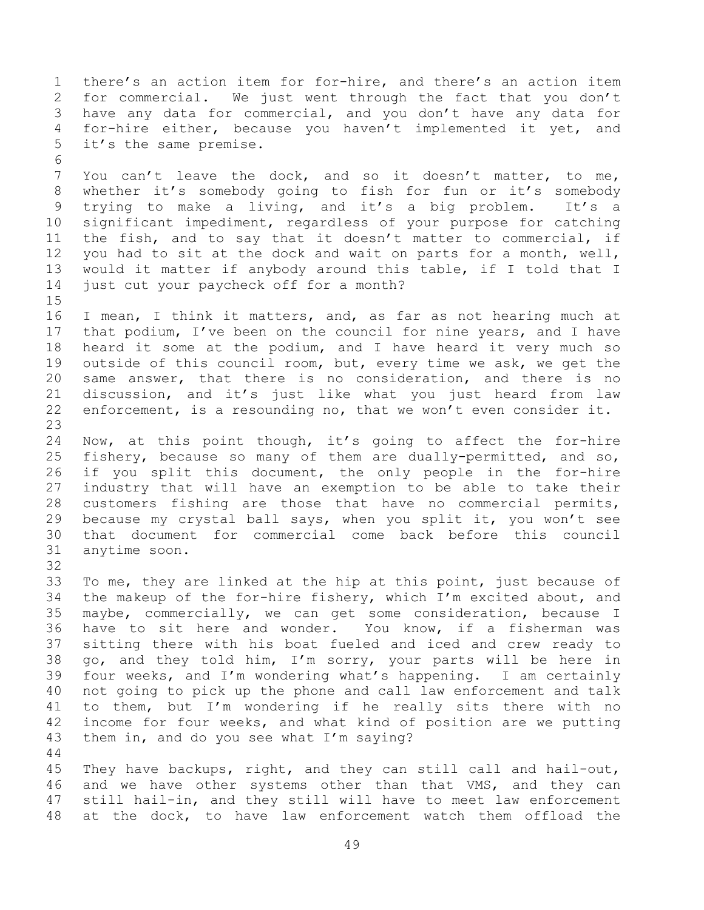1 there's an action item for for-hire, and there's an action item<br>2 for commercial. We just went through the fact that you don't 2 for commercial. We just went through the fact that you don't<br>3 have any data for commercial, and you don't have any data for 3 have any data for commercial, and you don't have any data for<br>4 for-hire either, because vou haven't implemented it vet, and 4 for-hire either, because you haven't implemented it yet, and<br>5 it's the same premise. it's the same premise. 6<br>7 You can't leave the dock, and so it doesn't matter, to me, 8 whether it's somebody going to fish for fun or it's somebody<br>9 trying to make a living, and it's a big problem. It's a 9 trying to make a living, and it's a big problem.<br>10 significant impediment, regardless of your purpose for 10 significant impediment, regardless of your purpose for catching<br>11 the fish, and to say that it doesn't matter to commercial, if 11 the fish, and to say that it doesn't matter to commercial, if<br>12 you had to sit at the dock and wait on parts for a month, well, 12 you had to sit at the dock and wait on parts for a month, well,<br>13 would it matter if anybody around this table, if I told that I 13 would it matter if anybody around this table, if I told that I<br>14 just cut your paycheck off for a month? just cut your paycheck off for a month?  $15$ <br> $16$ I mean, I think it matters, and, as far as not hearing much at 17 that podium, I've been on the council for nine years, and I have<br>18 heard it some at the podium, and I have heard it very much so 18 heard it some at the podium, and I have heard it very much so<br>19 outside of this council room, but, every time we ask, we get the 19 outside of this council room, but, every time we ask, we get the<br>20 same answer, that there is no consideration, and there is no 20 same answer, that there is no consideration, and there is no<br>21 discussion, and it's just like what you just heard from law 21 discussion, and it's just like what you just heard from law<br>22 enforcement, is a resounding no, that we won't even consider it. enforcement, is a resounding no, that we won't even consider it. 23 24 Now, at this point though, it's going to affect the for-hire<br>25 fishery, because so many of them are dually-permitted, and so,

25 fishery, because so many of them are dually-permitted, and so,<br>26 if you split this document, the only people in the for-hire 26 if you split this document, the only people in the for-hire<br>27 industry that will have an exemption to be able to take their 27 industry that will have an exemption to be able to take their<br>28 customers fishing are those that have no commercial permits, 28 customers fishing are those that have no commercial permits,<br>29 because my crystal ball says, when you split it, you won't see 29 because my crystal ball says, when you split it, you won't see<br>30 that document for commercial come back before this council 30 that document for commercial come back before this council anytime soon.

32<br>33 33 To me, they are linked at the hip at this point, just because of<br>34 the makeup of the for-hire fisherv, which I'm excited about, and 34 the makeup of the for-hire fishery, which I'm excited about, and<br>35 maybe, commercially, we can get some consideration, because I 35 maybe, commercially, we can get some consideration, because I 36 have to sit here and wonder. You know, if a fisherman was<br>37 sitting there with his boat fueled and iced and crew ready to 37 sitting there with his boat fueled and iced and crew ready to<br>38 qo, and they told him, I'm sorry, your parts will be here in 38 go, and they told him, I'm sorry, your parts will be here in<br>39 four weeks, and I'm wondering what's happening. I am certainly four weeks, and I'm wondering what's happening. I am certainly 40 not going to pick up the phone and call law enforcement and talk 41 to them, but I'm wondering if he really sits there with no<br>42 income for four weeks, and what kind of position are we putting 42 income for four weeks, and what kind of position are we putting  $43$  them in, and do you see what I'm saying? them in, and do you see what  $I'm$  saying?

 $\begin{array}{c} 44 \\ 45 \end{array}$ 45 They have backups, right, and they can still call and hail-out,<br>46 and we have other systems other than that VMS, and they can 46 and we have other systems other than that VMS, and they can<br>47 still hail-in, and they still will have to meet law enforcement still hail-in, and they still will have to meet law enforcement 48 at the dock, to have law enforcement watch them offload the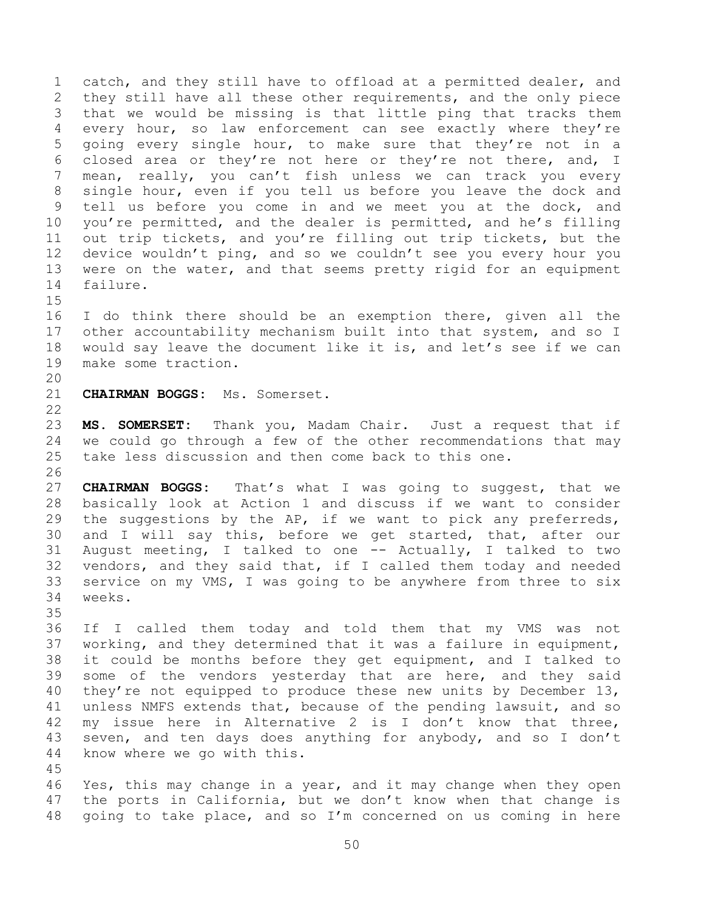1 catch, and they still have to offload at a permitted dealer, and<br>2 they still have all these other requirements, and the only piece 2 they still have all these other requirements, and the only piece<br>3 that we would be missing is that little ping that tracks them 3 that we would be missing is that little ping that tracks them<br>4 every hour, so law enforcement can see exactly where they're 4 every hour, so law enforcement can see exactly where they're<br>5 qoing every single hour, to make sure that they're not in a 5 going every single hour, to make sure that they're not in a<br>6 closed area or they're not here or they're not there, and, I 6 closed area or they're not here or they're not there, and, I<br>7 mean, really, you can't fish unless we can track you every mean, really, you can't fish unless we can track you every 8 single hour, even if you tell us before you leave the dock and 9 tell us before you come in and we meet you at the dock, and<br>10 you're permitted, and the dealer is permitted, and he's filling 10 you're permitted, and the dealer is permitted, and he's filling<br>11 out trip tickets, and you're filling out trip tickets, but the 11 out trip tickets, and you're filling out trip tickets, but the<br>12 device wouldn't ping, and so we couldn't see you every hour you 12 device wouldn't ping, and so we couldn't see you every hour you<br>13 were on the water, and that seems pretty rigid for an equipment 13 were on the water, and that seems pretty rigid for an equipment<br>14 failure. failure.

 $\frac{15}{16}$ I do think there should be an exemption there, given all the 17 other accountability mechanism built into that system, and so I<br>18 would say leave the document like it is, and let's see if we can 18 would say leave the document like it is, and let's see if we can<br>19 make some traction. make some traction.

20<br>21 21 **CHAIRMAN BOGGS:** Ms. Somerset.

 $\frac{22}{23}$ 

23 **MS. SOMERSET:** Thank you, Madam Chair. Just a request that if 24 we could go through a few of the other recommendations that may<br>25 take less discussion and then come back to this one. take less discussion and then come back to this one.

26<br>27 27 **CHAIRMAN BOGGS:** That's what I was going to suggest, that we 28 basically look at Action 1 and discuss if we want to consider<br>29 the suggestions by the AP, if we want to pick any preferreds, 29 the suggestions by the AP, if we want to pick any preferreds,<br>30 and I will say this, before we get started, that, after our 30 and I will say this, before we get started, that, after our<br>31 August meeting, I talked to one -- Actually, I talked to two August meeting, I talked to one -- Actually, I talked to two 32 vendors, and they said that, if I called them today and needed<br>33 service on my VMS, I was going to be anywhere from three to six 33 service on my VMS, I was going to be anywhere from three to six<br>34 weeks. weeks.

35<br>36

36 If I called them today and told them that my VMS was not<br>37 working, and they determined that it was a failure in equipment, 37 working, and they determined that it was a failure in equipment,<br>38 it could be months before they get equipment, and I talked to 38 it could be months before they get equipment, and I talked to<br>39 some of the vendors vesterday that are here, and they said some of the vendors yesterday that are here, and they said 40 they're not equipped to produce these new units by December 13, 41 unless NMFS extends that, because of the pending lawsuit, and so<br>42 my issue here in Alternative 2 is I don't know that three. 42 my issue here in Alternative 2 is I don't know that three,<br>43 seven, and ten days does anything for anybody, and so I don't 43 seven, and ten days does anything for anybody, and so I don't 44 know where we go with this. know where we go with this.

45

46 Yes, this may change in a year, and it may change when they open<br>47 the ports in California, but we don't know when that change is the ports in California, but we don't know when that change is 48 going to take place, and so I'm concerned on us coming in here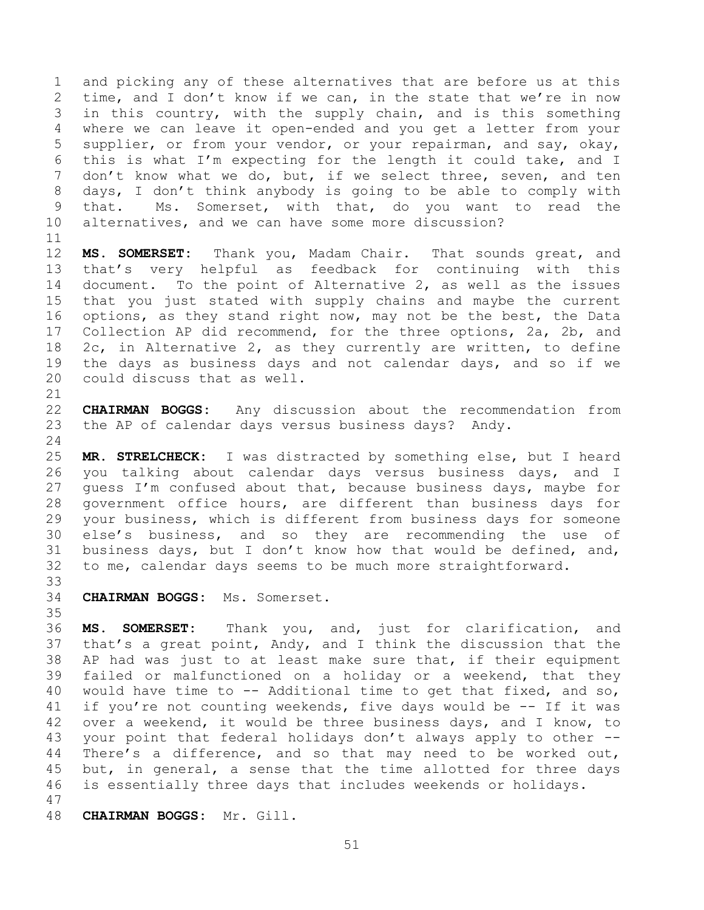1 and picking any of these alternatives that are before us at this<br>2 time, and I don't know if we can, in the state that we're in now 2 time, and I don't know if we can, in the state that we're in now<br>3 in this country, with the supply chain, and is this something 3 in this country, with the supply chain, and is this something<br>4 where we can leave it open-ended and you get a letter from your 4 where we can leave it open-ended and you get a letter from your<br>5 supplier, or from your vendor, or your repairman, and say, okay, 5 supplier, or from your vendor, or your repairman, and say, okay,<br>6 this is what I'm expecting for the length it could take, and I 6 this is what I'm expecting for the length it could take, and I<br>7 don't know what we do, but, if we select three, seven, and ten don't know what we do, but, if we select three, seven, and ten 8 days, I don't think anybody is going to be able to comply with 9 that. Ms. Somerset, with that, do you want to read the<br>10 alternatives, and we can have some more discussion? alternatives, and we can have some more discussion?

11<br>12 12 **MS. SOMERSET:** Thank you, Madam Chair. That sounds great, and<br>13 that's very helpful as feedback for continuing with this 13 that's very helpful as feedback for continuing with this<br>14 document. To the point of Alternative 2, as well as the issues 14 document. To the point of Alternative 2, as well as the issues<br>15 that you just stated with supply chains and maybe the current 15 that you just stated with supply chains and maybe the current<br>16 options, as they stand right now, may not be the best, the Data options, as they stand right now, may not be the best, the Data 17 Collection AP did recommend, for the three options, 2a, 2b, and<br>18 2c, in Alternative 2, as they currently are written, to define 18 2c, in Alternative 2, as they currently are written, to define<br>19 the days as business days and not calendar days, and so if we 19 the days as business days and not calendar days, and so if we<br>20 could discuss that as well. could discuss that as well.

21<br>22 22 **CHAIRMAN BOGGS:** Any discussion about the recommendation from<br>23 the AP of calendar days versus business days? Andy. the AP of calendar days versus business days? Andy.

 $\frac{24}{25}$ 25 **MR. STRELCHECK:** I was distracted by something else, but I heard 26 you talking about calendar days versus business days, and I<br>27 quess I'm confused about that, because business days, maybe for 27 guess I'm confused about that, because business days, maybe for<br>28 qovernment office hours, are different than business days for 28 government office hours, are different than business days for<br>29 your business, which is different from business days for someone 29 your business, which is different from business days for someone<br>30 else's business, and so they are recommending the use of 30 else's business, and so they are recommending the use of<br>31 business days, but I don't know how that would be defined, and, business days, but I don't know how that would be defined, and, 32 to me, calendar days seems to be much more straightforward.

33<br>34 34 **CHAIRMAN BOGGS:** Ms. Somerset.

35<br>36 36 **MS. SOMERSET:** Thank you, and, just for clarification, and 37 that's a great point, Andy, and I think the discussion that the<br>38 AP had was just to at least make sure that, if their equipment 38 AP had was just to at least make sure that, if their equipment<br>39 failed or malfunctioned on a holiday or a weekend, that they failed or malfunctioned on a holiday or a weekend, that they 40 would have time to -- Additional time to get that fixed, and so, 41 if you're not counting weekends, five days would be -- If it was<br>42 over a weekend, it would be three business davs, and I know, to 42 over a weekend, it would be three business days, and I know, to<br>43 your point that federal holidays don't always apply to other --43 your point that federal holidays don't always apply to other --<br>44 There's a difference, and so that may need to be worked out, 44 There's a difference, and so that may need to be worked out,<br>45 but, in general, a sense that the time allotted for three days 45 but, in general, a sense that the time allotted for three days<br>46 is essentially three days that includes weekends or holidays. is essentially three days that includes weekends or holidays. 47

48 **CHAIRMAN BOGGS:** Mr. Gill.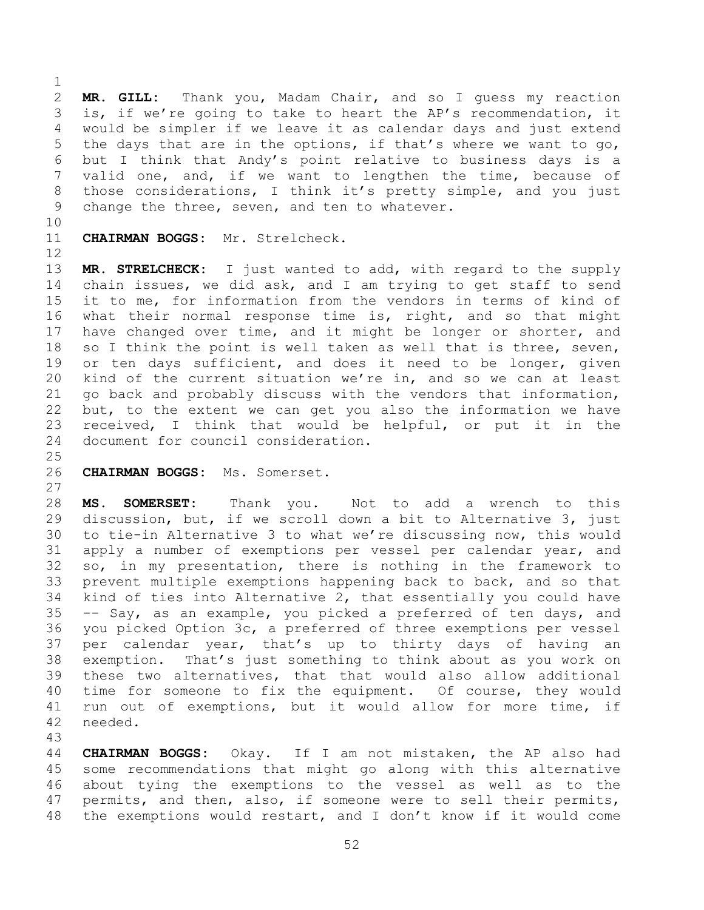$\frac{1}{2}$ 2 **MR. GILL:** Thank you, Madam Chair, and so I guess my reaction 3 is, if we're going to take to heart the AP's recommendation, it<br>4 would be simpler if we leave it as calendar davs and just extend 4 would be simpler if we leave it as calendar days and just extend<br>5 the days that are in the options, if that's where we want to go, 5 the days that are in the options, if that's where we want to go,<br>6 but I think that Andy's point relative to business davs is a 6 but I think that Andy's point relative to business days is a<br>7 valid one, and, if we want to lengthen the time, because of valid one, and, if we want to lengthen the time, because of 8 those considerations, I think it's pretty simple, and you just 9 change the three, seven, and ten to whatever.

10<br>11

CHAIRMAN BOGGS: Mr. Strelcheck.

12<br>13 13 **MR. STRELCHECK:** I just wanted to add, with regard to the supply<br>14 chain issues, we did ask, and I am trying to get staff to send 14 chain issues, we did ask, and I am trying to get staff to send<br>15 it to me, for information from the vendors in terms of kind of 15 it to me, for information from the vendors in terms of kind of<br>16 what their normal response time is, right, and so that might what their normal response time is, right, and so that might 17 have changed over time, and it might be longer or shorter, and<br>18 so I think the point is well taken as well that is three, seven, 18 so I think the point is well taken as well that is three, seven,<br>19 or ten days sufficient, and does it need to be longer, given 19 or ten days sufficient, and does it need to be longer, given<br>20 kind of the current situation we're in, and so we can at least 20 kind of the current situation we're in, and so we can at least<br>21 qo back and probably discuss with the vendors that information. 21 go back and probably discuss with the vendors that information,<br>22 but, to the extent we can get you also the information we have 22 but, to the extent we can get you also the information we have<br>23 received. I think that would be helpful, or put it in the 23 received, I think that would be helpful, or put it in the<br>24 document for council consideration. document for council consideration.

## $\frac{25}{26}$

26 **CHAIRMAN BOGGS:** Ms. Somerset.

 $\begin{array}{c} 27 \\ 28 \end{array}$ 

28 **MS. SOMERSET:** Thank you. Not to add a wrench to this<br>29 discussion, but, if we scroll down a bit to Alternative 3, just 29 discussion, but, if we scroll down a bit to Alternative 3, just<br>30 to tie-in Alternative 3 to what we're discussing now, this would 30 to tie-in Alternative 3 to what we're discussing now, this would<br>31 apply a number of exemptions per vessel per calendar year, and apply a number of exemptions per vessel per calendar year, and 32 so, in my presentation, there is nothing in the framework to<br>33 prevent multiple exemptions happening back to back, and so that 33 prevent multiple exemptions happening back to back, and so that<br>34 kind of ties into Alternative 2, that essentially you could have 34 kind of ties into Alternative 2, that essentially you could have<br>35 -- Say, as an example, you picked a preferred of ten days, and 35 -- Say, as an example, you picked a preferred of ten days, and<br>36 you picked Option 3c, a preferred of three exemptions per vessel 36 you picked Option 3c, a preferred of three exemptions per vessel<br>37 per calendar year, that's up to thirty days of having an 37 per calendar year, that's up to thirty days of having<br>38 exemption. That's just something to think about as you work 38 exemption. That's just something to think about as you work on<br>39 these two alternatives, that that would also allow additional these two alternatives, that that would also allow additional 40 time for someone to fix the equipment. Of course, they would 41 run out of exemptions, but it would allow for more time, if<br>42 needed. needed.

43 44 **CHAIRMAN BOGGS:** Okay. If I am not mistaken, the AP also had<br>45 some recommendations that might go along with this alternative 45 some recommendations that might go along with this alternative<br>46 about tying the exemptions to the vessel as well as to the 46 about tying the exemptions to the vessel as well as to the<br>47 permits, and then, also, if someone were to sell their permits, permits, and then, also, if someone were to sell their permits, 48 the exemptions would restart, and I don't know if it would come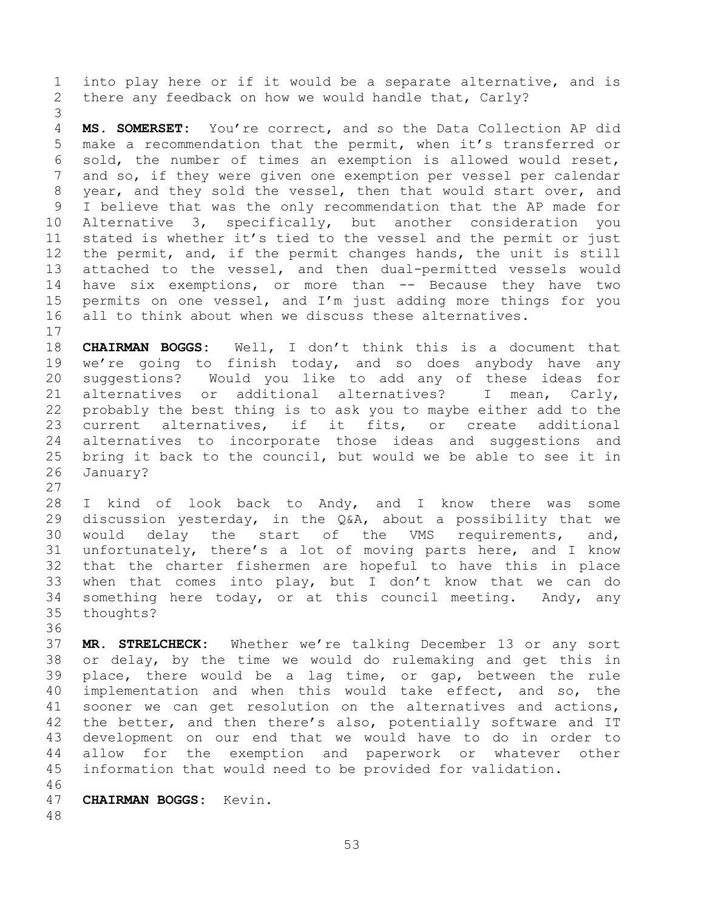1 into play here or if it would be a separate alternative, and is<br>2 there any feedback on how we would handle that, Carly? there any feedback on how we would handle that, Carly?

3 4 **MS. SOMERSET:** You're correct, and so the Data Collection AP did<br>5 make a recommendation that the permit, when it's transferred or 5 make a recommendation that the permit, when it's transferred or<br>6 sold, the number of times an exemption is allowed would reset, 6 sold, the number of times an exemption is allowed would reset,<br>7 and so, if they were given one exemption per vessel per calendar and so, if they were given one exemption per vessel per calendar 8 year, and they sold the vessel, then that would start over, and 9 I believe that was the only recommendation that the AP made for<br>10 Alternative 3, specifically, but another consideration you 10 Alternative 3, specifically, but another consideration you<br>11 stated is whether it's tied to the vessel and the permit or just 11 stated is whether it's tied to the vessel and the permit or just<br>12 the permit, and, if the permit changes hands, the unit is still 12 the permit, and, if the permit changes hands, the unit is still<br>13 attached to the vessel, and then dual-permitted vessels would 13 attached to the vessel, and then dual-permitted vessels would<br>14 have six exemptions, or more than -- Because they have two 14 have six exemptions, or more than -- Because they have two<br>15 permits on one vessel, and I'm just adding more things for you 15 permits on one vessel, and I'm just adding more things for you<br>16 all to think about when we discuss these alternatives. all to think about when we discuss these alternatives.

 $\begin{array}{c} 17 \\ 18 \end{array}$ 18 **CHAIRMAN BOGGS:** Well, I don't think this is a document that 19 we're going to finish today, and so does anybody have any<br>20 suggestions? Would you like to add any of these ideas for 20 suggestions? Would you like to add any of these ideas for<br>21 alternatives or additional alternatives? I mean, Carly, 21 alternatives or additional alternatives? I mean, Carly,<br>22 probably the best thing is to ask you to maybe either add to the 22 probably the best thing is to ask you to maybe either add to the<br>23 current alternatives, if it fits, or create additional 23 current alternatives, if it fits,<br>24 alternatives to incorporate those idea 24 alternatives to incorporate those ideas and suggestions and<br>25 bring it back to the council, but would we be able to see it in 25 bring it back to the council, but would we be able to see it in<br>26 January? January?

 $\frac{27}{28}$ 28 I kind of look back to Andy, and I know there was some<br>29 discussion yesterday, in the Q&A, about a possibility that we 29 discussion yesterday, in the Q&A, about a possibility that we<br>30 would delay the start of the VMS requirements, and, 30 would delay the start of the VMS<br>31 unfortunately, there's a lot of moving pa unfortunately, there's a lot of moving parts here, and I know 32 that the charter fishermen are hopeful to have this in place<br>33 when that comes into play, but I don't know that we can do 33 when that comes into play, but I don't know that we can do<br>34 something here today, or at this council meeting. Andy, any 34 something here today, or at this council meeting. Andy, any<br>35 thoughts? thoughts?

36<br>37 37 **MR. STRELCHECK:** Whether we're talking December 13 or any sort 38 or delay, by the time we would do rulemaking and get this in<br>39 place, there would be a lag time, or gap, between the rule place, there would be a lag time, or gap, between the rule 40 implementation and when this would take effect, and so, the 41 sooner we can get resolution on the alternatives and actions,<br>42 the better, and then there's also, potentially software and IT 42 the better, and then there's also, potentially software and IT<br>43 development on our end that we would have to do in order to 43 development on our end that we would have to do in order to<br>44 allow for the exemption and paperwork or whatever other 44 allow for the exemption and paperwork or whatever<br>45 information that would need to be provided for validation. information that would need to be provided for validation.

46<br>47 47 **CHAIRMAN BOGGS:** Kevin.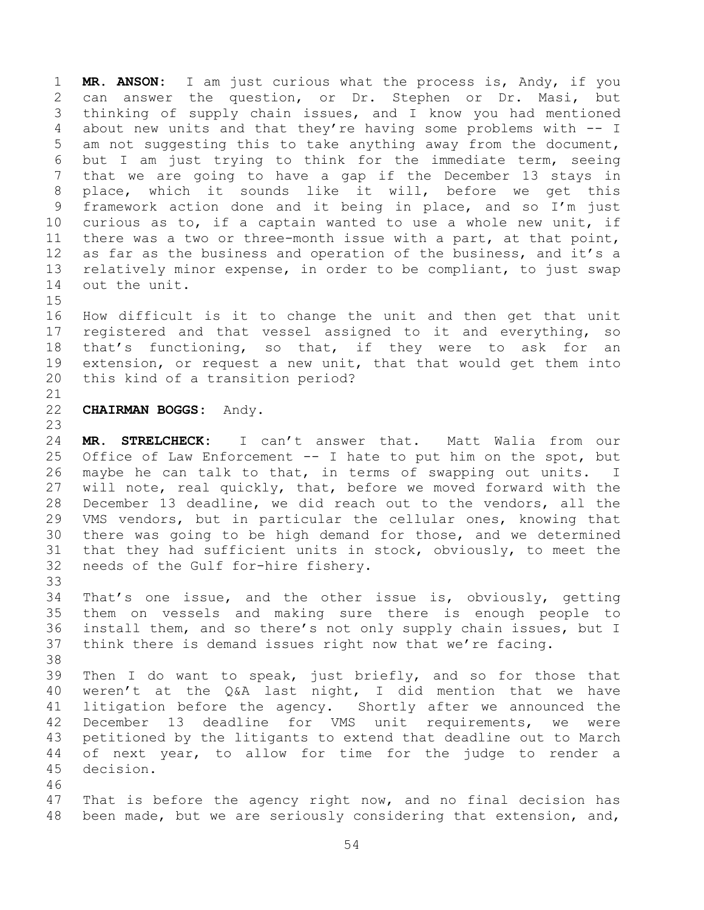1 **MR. ANSON:** I am just curious what the process is, Andy, if you 2 can answer the question, or Dr. Stephen or Dr. Masi, but<br>3 thinking of supply chain issues, and I know you had mentioned 3 thinking of supply chain issues, and I know you had mentioned<br>4 about new units and that thev're having some problems with -- I 4 about new units and that they're having some problems with  $--$  I<br>5 am not suggesting this to take anything away from the document, 5 am not suggesting this to take anything away from the document,<br>6 but I am just trving to think for the immediate term, seeing 6 but I am just trying to think for the immediate term, seeing<br>7 that we are going to have a gap if the December 13 stavs in that we are going to have a gap if the December 13 stays in 8 place, which it sounds like it will, before we get this 9 framework action done and it being in place, and so I'm just<br>10 curious as to, if a captain wanted to use a whole new unit, if 10 curious as to, if a captain wanted to use a whole new unit, if<br>11 there was a two or three-month issue with a part, at that point, 11 there was a two or three-month issue with a part, at that point,<br>12 as far as the business and operation of the business, and it's a 12 as far as the business and operation of the business, and it's a<br>13 relatively minor expense, in order to be compliant, to just swap 13 relatively minor expense, in order to be compliant, to just swap<br>14 out the unit. out the unit.

 $\frac{15}{16}$ How difficult is it to change the unit and then get that unit 17 registered and that vessel assigned to it and everything, so<br>18 that's functioning, so that, if they were to ask for an 18 that's functioning, so that, if they were to ask for<br>19 extension, or request a new unit, that that would get them in 19 extension, or request a new unit, that that would get them into<br>20 this kind of a transition period? this kind of a transition period?

## 21<br>22 22 **CHAIRMAN BOGGS:** Andy.

23 24 **MR. STRELCHECK:** I can't answer that. Matt Walia from our 25 Office of Law Enforcement -- I hate to put him on the spot, but<br>26 maybe he can talk to that, in terms of swapping out units. I 26 maybe he can talk to that, in terms of swapping out units.<br>27 will note, real quickly, that, before we moved forward with 27 will note, real quickly, that, before we moved forward with the<br>28 December 13 deadline, we did reach out to the vendors, all the 28 December 13 deadline, we did reach out to the vendors, all the<br>29 VMS vendors, but in particular the cellular ones, knowing that 29 VMS vendors, but in particular the cellular ones, knowing that<br>30 there was going to be high demand for those, and we determined 30 there was going to be high demand for those, and we determined<br>31 that they had sufficient units in stock, obviously, to meet the 31 that they had sufficient units in stock, obviously, to meet the<br>32 needs of the Gulf for-hire fishery. needs of the Gulf for-hire fishery.

33<br>34

34 That's one issue, and the other issue is, obviously, getting<br>35 them on vessels and making sure there is enough people to 35 them on vessels and making sure there is enough people to<br>36 install them, and so there's not only supply chain issues, but I 36 install them, and so there's not only supply chain issues, but I<br>37 think there is demand issues right now that we're facing. think there is demand issues right now that we're facing.

38<br>39

Then I do want to speak, just briefly, and so for those that 40 weren't at the Q&A last night, I did mention that we have 41 litigation before the agency. Shortly after we announced the<br>42 December 13 deadline for VMS unit requirements, we were 42 December 13 deadline for VMS unit requirements, we were<br>43 petitioned by the litigants to extend that deadline out to March 43 petitioned by the litigants to extend that deadline out to March<br>44 of next year, to allow for time for the judge to render a 44 of next year, to allow for time for the judge to render a 45 decision. decision.

46<br>47

That is before the agency right now, and no final decision has 48 been made, but we are seriously considering that extension, and,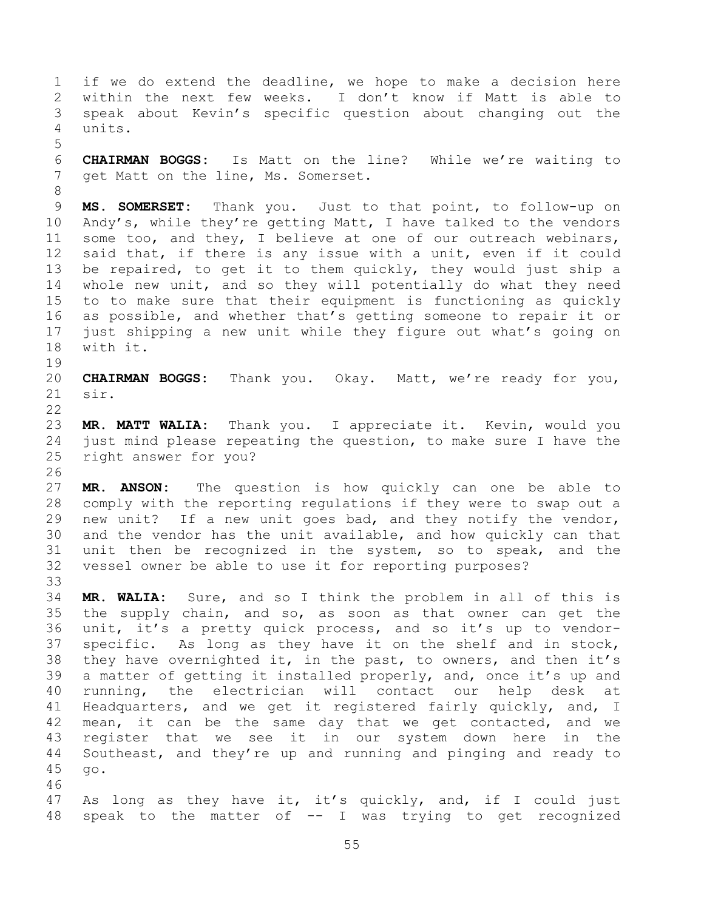1 if we do extend the deadline, we hope to make a decision here<br>2 within the next few weeks. I don't know if Matt is able to 2 within the next few weeks. I don't know if Matt is able to<br>3 speak about Kevin's specific question about changing out the 3 speak about Kevin's specific question about changing out the units. 5 6 **CHAIRMAN BOGGS:** Is Matt on the line? While we're waiting to get Matt on the line, Ms. Somerset. 8 9 **MS. SOMERSET:** Thank you. Just to that point, to follow-up on<br>10 Andy's, while they're getting Matt, I have talked to the vendors 10 Andy's, while they're getting Matt, I have talked to the vendors<br>11 some too, and they, I believe at one of our outreach webinars, 11 some too, and they, I believe at one of our outreach webinars,<br>12 said that, if there is any issue with a unit, even if it could 12 said that, if there is any issue with a unit, even if it could<br>13 be repaired, to get it to them guickly, they would just ship a 13 be repaired, to get it to them quickly, they would just ship a<br>14 whole new unit, and so they will potentially do what they need 14 whole new unit, and so they will potentially do what they need<br>15 to to make sure that their equipment is functioning as quickly 15 to to make sure that their equipment is functioning as quickly<br>16 as possible, and whether that's getting someone to repair it or as possible, and whether that's getting someone to repair it or 17 just shipping a new unit while they figure out what's going on with it. 19<br>20 20 **CHAIRMAN BOGGS:** Thank you. Okay. Matt, we're ready for you, sir.  $\frac{22}{23}$ 23 **MR. MATT WALIA:** Thank you. I appreciate it. Kevin, would you 24 just mind please repeating the question, to make sure I have the<br>25 right answer for you? right answer for you? 26<br>27 27 **MR. ANSON:** The question is how quickly can one be able to 28 comply with the reporting regulations if they were to swap out a<br>29 new unit? If a new unit goes bad, and they notify the vendor, 29 new unit? If a new unit goes bad, and they notify the vendor,<br>30 and the vendor has the unit available, and how quickly can that 30 and the vendor has the unit available, and how quickly can that<br>31 unit then be recognized in the system, so to speak, and the unit then be recognized in the system, so to speak, and the 32 vessel owner be able to use it for reporting purposes? 33<br>34 34 **MR. WALIA:** Sure, and so I think the problem in all of this is 35 the supply chain, and so, as soon as that owner can get the<br>36 unit, it's a pretty quick process, and so it's up to vendor-36 unit, it's a pretty quick process, and so it's up to vendor-<br>37 specific. As long as they have it on the shelf and in stock, 37 specific. As long as they have it on the shelf and in stock,<br>38 they have overnighted it, in the past, to owners, and then it's 38 they have overnighted it, in the past, to owners, and then it's<br>39 a matter of getting it installed properly, and, once it's up and a matter of getting it installed properly, and, once it's up and 40 running, the electrician will contact our help desk at 41 Headquarters, and we get it registered fairly quickly, and, I<br>42 mean, it can be the same dav that we get contacted, and we 42 mean, it can be the same day that we get contacted, and we<br>43 register that we see it in our system down here in the 43 register that we see it in our system down here in the<br>44 Southeast, and they're up and running and pinging and ready to 44 Southeast, and they're up and running and pinging and ready to  $45$  go. 45 go. 46<br>47 As long as they have it, it's quickly, and, if I could just 48 speak to the matter of -- I was trying to get recognized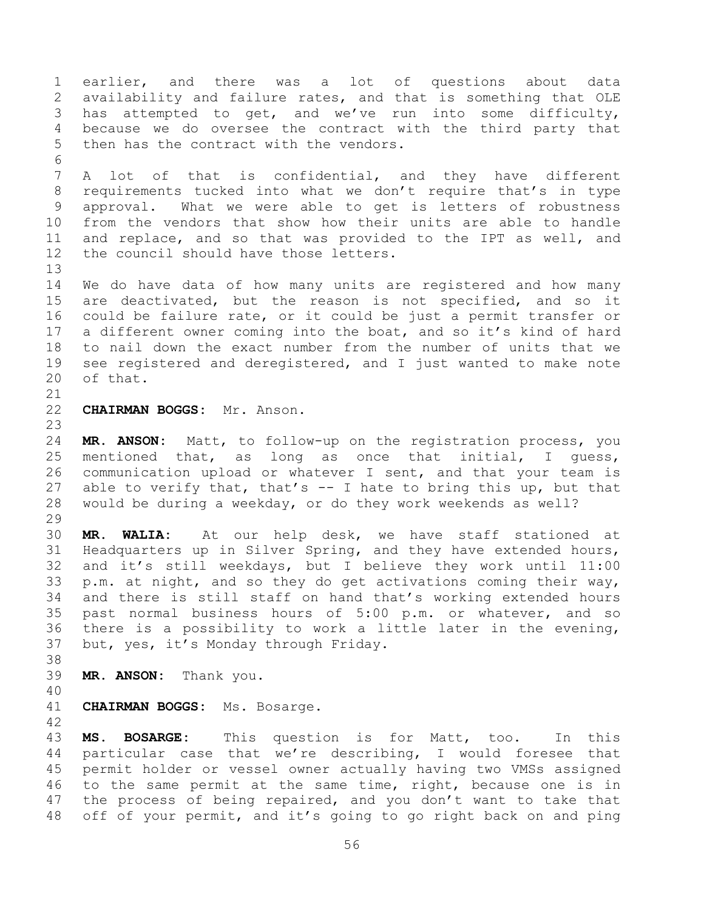1 earlier, and there was a lot of questions about data<br>2 availability and failure rates, and that is something that OLE 2 availability and failure rates, and that is something that OLE<br>3 has attempted to get, and we've run into some difficulty, 3 has attempted to get, and we've run into some difficulty,<br>4 because we do oversee the contract with the third party that 4 because we do oversee the contract with the third party that<br>5 then has the contract with the vendors. then has the contract with the vendors. 6<br>7 A lot of that is confidential, and they have different 8 requirements tucked into what we don't require that's in type 9 approval. What we were able to get is letters of robustness<br>10 from the vendors that show how their units are able to handle 10 from the vendors that show how their units are able to handle<br>11 and replace, and so that was provided to the IPT as well, and 11 and replace, and so that was provided to the IPT as well, and<br>12 the council should have those letters. the council should have those letters. 13<br>14 14 We do have data of how many units are registered and how many<br>15 are deactivated, but the reason is not specified, and so it 15 are deactivated, but the reason is not specified, and so it<br>16 could be failure rate, or it could be just a permit transfer or could be failure rate, or it could be just a permit transfer or 17 a different owner coming into the boat, and so it's kind of hard<br>18 to nail down the exact number from the number of units that we 18 to nail down the exact number from the number of units that we<br>19 see registered and deregistered, and I just wanted to make note 19 see registered and deregistered, and I just wanted to make note<br>20 of that. of that. 21<br>22 22 **CHAIRMAN BOGGS:** Mr. Anson. 23 24 **MR. ANSON:** Matt, to follow-up on the registration process, you 25 mentioned that, as long as once that initial, I guess,<br>26 communication upload or whatever I sent, and that your team is 26 communication upload or whatever I sent, and that your team is<br>27 able to verify that, that's -- I hate to bring this up, but that 27 able to verify that, that's  $-$  I hate to bring this up, but that 28 would be during a weekday, or do they work weekends as well? would be during a weekday, or do they work weekends as well?  $\frac{29}{30}$ 30 **MR. WALIA:** At our help desk, we have staff stationed at Headquarters up in Silver Spring, and they have extended hours, 32 and it's still weekdays, but I believe they work until 11:00<br>33 p.m. at night, and so they do get activations coming their way, 33 p.m. at night, and so they do get activations coming their way,<br>34 and there is still staff on hand that's working extended hours 34 and there is still staff on hand that's working extended hours<br>35 past normal business hours of 5:00 p.m. or whatever, and so 35 past normal business hours of 5:00 p.m. or whatever, and so<br>36 there is a possibility to work a little later in the evening, 36 there is a possibility to work a little later in the evening,<br>37 but, yes, it's Monday through Friday. but, yes, it's Monday through Friday. 38<br>39 MR. ANSON: Thank you. 40 41 **CHAIRMAN BOGGS:** Ms. Bosarge. 42 43 **MS. BOSARGE:** This question is for Matt, too. In this 44 particular case that we're describing, I would foresee that<br>45 permit holder or vessel owner actually having two VMSs assigned 45 permit holder or vessel owner actually having two VMSs assigned<br>46 to the same permit at the same time, right, because one is in 46 to the same permit at the same time, right, because one is in<br>47 the process of being repaired, and you don't want to take that the process of being repaired, and you don't want to take that

48 off of your permit, and it's going to go right back on and ping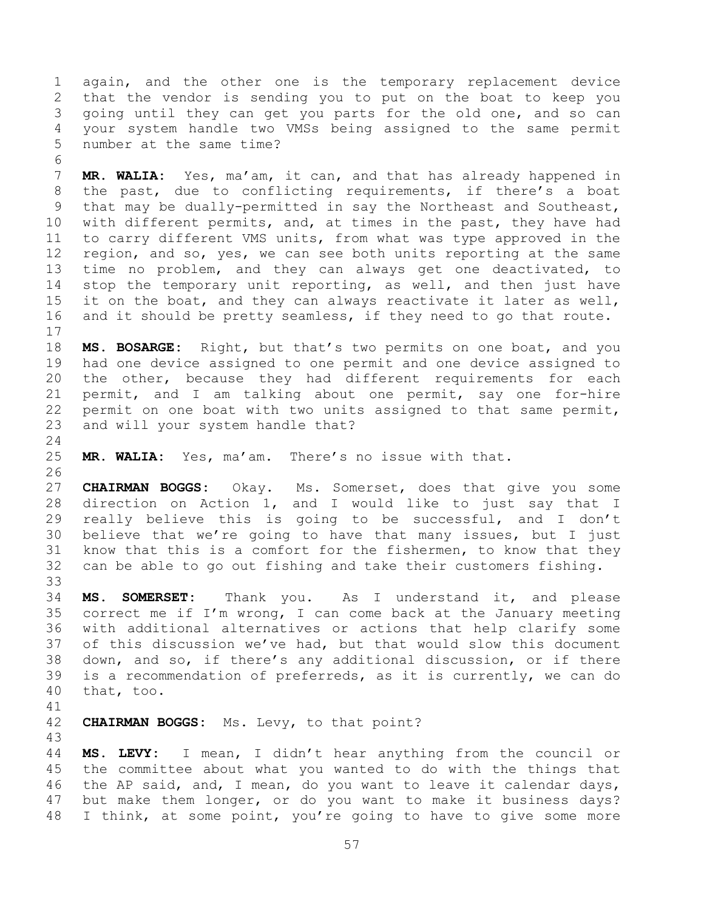1 again, and the other one is the temporary replacement device<br>2 that the vendor is sending you to put on the boat to keep you 2 that the vendor is sending you to put on the boat to keep you<br>3 qoing until they can get you parts for the old one, and so can 3 going until they can get you parts for the old one, and so can<br>4 vour system handle two VMSs being assigned to the same permit 4 your system handle two VMSs being assigned to the same permit number at the same time?

6<br>7 MR. WALIA: Yes, ma'am, it can, and that has already happened in 8 the past, due to conflicting requirements, if there's a boat 9 that may be dually-permitted in say the Northeast and Southeast,<br>10 with different permits, and, at times in the past, they have had 10 with different permits, and, at times in the past, they have had<br>11 to carry different VMS units, from what was type approved in the 11 to carry different VMS units, from what was type approved in the<br>12 region, and so, yes, we can see both units reporting at the same 12 region, and so, yes, we can see both units reporting at the same<br>13 time no problem, and they can always get one deactivated, to 13 time no problem, and they can always get one deactivated, to<br>14 stop the temporary unit reporting, as well, and then just have 14 stop the temporary unit reporting, as well, and then just have<br>15 it on the boat, and they can always reactivate it later as well, 15 it on the boat, and they can always reactivate it later as well,<br>16 and it should be pretty seamless, if they need to go that route. and it should be pretty seamless, if they need to go that route.

 $\frac{17}{18}$ 18 **MS. BOSARGE:** Right, but that's two permits on one boat, and you 19 had one device assigned to one permit and one device assigned to<br>20 the other, because they had different requirements for each 20 the other, because they had different requirements for each<br>21 permit, and I am talking about one permit, say one for-hire 21 permit, and I am talking about one permit, say one for-hire<br>22 permit on one boat with two units assigned to that same permit, 22 permit on one boat with two units assigned to that same permit,<br>23 and will your system handle that? and will your system handle that?

 $\frac{24}{25}$ MR. WALIA: Yes, ma'am. There's no issue with that.

26<br>27 27 **CHAIRMAN BOGGS:** Okay. Ms. Somerset, does that give you some 28 direction on Action 1, and I would like to just say that I<br>29 really believe this is going to be successful, and I don't 29 really believe this is going to be successful, and I don't<br>30 believe that we're going to have that many issues, but I just 30 believe that we're going to have that many issues, but I just<br>31 know that this is a comfort for the fishermen, to know that they know that this is a comfort for the fishermen, to know that they 32 can be able to go out fishing and take their customers fishing.

33<br>34 34 **MS. SOMERSET:** Thank you. As I understand it, and please 35 correct me if I'm wrong, I can come back at the January meeting<br>36 with additional alternatives or actions that help clarify some 36 with additional alternatives or actions that help clarify some 37 of this discussion we've had, but that would slow this document<br>38 down, and so, if there's any additional discussion, or if there 38 down, and so, if there's any additional discussion, or if there<br>39 is a recommendation of preferreds, as it is currently, we can do is a recommendation of preferreds, as it is currently, we can do 40 that, too.

41<br>42

CHAIRMAN BOGGS: Ms. Levy, to that point?

43 44 **MS. LEVY:** I mean, I didn't hear anything from the council or 45 the committee about what you wanted to do with the things that<br>46 the AP said, and, I mean, do you want to leave it calendar days, 46 the AP said, and, I mean, do you want to leave it calendar days,<br>47 but make them longer, or do you want to make it business days? but make them longer, or do you want to make it business days? 48 I think, at some point, you're going to have to give some more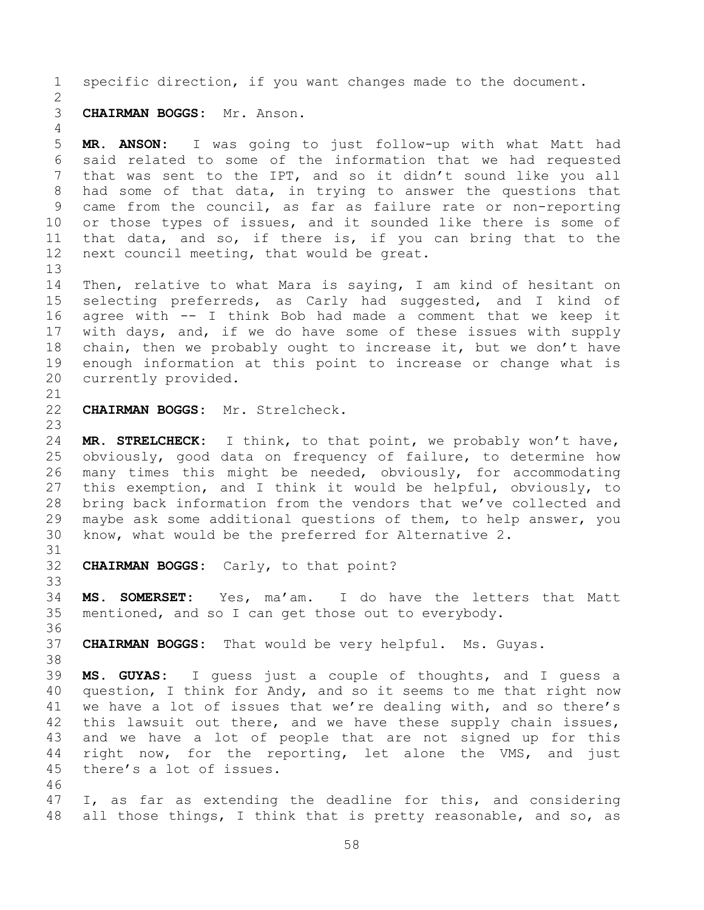1 specific direction, if you want changes made to the document.

## $\frac{2}{3}$ 3 **CHAIRMAN BOGGS:** Mr. Anson.

 $\frac{4}{5}$ 5 **MR. ANSON:** I was going to just follow-up with what Matt had 6 said related to some of the information that we had requested<br>7 that was sent to the IPT, and so it didn't sound like you all that was sent to the IPT, and so it didn't sound like you all 8 had some of that data, in trying to answer the questions that 9 came from the council, as far as failure rate or non-reporting<br>10 or those types of issues, and it sounded like there is some of 10 or those types of issues, and it sounded like there is some of<br>11 that data, and so, if there is, if you can bring that to the 11 that data, and so, if there is, if you can bring that to the<br>12 next council meeting, that would be great. next council meeting, that would be great.

13<br>14 14 Then, relative to what Mara is saying, I am kind of hesitant on<br>15 selecting preferreds, as Carly had suggested, and I kind of 15 selecting preferreds, as Carly had suggested, and I kind of<br>16 agree with -- I think Bob had made a comment that we keep it agree with  $-$  I think Bob had made a comment that we keep it 17 with days, and, if we do have some of these issues with supply<br>18 chain, then we probably ought to increase it, but we don't have 18 chain, then we probably ought to increase it, but we don't have<br>19 enough information at this point to increase or change what is 19 enough information at this point to increase or change what is 20 currently provided. currently provided.

- 21<br>22 CHAIRMAN BOGGS: Mr. Strelcheck.
- 23

24 **MR. STRELCHECK:** I think, to that point, we probably won't have,<br>25 obviously, good data on frequency of failure, to determine how 25 obviously, good data on frequency of failure, to determine how<br>26 many times this might be needed, obviously, for accommodating 26 many times this might be needed, obviously, for accommodating<br>27 this exemption, and I think it would be helpful, obviously, to 27 this exemption, and I think it would be helpful, obviously, to<br>28 bring back information from the vendors that we've collected and 28 bring back information from the vendors that we've collected and<br>29 maybe ask some additional questions of them, to help answer, you 29 maybe ask some additional questions of them, to help answer, you<br>30 know, what would be the preferred for Alternative 2. know, what would be the preferred for Alternative 2.

31<br>32

**CHAIRMAN BOGGS:** Carly, to that point?

33<br>34 34 **MS. SOMERSET:** Yes, ma'am. I do have the letters that Matt<br>35 mentioned, and so I can get those out to everybody. mentioned, and so I can get those out to everybody.

36<br>37 CHAIRMAN BOGGS: That would be very helpful. Ms. Guyas.

38<br>39 MS. GUYAS: I guess just a couple of thoughts, and I guess a 40 question, I think for Andy, and so it seems to me that right now 41 we have a lot of issues that we're dealing with, and so there's<br>42 this lawsuit out there, and we have these supply chain issues, 42 this lawsuit out there, and we have these supply chain issues,<br>43 and we have a lot of people that are not signed up for this 43 and we have a lot of people that are not signed up for this<br>44 right now, for the reporting, let alone the VMS, and just 44 right now, for the reporting, let alone the VMS, and just 45 there's a lot of issues. there's a lot of issues.

46<br>47 I, as far as extending the deadline for this, and considering 48 all those things, I think that is pretty reasonable, and so, as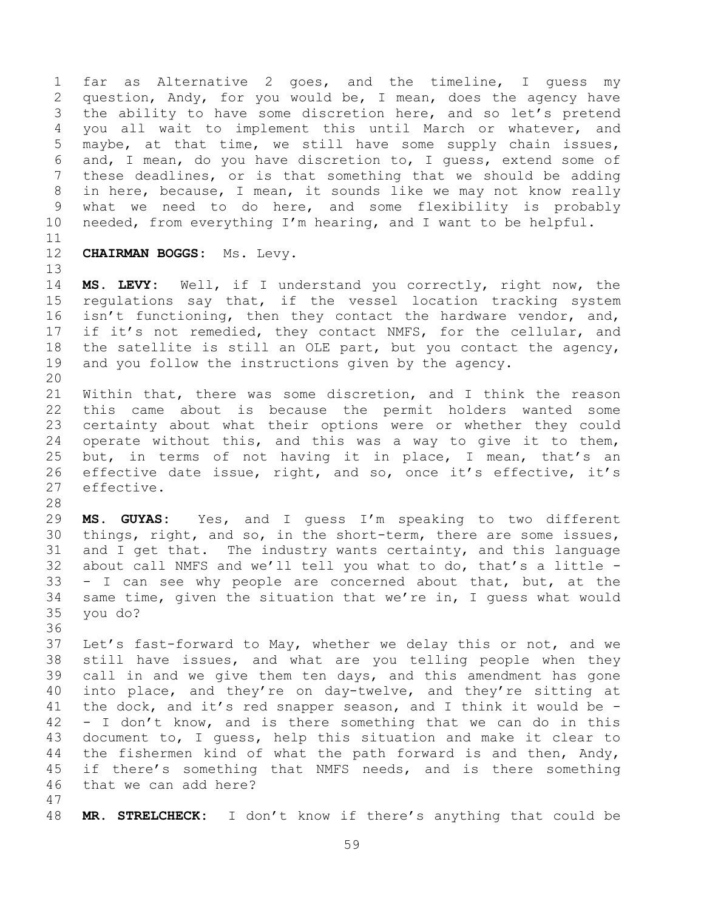1 far as Alternative 2 goes, and the timeline, I guess my<br>2 question, Andy, for you would be, I mean, does the agency have 2 question, Andy, for you would be, I mean, does the agency have<br>3 the ability to have some discretion here, and so let's pretend 3 the ability to have some discretion here, and so let's pretend<br>4 vou all wait to implement this until March or whatever, and 4 you all wait to implement this until March or whatever, and<br>5 maybe, at that time, we still have some supply chain issues, 5 maybe, at that time, we still have some supply chain issues,<br>6 and, I mean, do vou have discretion to, I quess, extend some of 6 and, I mean, do you have discretion to, I guess, extend some of<br>7 these deadlines, or is that something that we should be adding these deadlines, or is that something that we should be adding 8 in here, because, I mean, it sounds like we may not know really 9 what we need to do here, and some flexibility is probably<br>10 needed, from everything I'm hearing, and I want to be helpful. needed, from everything I'm hearing, and I want to be helpful.

11<br>12

12 **CHAIRMAN BOGGS:** Ms. Levy.

13<br>14 14 **MS. LEVY:** Well, if I understand you correctly, right now, the 15 regulations say that, if the vessel location tracking system<br>16 isn't functioning, then they contact the hardware vendor, and, isn't functioning, then they contact the hardware vendor, and, 17 if it's not remedied, they contact NMFS, for the cellular, and<br>18 the satellite is still an OLE part, but you contact the agency, 18 the satellite is still an OLE part, but you contact the agency,<br>19 and you follow the instructions given by the agency. and you follow the instructions given by the agency.

20<br>21 21 Within that, there was some discretion, and I think the reason<br>22 this came about is because the permit holders wanted some 22 this came about is because the permit holders wanted some<br>23 certainty about what their options were or whether they could 23 certainty about what their options were or whether they could<br>24 operate without this, and this was a way to give it to them, 24 operate without this, and this was a way to give it to them,<br>25 but, in terms of not having it in place, I mean, that's an 25 but, in terms of not having it in place, I mean, that's an<br>26 effective date issue, right, and so, once it's effective, it's 26 effective date issue, right, and so, once it's effective, it's and the effective. effective.

28<br>29

29 **MS. GUYAS:** Yes, and I guess I'm speaking to two different<br>30 things, right, and so, in the short-term, there are some issues, 30 things, right, and so, in the short-term, there are some issues,<br>31 and I get that. The industry wants certainty, and this language and I get that. The industry wants certainty, and this language 32 about call NMFS and we'll tell you what to do, that's a little  $-$  33  $-$  I can see why people are concerned about that, but, at the 33 - I can see why people are concerned about that, but, at the<br>34 same time, given the situation that we're in, I quess what would 34 same time, given the situation that we're in, I guess what would  $35$  you do? you do?

36<br>37 37 Let's fast-forward to May, whether we delay this or not, and we<br>38 still have issues, and what are you telling people when they 38 still have issues, and what are you telling people when they<br>39 call in and we give them ten days, and this amendment has gone call in and we give them ten days, and this amendment has gone 40 into place, and they're on day-twelve, and they're sitting at 41 the dock, and it's red snapper season, and I think it would be  $-$  42  $-$  I don't know, and is there something that we can do in this  $42$  - I don't know, and is there something that we can do in this  $43$  document to, I quess, help this situation and make it clear to 43 document to, I guess, help this situation and make it clear to<br>44 the fishermen kind of what the path forward is and then, Andy, 44 the fishermen kind of what the path forward is and then, Andy,<br>45 if there's something that NMFS needs, and is there something 45 if there's something that NMFS needs, and is there something<br>46 that we can add here? that we can add here?

47

48 **MR. STRELCHECK:** I don't know if there's anything that could be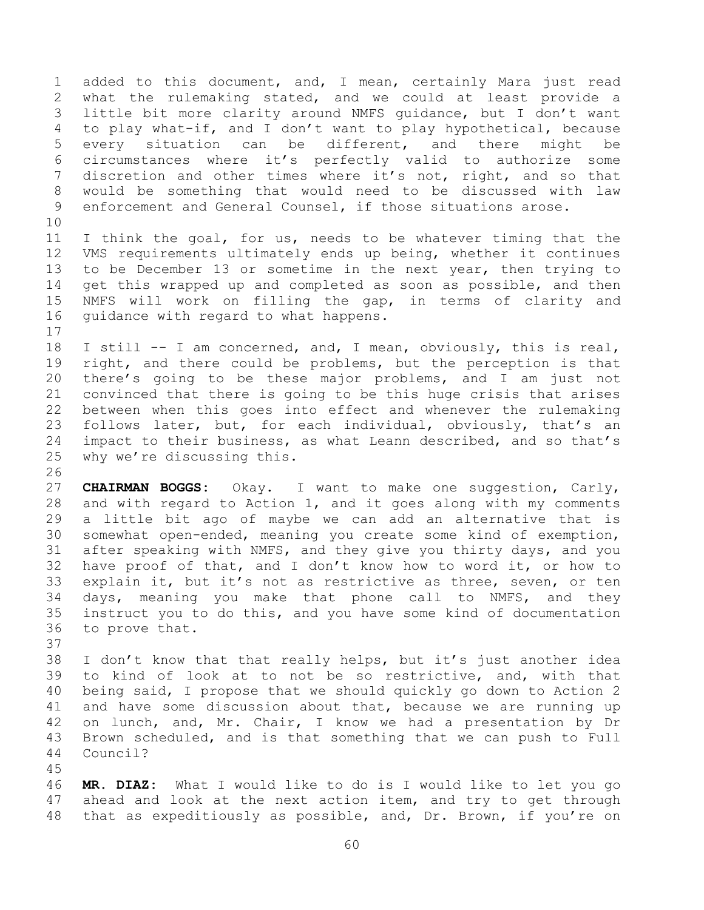1 added to this document, and, I mean, certainly Mara just read<br>2 what the rulemaking stated, and we could at least provide a 2 what the rulemaking stated, and we could at least provide a<br>3 little bit more clarity around NMFS quidance, but I don't want 3 little bit more clarity around NMFS guidance, but I don't want<br>4 to plav what-if, and I don't want to plav hvpothetical, because 4 to play what-if, and I don't want to play hypothetical, because<br>5 every situation can be different, and there might be 5 every situation can be different, and there<br>6 circumstances where it's perfectly valid to auth 6 circumstances where it's perfectly valid to authorize some<br>7 discretion and other times where it's not, right, and so that discretion and other times where it's not, right, and so that 8 would be something that would need to be discussed with law 9 enforcement and General Counsel, if those situations arose.

10<br>11 11 I think the goal, for us, needs to be whatever timing that the<br>12 VMS requirements ultimately ends up being, whether it continues 12 VMS requirements ultimately ends up being, whether it continues<br>13 to be December 13 or sometime in the next year, then trying to 13 to be December 13 or sometime in the next year, then trying to<br>14 get this wrapped up and completed as soon as possible, and then 14 get this wrapped up and completed as soon as possible, and then<br>15 NMFS will work on filling the gap, in terms of clarity and 15 NMFS will work on filling the gap, in terms of clarity and<br>16 quidance with regard to what happens. guidance with regard to what happens.

 $\begin{array}{c} 17 \\ 18 \end{array}$ 18 I still -- I am concerned, and, I mean, obviously, this is real,<br>19 right, and there could be problems, but the perception is that 19 right, and there could be problems, but the perception is that<br>20 there's going to be these major problems, and I am just not 20 there's going to be these major problems, and I am just not<br>21 convinced that there is going to be this huge crisis that arises 21 convinced that there is going to be this huge crisis that arises<br>22 between when this goes into effect and whenever the rulemaking 22 between when this goes into effect and whenever the rulemaking<br>23 follows later, but, for each individual, obviously, that's an 23 follows later, but, for each individual, obviously, that's an<br>24 impact to their business, as what Leann described, and so that's 24 impact to their business, as what Leann described, and so that's 25 why we're discussing this. why we're discussing this.

26<br>27 27 **CHAIRMAN BOGGS:** Okay. I want to make one suggestion, Carly,<br>28 and with regard to Action 1, and it goes along with my comments 28 and with regard to Action 1, and it goes along with my comments<br>29 a little bit ago of maybe we can add an alternative that is 29 a little bit ago of maybe we can add an alternative that is<br>30 somewhat open-ended, meaning you create some kind of exemption, 30 somewhat open-ended, meaning you create some kind of exemption,<br>31 after speaking with NMFS, and they give you thirty days, and you after speaking with NMFS, and they give you thirty days, and you 32 have proof of that, and I don't know how to word it, or how to<br>33 explain it, but it's not as restrictive as three, seven, or ten 33 explain it, but it's not as restrictive as three, seven, or ten<br>34 days, meaning you make that phone call to NMFS, and they 34 days, meaning you make that phone call to NMFS, and they<br>35 instruct you to do this, and you have some kind of documentation 35 instruct you to do this, and you have some kind of documentation<br>36 to prove that. to prove that.

37<br>38 38 I don't know that that really helps, but it's just another idea<br>39 to kind of look at to not be so restrictive, and, with that to kind of look at to not be so restrictive, and, with that 40 being said, I propose that we should quickly go down to Action 2 41 and have some discussion about that, because we are running up<br>42 on lunch, and, Mr. Chair, I know we had a presentation by Dr 42 on lunch, and, Mr. Chair, I know we had a presentation by Dr<br>43 Brown scheduled, and is that something that we can push to Full 43 Brown scheduled, and is that something that we can push to Full<br>44 Council? Council?

45 46 **MR. DIAZ:** What I would like to do is I would like to let you go ahead and look at the next action item, and try to get through 48 that as expeditiously as possible, and, Dr. Brown, if you're on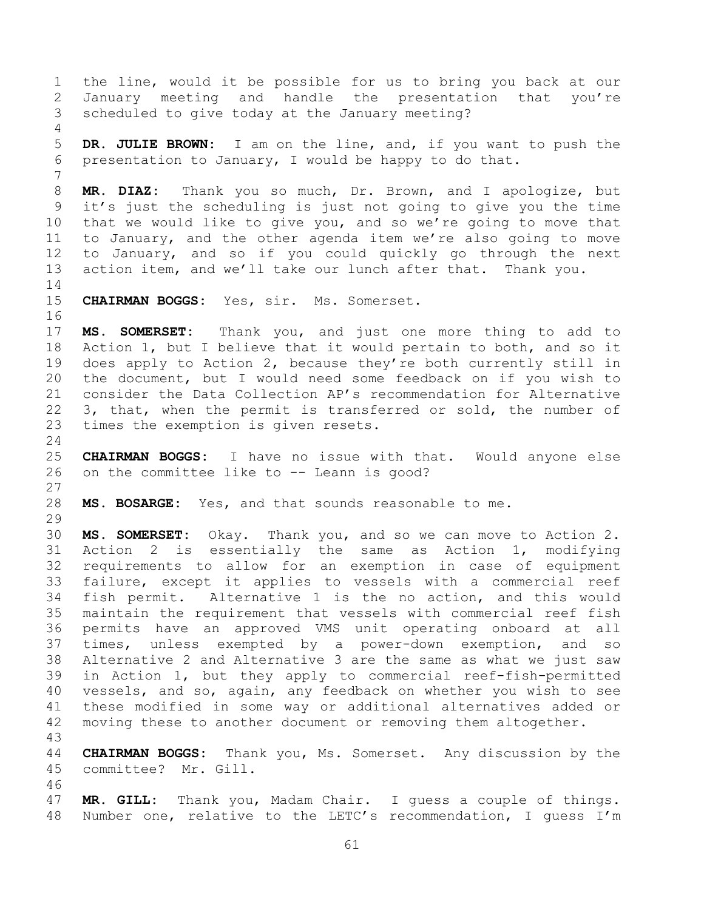1 the line, would it be possible for us to bring you back at our<br>2 January meeting and handle the presentation that you're 2 January meeting and handle the presentation that you're<br>3 scheduled to give today at the January meeting? scheduled to give today at the January meeting?  $\frac{4}{5}$ 5 **DR. JULIE BROWN:** I am on the line, and, if you want to push the presentation to January, I would be happy to do that. 7 8 **MR. DIAZ:** Thank you so much, Dr. Brown, and I apologize, but 9 it's just the scheduling is just not going to give you the time<br>10 that we would like to give you, and so we're going to move that 10 that we would like to give you, and so we're going to move that<br>11 to January, and the other agenda item we're also going to move 11 to January, and the other agenda item we're also going to move<br>12 to January, and so if you could quickly go through the next 12 to January, and so if you could quickly go through the next<br>13 action item, and we'll take our lunch after that. Thank you. action item, and we'll take our lunch after that. Thank you.  $\frac{14}{15}$ CHAIRMAN BOGGS: Yes, sir. Ms. Somerset. 16 17 **MS. SOMERSET:** Thank you, and just one more thing to add to 18 Action 1, but I believe that it would pertain to both, and so it<br>19 does apply to Action 2, because they're both currently still in 19 does apply to Action 2, because they're both currently still in<br>20 the document, but I would need some feedback on if you wish to 20 the document, but I would need some feedback on if you wish to<br>21 consider the Data Collection AP's recommendation for Alternative 21 consider the Data Collection AP's recommendation for Alternative<br>22 3. that, when the permit is transferred or sold, the number of 22  $3$ , that, when the permit is transferred or sold, the number of  $23$  times the exemption is given resets. times the exemption is given resets.  $\frac{24}{25}$ 25 **CHAIRMAN BOGGS:** I have no issue with that. Would anyone else on the committee like to -- Leann is good?  $\frac{27}{28}$ MS. BOSARGE: Yes, and that sounds reasonable to me. 29<br>30 30 **MS. SOMERSET:** Okay. Thank you, and so we can move to Action 2. Action 2 is essentially the same as Action 1, 32 requirements to allow for an exemption in case of equipment<br>33 failure, except it applies to vessels with a commercial reef 33 failure, except it applies to vessels with a commercial reef<br>34 fish permit. Alternative 1 is the no action, and this would 34 fish permit. Alternative 1 is the no action, and this would<br>35 maintain the requirement that vessels with commercial reef fish 35 maintain the requirement that vessels with commercial reef fish<br>36 permits have an approved VMS unit operating onboard at all 36 permits have an approved VMS unit operating onboard at all<br>37 times, unless exempted by a power-down exemption, and so 37 times, unless exempted by a power-down exemption, and so<br>38 Alternative 2 and Alternative 3 are the same as what we just saw 38 Alternative 2 and Alternative 3 are the same as what we just saw<br>39 in Action 1, but they apply to commercial reef-fish-permitted in Action 1, but they apply to commercial reef-fish-permitted 40 vessels, and so, again, any feedback on whether you wish to see 41 these modified in some way or additional alternatives added or<br>42 moving these to another document or removing them altogether. moving these to another document or removing them altogether. 43 44 **CHAIRMAN BOGGS:** Thank you, Ms. Somerset. Any discussion by the committee? Mr. Gill. 46<br>47 MR. GILL: Thank you, Madam Chair. I quess a couple of things. 48 Number one, relative to the LETC's recommendation, I guess I'm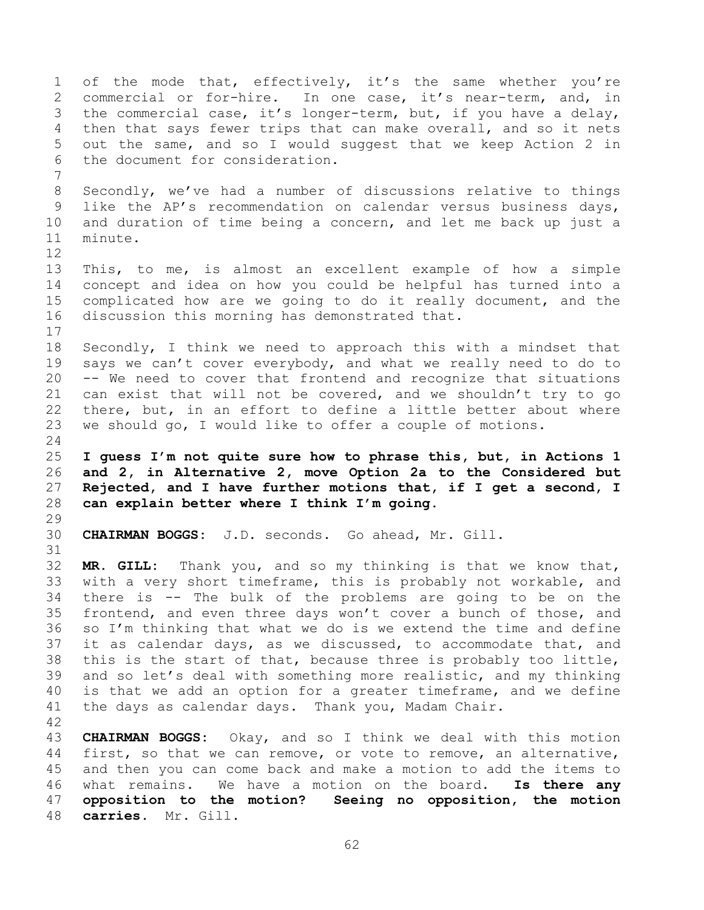<span id="page-61-1"></span><span id="page-61-0"></span>1 of the mode that, effectively, it's the same whether you're<br>2 commercial or for-hire. In one case, it's near-term, and, in 2 commercial or for-hire. In one case, it's near-term, and, in<br>3 the commercial case, it's longer-term, but, if you have a delay, 3 the commercial case, it's longer-term, but, if you have a delay,<br>4 then that savs fewer trips that can make overall, and so it nets 4 then that says fewer trips that can make overall, and so it nets<br>5 out the same, and so I would suggest that we keep Action 2 in 5 out the same, and so I would suggest that we keep Action 2 in<br>6 the document for consideration. the document for consideration. 7 8 Secondly, we've had a number of discussions relative to things 9 like the AP's recommendation on calendar versus business days,<br>10 and duration of time being a concern, and let me back up just a 10 and duration of time being a concern, and let me back up just a<br>11 minute. minute.  $\begin{array}{c} 12 \\ 13 \end{array}$ 13 This, to me, is almost an excellent example of how a simple<br>14 concept and idea on how you could be helpful has turned into a 14 concept and idea on how you could be helpful has turned into a<br>15 complicated how are we going to do it really document, and the 15 complicated how are we going to do it really document, and the<br>16 discussion this morning has demonstrated that. discussion this morning has demonstrated that.  $\frac{17}{18}$ 18 Secondly, I think we need to approach this with a mindset that<br>19 says we can't cover everybody, and what we really need to do to 19 says we can't cover everybody, and what we really need to do to<br>20 -- We need to cover that frontend and recognize that situations 20 -- We need to cover that frontend and recognize that situations<br>21 can exist that will not be covered, and we shouldn't try to go 21 can exist that will not be covered, and we shouldn't try to go<br>22 there, but, in an effort to define a little better about where 22 there, but, in an effort to define a little better about where<br>23 we should go. I would like to offer a couple of motions. we should go, I would like to offer a couple of motions.  $\frac{24}{25}$ 25 **I guess I'm not quite sure how to phrase this, but, in Actions 1**  26 **and 2, in Alternative 2, move Option 2a to the Considered but**  27 **Rejected, and I have further motions that, if I get a second, I**  can explain better where I think I'm going.  $\frac{29}{30}$ 30 **CHAIRMAN BOGGS:** J.D. seconds. Go ahead, Mr. Gill. 31 32 **MR. GILL:** Thank you, and so my thinking is that we know that, 33 with a very short timeframe, this is probably not workable, and<br>34 there is -- The bulk of the problems are going to be on the 34 there is -- The bulk of the problems are going to be on the<br>35 frontend, and even three days won't cover a bunch of those, and 35 frontend, and even three days won't cover a bunch of those, and<br>36 so I'm thinking that what we do is we extend the time and define 36 so I'm thinking that what we do is we extend the time and define<br>37 it as calendar days, as we discussed, to accommodate that, and 37 it as calendar days, as we discussed, to accommodate that, and<br>38 this is the start of that, because three is probably too little, 38 this is the start of that, because three is probably too little,<br>39 and so let's deal with something more realistic, and my thinking and so let's deal with something more realistic, and my thinking 40 is that we add an option for a greater timeframe, and we define 41 the days as calendar days. Thank you, Madam Chair. 42 43 **CHAIRMAN BOGGS:** Okay, and so I think we deal with this motion 44 first, so that we can remove, or vote to remove, an alternative, 44 first, so that we can remove, or vote to remove, an alternative,<br>45 and then you can come back and make a motion to add the items to 45 and then you can come back and make a motion to add the items to<br>46 what remains. We have a motion on the board. Is there any 46 what remains. We have a motion on the board.<br>47 **opposition to the motion? Seeing no oppositi** 47 **opposition to the motion? Seeing no opposition, the motion**  48 **carries.** Mr. Gill.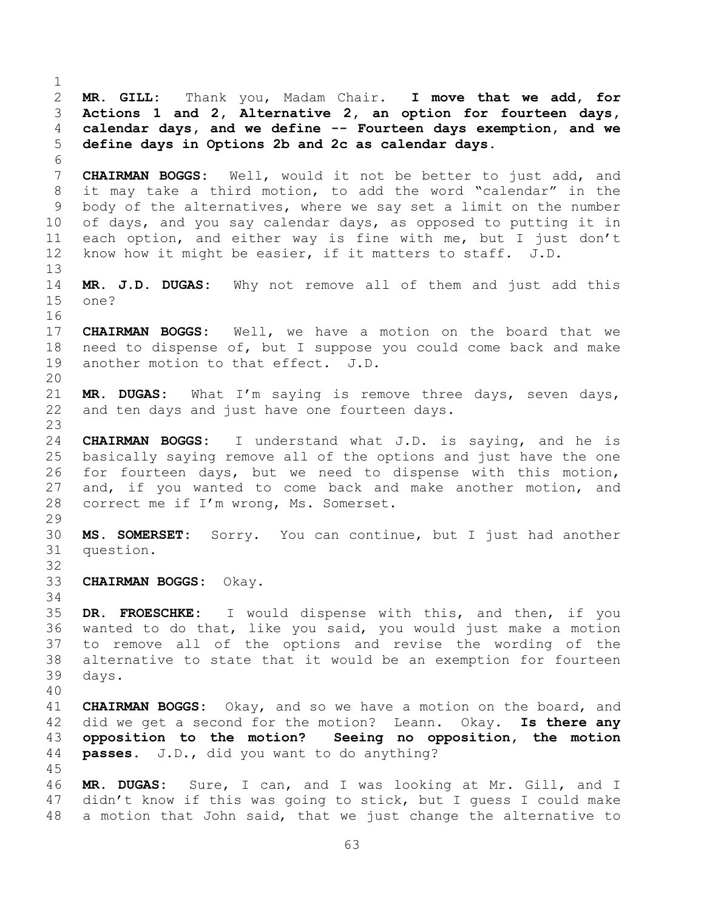<span id="page-62-1"></span><span id="page-62-0"></span> $\frac{1}{2}$ 2 **MR. GILL:** Thank you, Madam Chair. **I move that we add, for**  3 **Actions 1 and 2, Alternative 2, an option for fourteen days,**  4 **calendar days, and we define -- Fourteen days exemption, and we**  5 **define days in Options 2b and 2c as calendar days.** 6<br>7 7 **CHAIRMAN BOGGS:** Well, would it not be better to just add, and 8 it may take a third motion, to add the word "calendar" in the 9 body of the alternatives, where we say set a limit on the number<br>10 of days, and you say calendar days, as opposed to putting it in 10 of days, and you say calendar days, as opposed to putting it in<br>11 each option, and either way is fine with me, but I just don't 11 each option, and either way is fine with me, but I just don't<br>12 know how it might be easier, if it matters to staff. J.D. know how it might be easier, if it matters to staff. J.D. 13<br>14 14 **MR. J.D. DUGAS:** Why not remove all of them and just add this  $one?$ 16 17 **CHAIRMAN BOGGS:** Well, we have a motion on the board that we 18 need to dispense of, but I suppose you could come back and make<br>19 another motion to that effect. J.D. another motion to that effect. J.D. 20<br>21 21 **MR. DUGAS:** What I'm saying is remove three days, seven days, 22 and ten days and just have one fourteen days. and ten days and just have one fourteen days.  $\frac{23}{24}$ 24 **CHAIRMAN BOGGS:** I understand what J.D. is saying, and he is 25 basically saying remove all of the options and just have the one<br>26 for fourteen days, but we need to dispense with this motion, 26 for fourteen days, but we need to dispense with this motion,<br>27 and, if you wanted to come back and make another motion, and 27 and, if you wanted to come back and make another motion, and<br>28 correct me if I'm wrong, Ms. Somerset. correct me if I'm wrong, Ms. Somerset.  $\frac{29}{30}$ 30 **MS. SOMERSET:** Sorry. You can continue, but I just had another question. 32<br>33 33 **CHAIRMAN BOGGS:** Okay. 34<br>35 35 **DR. FROESCHKE:** I would dispense with this, and then, if you 36 wanted to do that, like you said, you would just make a motion<br>37 to remove all of the options and revise the wording of the 37 to remove all of the options and revise the wording of the<br>38 alternative to state that it would be an exemption for fourteen 38 alternative to state that it would be an exemption for fourteen<br>39 davs. days. 40 41 **CHAIRMAN BOGGS:** Okay, and so we have a motion on the board, and 42 did we get a second for the motion? Leann. Okay. **Is there any**  43 **opposition to the motion? Seeing no opposition, the motion**  passes. J.D., did you want to do anything? 45 46 **MR. DUGAS:** Sure, I can, and I was looking at Mr. Gill, and I didn't know if this was going to stick, but I guess I could make 48 a motion that John said, that we just change the alternative to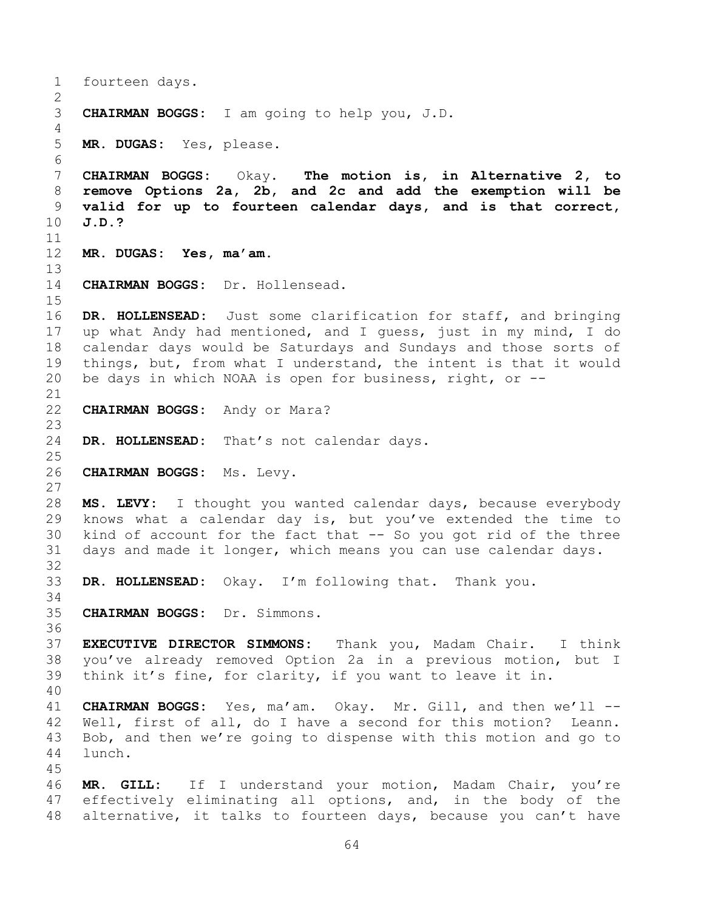<span id="page-63-0"></span>1 fourteen days.  $\frac{2}{3}$ 3 **CHAIRMAN BOGGS:** I am going to help you, J.D.  $\frac{4}{5}$ 5 **MR. DUGAS:** Yes, please. 6<br>7 7 **CHAIRMAN BOGGS:** Okay. **The motion is, in Alternative 2, to**  8 **remove Options 2a, 2b, and 2c and add the exemption will be**  9 **valid for up to fourteen calendar days, and is that correct,**  10 **J.D.?** 11<br>12 12 **MR. DUGAS: Yes, ma'am.** 13<br>14 CHAIRMAN BOGGS: Dr. Hollensead.  $\frac{15}{16}$ DR. HOLLENSEAD: Just some clarification for staff, and bringing 17 up what Andy had mentioned, and I guess, just in my mind, I do<br>18 calendar days would be Saturdays and Sundays and those sorts of 18 calendar days would be Saturdays and Sundays and those sorts of<br>19 things, but, from what I understand, the intent is that it would 19 things, but, from what I understand, the intent is that it would<br>20 be days in which NOAA is open for business, right, or  $$ be days in which NOAA is open for business, right, or  $-$ -21<br>22 CHAIRMAN BOGGS: Andy or Mara?  $\frac{23}{24}$ DR. HOLLENSEAD: That's not calendar days.  $\frac{25}{26}$ 26 **CHAIRMAN BOGGS:** Ms. Levy.  $\frac{27}{28}$ 28 **MS. LEVY:** I thought you wanted calendar days, because everybody 29 knows what a calendar day is, but you've extended the time to<br>30 kind of account for the fact that -- So you got rid of the three 30 kind of account for the fact that -- So you got rid of the three<br>31 days and made it longer, which means you can use calendar days. days and made it longer, which means you can use calendar days. 32<br>33 DR. HOLLENSEAD: Okay. I'm following that. Thank you. 34<br>35 35 **CHAIRMAN BOGGS:** Dr. Simmons. 36<br>37 37 **EXECUTIVE DIRECTOR SIMMONS:** Thank you, Madam Chair. I think 38 you've already removed Option 2a in a previous motion, but I<br>39 think it's fine, for clarity, if you want to leave it in. think it's fine, for clarity, if you want to leave it in. 40 41 **CHAIRMAN BOGGS:** Yes, ma'am. Okay. Mr. Gill, and then we'll -- 42 Well, first of all, do I have a second for this motion? Leann.<br>43 Bob, and then we're going to dispense with this motion and go to 43 Bob, and then we're going to dispense with this motion and go to 44 lunch. lunch. 45 46 **MR. GILL:** If I understand your motion, Madam Chair, you're effectively eliminating all options, and, in the body of the 48 alternative, it talks to fourteen days, because you can't have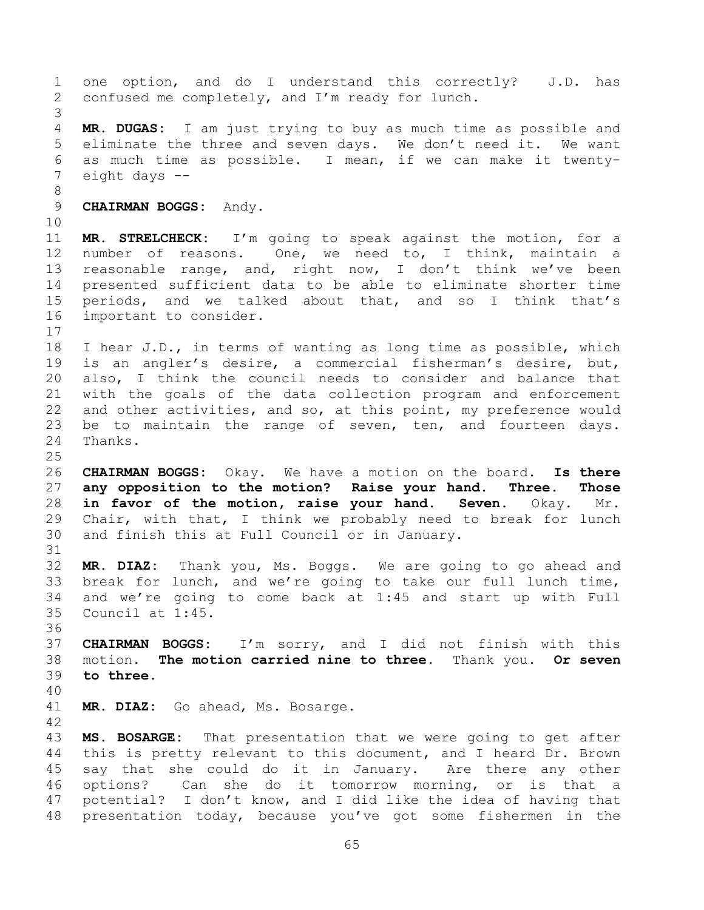<span id="page-64-0"></span>1 one option, and do I understand this correctly? J.D. has<br>2 confused me completely, and I'm ready for lunch. confused me completely, and I'm ready for lunch. 3 4 **MR. DUGAS:** I am just trying to buy as much time as possible and<br>5 eliminate the three and seven days. We don't need it. We want 5 eliminate the three and seven days. We don't need it.<br>6 as much time as possible. I mean, if we can make it 6 as much time as possible. I mean, if we can make it twenty-<br>7 eight days  $$ eight days  $-$ 8 9 **CHAIRMAN BOGGS:** Andy. 10<br>11 11 **MR. STRELCHECK:** I'm going to speak against the motion, for a 12 number of reasons. One, we need to, I think, maintain a<br>13 reasonable range, and, right now, I don't think we've been 13 reasonable range, and, right now, I don't think we've been<br>14 presented sufficient data to be able to eliminate shorter time 14 presented sufficient data to be able to eliminate shorter time<br>15 periods, and we talked about that, and so I think that's 15 periods, and we talked about that, and so I think that's<br>16 important to consider. important to consider.  $\begin{array}{c} 17 \\ 18 \end{array}$ 18 I hear J.D., in terms of wanting as long time as possible, which<br>19 is an angler's desire, a commercial fisherman's desire, but, 19 is an angler's desire, a commercial fisherman's desire, but,<br>20 also, I think the council needs to consider and balance that 20 also, I think the council needs to consider and balance that<br>21 with the goals of the data collection program and enforcement 21 with the goals of the data collection program and enforcement<br>22 and other activities, and so, at this point, my preference would 22 and other activities, and so, at this point, my preference would<br>23 be to maintain the range of seven, ten, and fourteen days. 23 be to maintain the range of seven, ten, and fourteen days.<br>24 Thanks. Thanks.  $\frac{25}{26}$ 26 **CHAIRMAN BOGGS:** Okay. We have a motion on the board. **Is there**  27 **any opposition to the motion? Raise your hand. Three. Those**  28 **in favor of the motion, raise your hand. Seven.** Okay. Mr.<br>29 Chair, with that, I think we probably need to break for lunch 29 Chair, with that, I think we probably need to break for lunch<br>30 and finish this at Full Council or in January. and finish this at Full Council or in January. 31 32 **MR. DIAZ:** Thank you, Ms. Boggs. We are going to go ahead and 33 break for lunch, and we're going to take our full lunch time,<br>34 and we're going to come back at 1:45 and start up with Full 34 and we're going to come back at 1:45 and start up with Full<br>35 Council at 1:45. Council at 1:45. 36<br>37 37 **CHAIRMAN BOGGS:** I'm sorry, and I did not finish with this<br>38 motion. The motion carried nine to three. Thank you. Or seven 38 motion. **The motion carried nine to three.** Thank you. **Or seven**  to three. 40 41 **MR. DIAZ:** Go ahead, Ms. Bosarge. 42 43 **MS. BOSARGE:** That presentation that we were going to get after<br>44 this is pretty relevant to this document, and I heard Dr. Brown 44 this is pretty relevant to this document, and I heard Dr. Brown<br>45 say that she could do it in January. Are there any other 45 say that she could do it in January.<br>46 options? Can she do it tomorrow mo 46 options? Can she do it tomorrow morning, or is that a<br>47 potential? I don't know, and I did like the idea of having that potential? I don't know, and I did like the idea of having that 48 presentation today, because you've got some fishermen in the